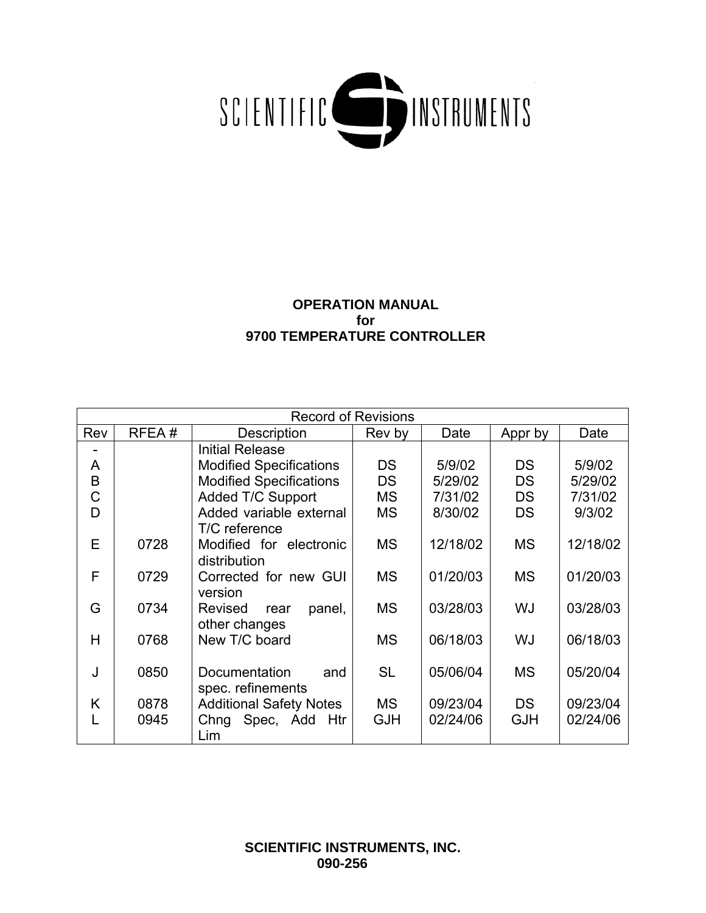

# **OPERATION MANUAL for 9700 TEMPERATURE CONTROLLER**

|     | <b>Record of Revisions</b> |                                |            |          |            |          |  |
|-----|----------------------------|--------------------------------|------------|----------|------------|----------|--|
| Rev | RFEA#                      | Description                    | Rev by     | Date     | Appr by    | Date     |  |
|     |                            | <b>Initial Release</b>         |            |          |            |          |  |
| A   |                            | <b>Modified Specifications</b> | <b>DS</b>  | 5/9/02   | <b>DS</b>  | 5/9/02   |  |
| B   |                            | <b>Modified Specifications</b> | <b>DS</b>  | 5/29/02  | <b>DS</b>  | 5/29/02  |  |
| С   |                            | Added T/C Support              | <b>MS</b>  | 7/31/02  | <b>DS</b>  | 7/31/02  |  |
| D   |                            | Added variable external        | <b>MS</b>  | 8/30/02  | <b>DS</b>  | 9/3/02   |  |
|     |                            | T/C reference                  |            |          |            |          |  |
| E   | 0728                       | Modified for electronic        | <b>MS</b>  | 12/18/02 | <b>MS</b>  | 12/18/02 |  |
|     |                            | distribution                   |            |          |            |          |  |
| F   | 0729                       | Corrected for new GUI          | <b>MS</b>  | 01/20/03 | <b>MS</b>  | 01/20/03 |  |
|     |                            | version                        |            |          |            |          |  |
| G   | 0734                       | Revised<br>panel,<br>rear      | <b>MS</b>  | 03/28/03 | WJ         | 03/28/03 |  |
|     |                            | other changes                  |            |          |            |          |  |
| H   | 0768                       | New T/C board                  | <b>MS</b>  | 06/18/03 | WJ         | 06/18/03 |  |
|     |                            |                                |            |          |            |          |  |
| J   | 0850                       | Documentation<br>and           | <b>SL</b>  | 05/06/04 | <b>MS</b>  | 05/20/04 |  |
|     |                            | spec. refinements              |            |          |            |          |  |
| Κ   | 0878                       | <b>Additional Safety Notes</b> | <b>MS</b>  | 09/23/04 | <b>DS</b>  | 09/23/04 |  |
|     | 0945                       | Chng Spec, Add Htr             | <b>GJH</b> | 02/24/06 | <b>GJH</b> | 02/24/06 |  |
|     |                            | Lim                            |            |          |            |          |  |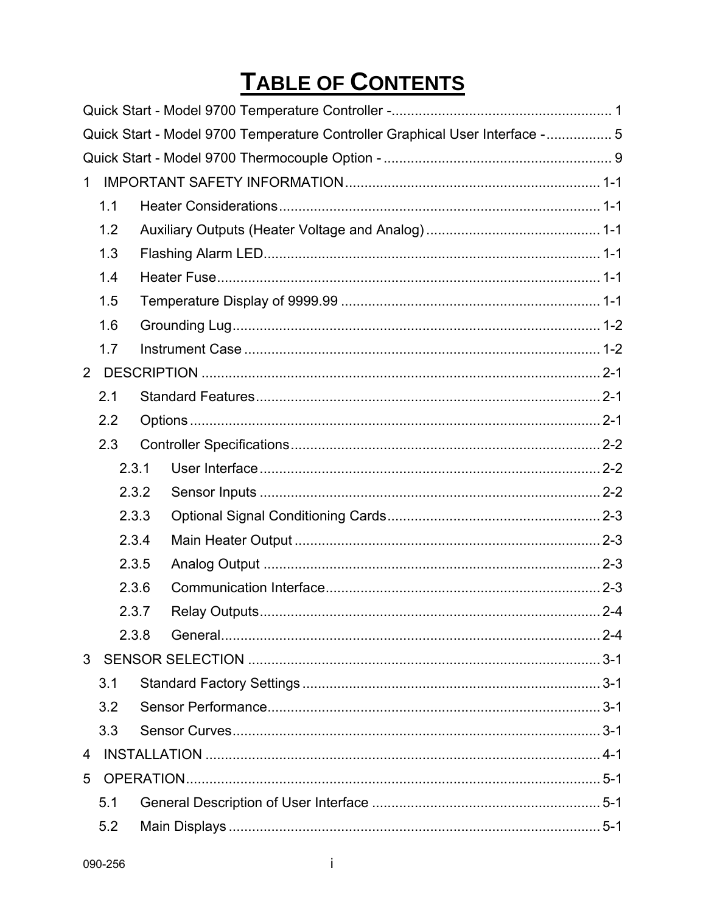# TABLE OF CONTENTS

|                |       |  | Quick Start - Model 9700 Temperature Controller Graphical User Interface -  5 |  |  |  |  |  |
|----------------|-------|--|-------------------------------------------------------------------------------|--|--|--|--|--|
|                |       |  |                                                                               |  |  |  |  |  |
| 1              |       |  |                                                                               |  |  |  |  |  |
|                | 1.1   |  |                                                                               |  |  |  |  |  |
|                | 1.2   |  |                                                                               |  |  |  |  |  |
|                | 1.3   |  |                                                                               |  |  |  |  |  |
|                | 1.4   |  |                                                                               |  |  |  |  |  |
|                | 1.5   |  |                                                                               |  |  |  |  |  |
|                | 1.6   |  |                                                                               |  |  |  |  |  |
|                | 1.7   |  |                                                                               |  |  |  |  |  |
| $\overline{2}$ |       |  |                                                                               |  |  |  |  |  |
|                | 2.1   |  |                                                                               |  |  |  |  |  |
|                | 2.2   |  |                                                                               |  |  |  |  |  |
|                | 2.3   |  |                                                                               |  |  |  |  |  |
|                | 2.3.1 |  |                                                                               |  |  |  |  |  |
|                | 2.3.2 |  |                                                                               |  |  |  |  |  |
|                | 2.3.3 |  |                                                                               |  |  |  |  |  |
|                | 2.3.4 |  |                                                                               |  |  |  |  |  |
|                | 2.3.5 |  |                                                                               |  |  |  |  |  |
|                | 2.3.6 |  |                                                                               |  |  |  |  |  |
|                | 2.3.7 |  |                                                                               |  |  |  |  |  |
|                | 2.3.8 |  |                                                                               |  |  |  |  |  |
|                |       |  |                                                                               |  |  |  |  |  |
|                | 3.1   |  |                                                                               |  |  |  |  |  |
|                | 3.2   |  |                                                                               |  |  |  |  |  |
|                | 3.3   |  |                                                                               |  |  |  |  |  |
| 4              |       |  |                                                                               |  |  |  |  |  |
| 5              |       |  |                                                                               |  |  |  |  |  |
|                | 5.1   |  |                                                                               |  |  |  |  |  |
|                | 5.2   |  |                                                                               |  |  |  |  |  |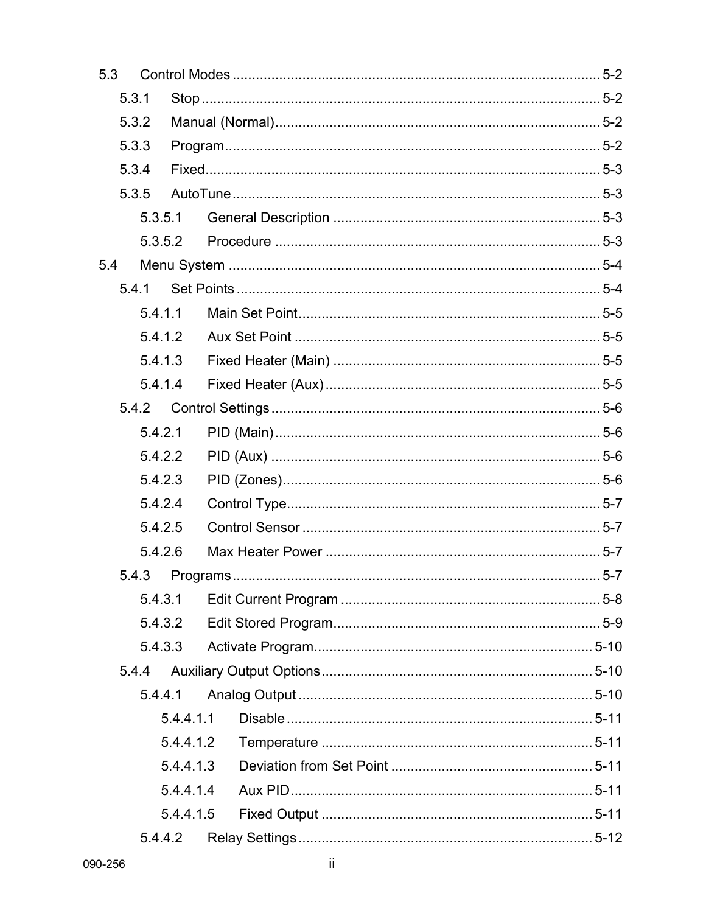| 5.3     |       |         |           |  |  |  |  |
|---------|-------|---------|-----------|--|--|--|--|
| 5.3.1   |       |         |           |  |  |  |  |
| 5.3.2   |       |         |           |  |  |  |  |
| 5.3.3   |       |         |           |  |  |  |  |
|         | 5.3.4 |         |           |  |  |  |  |
|         | 5.3.5 |         |           |  |  |  |  |
|         |       | 5.3.5.1 |           |  |  |  |  |
|         |       | 5.3.5.2 |           |  |  |  |  |
| 5.4     |       |         |           |  |  |  |  |
|         | 5.4.1 |         |           |  |  |  |  |
|         |       | 5.4.1.1 |           |  |  |  |  |
|         |       | 5.4.1.2 |           |  |  |  |  |
|         |       |         | 5.4.1.3   |  |  |  |  |
|         |       | 5.4.1.4 |           |  |  |  |  |
|         |       | 5.4.2   |           |  |  |  |  |
|         |       | 5.4.2.1 |           |  |  |  |  |
| 5.4.2.2 |       |         |           |  |  |  |  |
| 5.4.2.3 |       |         |           |  |  |  |  |
|         |       | 5.4.2.4 |           |  |  |  |  |
|         |       | 5.4.2.5 |           |  |  |  |  |
|         |       | 5.4.2.6 |           |  |  |  |  |
|         | 5.4.3 |         |           |  |  |  |  |
|         |       | 5.4.3.1 |           |  |  |  |  |
|         |       | 5.4.3.2 |           |  |  |  |  |
|         |       | 5.4.3.3 |           |  |  |  |  |
|         | 5.4.4 |         |           |  |  |  |  |
|         |       | 5.4.4.1 |           |  |  |  |  |
|         |       |         | 5.4.4.1.1 |  |  |  |  |
|         |       |         | 5.4.4.1.2 |  |  |  |  |
|         |       |         | 5.4.4.1.3 |  |  |  |  |
|         |       |         | 5.4.4.1.4 |  |  |  |  |
|         |       |         | 5.4.4.1.5 |  |  |  |  |
| 5.4.4.2 |       |         |           |  |  |  |  |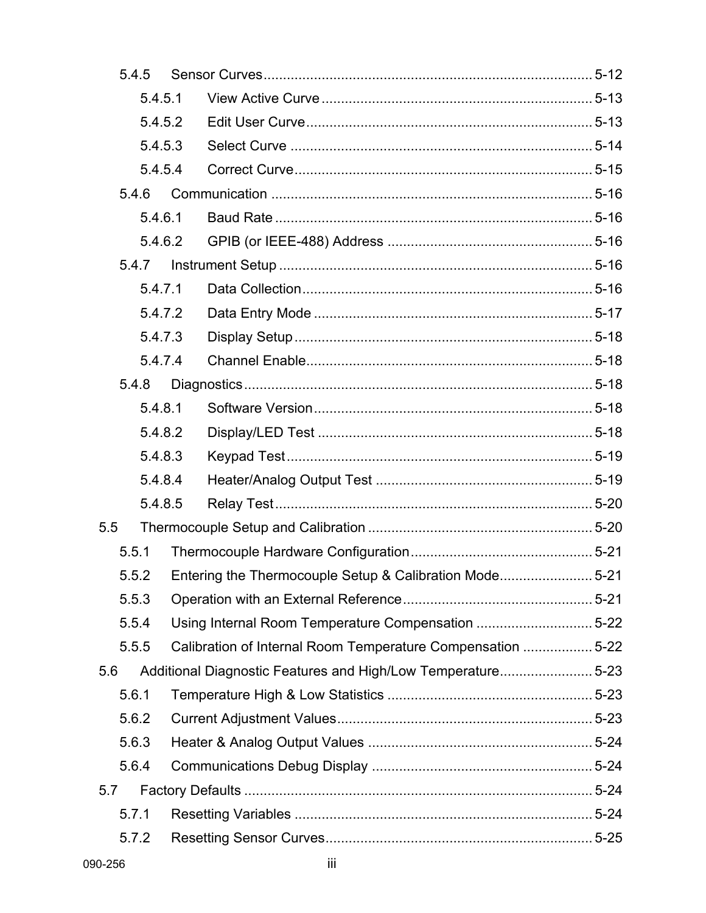|     | 5.4.5   |         |  |                                                             |  |
|-----|---------|---------|--|-------------------------------------------------------------|--|
|     | 5.4.5.1 |         |  |                                                             |  |
|     | 5.4.5.2 |         |  |                                                             |  |
|     | 5.4.5.3 |         |  |                                                             |  |
|     |         | 5.4.5.4 |  |                                                             |  |
|     | 5.4.6   |         |  |                                                             |  |
|     |         | 5.4.6.1 |  |                                                             |  |
|     |         | 5.4.6.2 |  |                                                             |  |
|     |         | 5.4.7   |  |                                                             |  |
|     |         | 5.4.7.1 |  |                                                             |  |
|     |         | 5.4.7.2 |  |                                                             |  |
|     |         | 5.4.7.3 |  |                                                             |  |
|     |         | 5.4.7.4 |  |                                                             |  |
|     | 5.4.8   |         |  |                                                             |  |
|     |         | 5.4.8.1 |  |                                                             |  |
|     | 5.4.8.2 |         |  |                                                             |  |
|     | 5.4.8.3 |         |  |                                                             |  |
|     |         | 5.4.8.4 |  |                                                             |  |
|     |         | 5.4.8.5 |  |                                                             |  |
| 5.5 |         |         |  |                                                             |  |
|     | 5.5.1   |         |  |                                                             |  |
|     | 5.5.2   |         |  | Entering the Thermocouple Setup & Calibration Mode5-21      |  |
|     | 5.5.3   |         |  |                                                             |  |
|     | 5.5.4   |         |  | Using Internal Room Temperature Compensation 5-22           |  |
|     | 5.5.5   |         |  | Calibration of Internal Room Temperature Compensation  5-22 |  |
| 5.6 |         |         |  | Additional Diagnostic Features and High/Low Temperature5-23 |  |
|     | 5.6.1   |         |  |                                                             |  |
|     | 5.6.2   |         |  |                                                             |  |
|     | 5.6.3   |         |  |                                                             |  |
|     | 5.6.4   |         |  |                                                             |  |
| 5.7 |         |         |  |                                                             |  |
|     | 5.7.1   |         |  |                                                             |  |
|     | 5.7.2   |         |  |                                                             |  |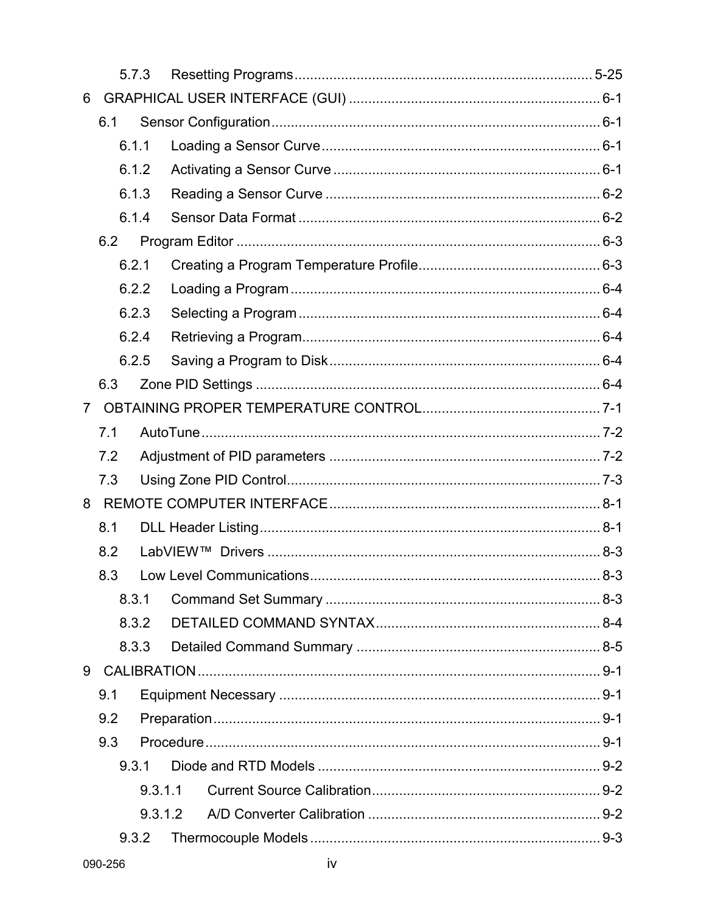| 5.7.3          |       |         |         |  |  |
|----------------|-------|---------|---------|--|--|
| 6              |       |         |         |  |  |
|                | 6.1   |         |         |  |  |
|                |       | 6.1.1   |         |  |  |
|                |       | 6.1.2   |         |  |  |
|                |       | 6.1.3   |         |  |  |
|                |       | 6.1.4   |         |  |  |
|                | 6.2   |         |         |  |  |
|                |       | 6.2.1   |         |  |  |
|                |       | 6.2.2   |         |  |  |
|                |       | 6.2.3   |         |  |  |
|                |       | 6.2.4   |         |  |  |
|                |       | 6.2.5   |         |  |  |
|                | 6.3   |         |         |  |  |
| $\overline{7}$ |       |         |         |  |  |
| 7.1            |       |         |         |  |  |
|                | 7.2   |         |         |  |  |
|                | 7.3   |         |         |  |  |
|                |       |         |         |  |  |
|                | 8.1   |         |         |  |  |
|                | 8.2   |         |         |  |  |
|                | 8.3   |         |         |  |  |
|                |       | 8.3.1   |         |  |  |
|                |       | 8.3.2   |         |  |  |
|                |       | 8.3.3   |         |  |  |
| 9              |       |         |         |  |  |
|                | 9.1   |         |         |  |  |
|                | 9.2   |         |         |  |  |
|                | 9.3   |         |         |  |  |
|                |       | 9.3.1   |         |  |  |
|                |       | 9.3.1.1 |         |  |  |
|                |       |         | 9.3.1.2 |  |  |
|                | 9.3.2 |         |         |  |  |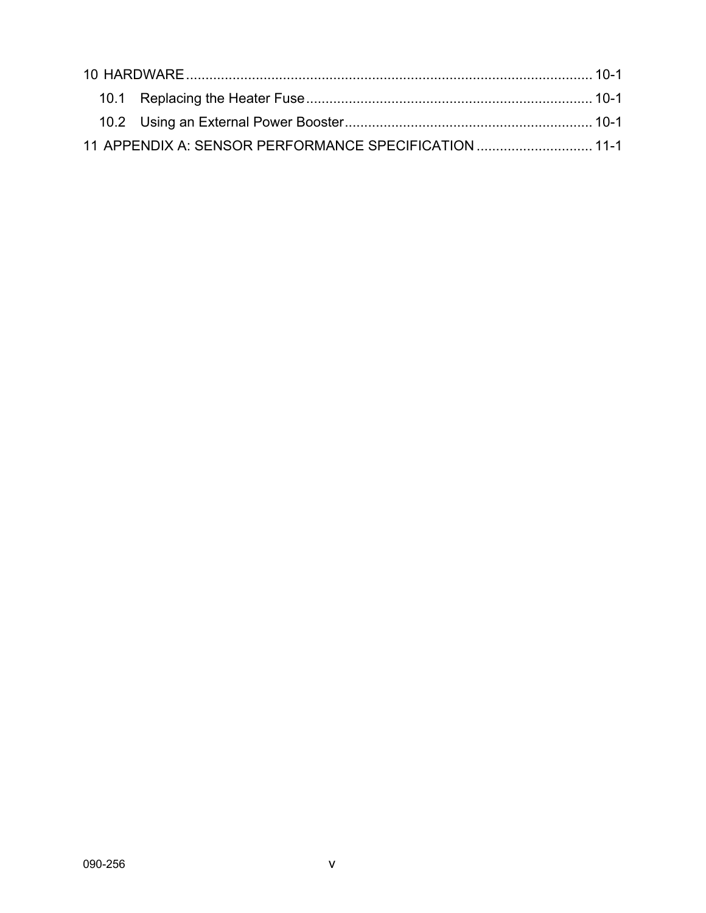| 11 APPENDIX A: SENSOR PERFORMANCE SPECIFICATION  11-1 |  |  |  |  |  |
|-------------------------------------------------------|--|--|--|--|--|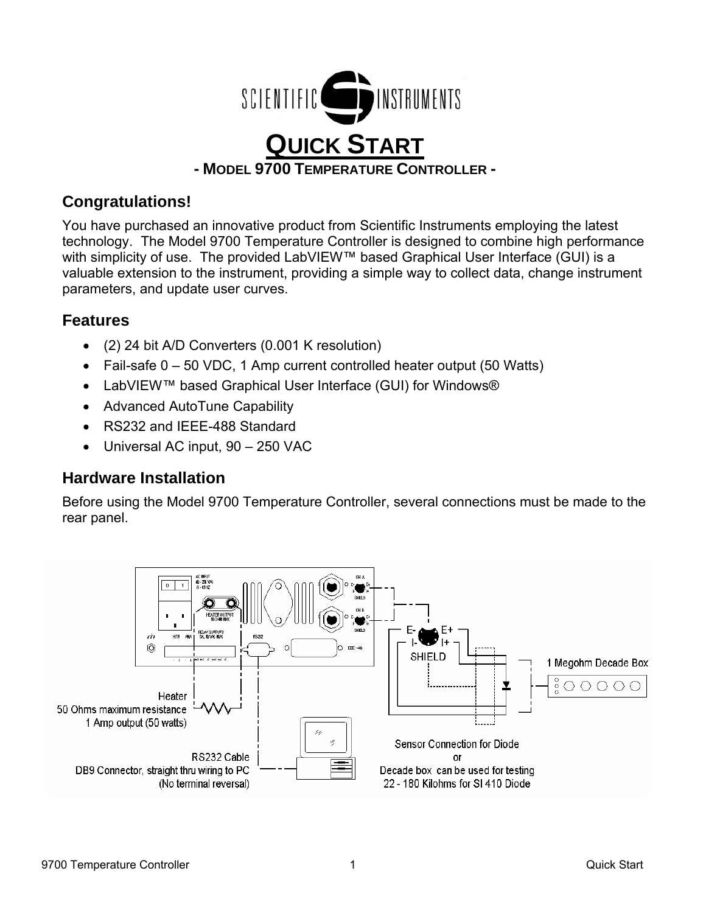

# **Congratulations!**

You have purchased an innovative product from Scientific Instruments employing the latest technology. The Model 9700 Temperature Controller is designed to combine high performance with simplicity of use. The provided LabVIEW™ based Graphical User Interface (GUI) is a valuable extension to the instrument, providing a simple way to collect data, change instrument parameters, and update user curves.

# **Features**

- (2) 24 bit A/D Converters (0.001 K resolution)
- Fail-safe 0 50 VDC, 1 Amp current controlled heater output (50 Watts)
- LabVIEW™ based Graphical User Interface (GUI) for Windows®
- Advanced AutoTune Capability
- RS232 and IEEE-488 Standard
- Universal AC input, 90 250 VAC

# **Hardware Installation**

Before using the Model 9700 Temperature Controller, several connections must be made to the rear panel.

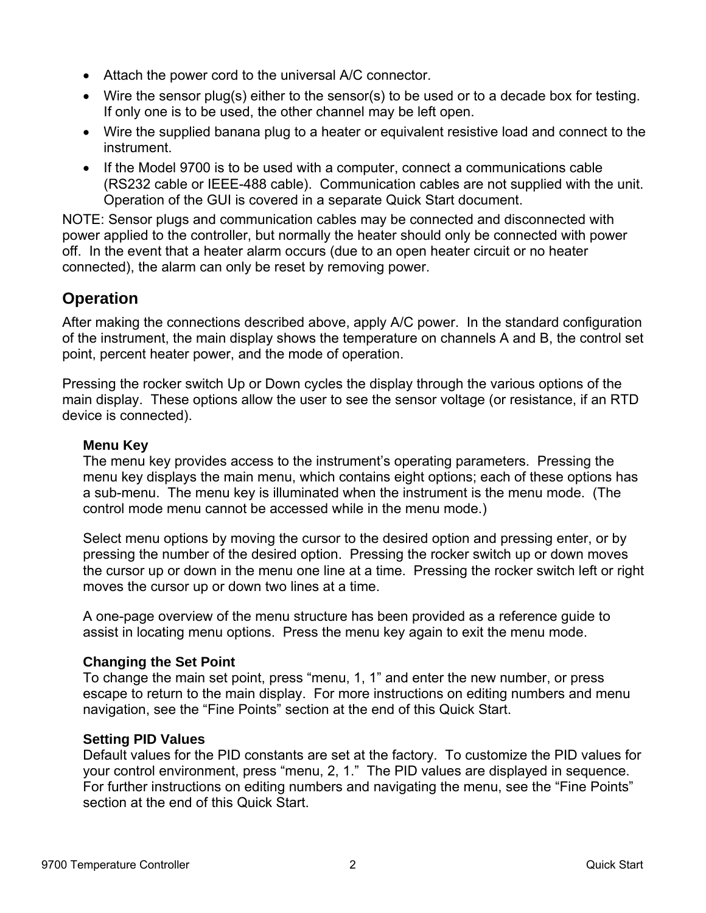- Attach the power cord to the universal A/C connector.
- Wire the sensor plug(s) either to the sensor(s) to be used or to a decade box for testing. If only one is to be used, the other channel may be left open.
- Wire the supplied banana plug to a heater or equivalent resistive load and connect to the instrument.
- If the Model 9700 is to be used with a computer, connect a communications cable (RS232 cable or IEEE-488 cable). Communication cables are not supplied with the unit. Operation of the GUI is covered in a separate Quick Start document.

NOTE: Sensor plugs and communication cables may be connected and disconnected with power applied to the controller, but normally the heater should only be connected with power off. In the event that a heater alarm occurs (due to an open heater circuit or no heater connected), the alarm can only be reset by removing power.

# **Operation**

After making the connections described above, apply A/C power. In the standard configuration of the instrument, the main display shows the temperature on channels A and B, the control set point, percent heater power, and the mode of operation.

Pressing the rocker switch Up or Down cycles the display through the various options of the main display. These options allow the user to see the sensor voltage (or resistance, if an RTD device is connected).

# **Menu Key**

The menu key provides access to the instrument's operating parameters. Pressing the menu key displays the main menu, which contains eight options; each of these options has a sub-menu. The menu key is illuminated when the instrument is the menu mode. (The control mode menu cannot be accessed while in the menu mode.)

Select menu options by moving the cursor to the desired option and pressing enter, or by pressing the number of the desired option. Pressing the rocker switch up or down moves the cursor up or down in the menu one line at a time. Pressing the rocker switch left or right moves the cursor up or down two lines at a time.

A one-page overview of the menu structure has been provided as a reference guide to assist in locating menu options. Press the menu key again to exit the menu mode.

# **Changing the Set Point**

To change the main set point, press "menu, 1, 1" and enter the new number, or press escape to return to the main display. For more instructions on editing numbers and menu navigation, see the "Fine Points" section at the end of this Quick Start.

# **Setting PID Values**

Default values for the PID constants are set at the factory. To customize the PID values for your control environment, press "menu, 2, 1." The PID values are displayed in sequence. For further instructions on editing numbers and navigating the menu, see the "Fine Points" section at the end of this Quick Start.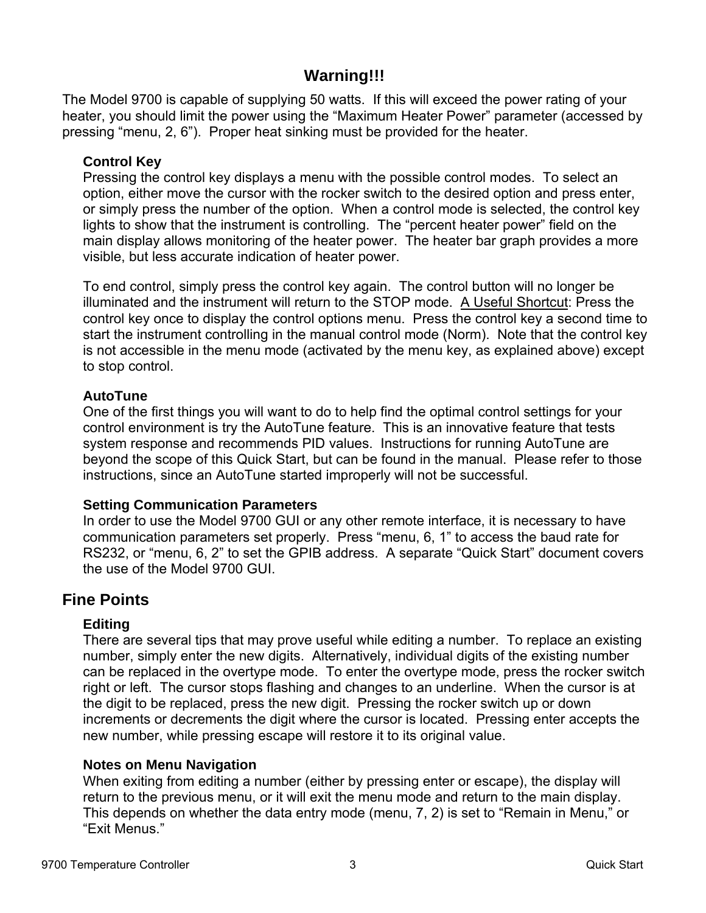# **Warning!!!**

The Model 9700 is capable of supplying 50 watts. If this will exceed the power rating of your heater, you should limit the power using the "Maximum Heater Power" parameter (accessed by pressing "menu, 2, 6"). Proper heat sinking must be provided for the heater.

# **Control Key**

Pressing the control key displays a menu with the possible control modes. To select an option, either move the cursor with the rocker switch to the desired option and press enter, or simply press the number of the option. When a control mode is selected, the control key lights to show that the instrument is controlling. The "percent heater power" field on the main display allows monitoring of the heater power. The heater bar graph provides a more visible, but less accurate indication of heater power.

To end control, simply press the control key again. The control button will no longer be illuminated and the instrument will return to the STOP mode. A Useful Shortcut: Press the control key once to display the control options menu. Press the control key a second time to start the instrument controlling in the manual control mode (Norm). Note that the control key is not accessible in the menu mode (activated by the menu key, as explained above) except to stop control.

# **AutoTune**

One of the first things you will want to do to help find the optimal control settings for your control environment is try the AutoTune feature. This is an innovative feature that tests system response and recommends PID values. Instructions for running AutoTune are beyond the scope of this Quick Start, but can be found in the manual. Please refer to those instructions, since an AutoTune started improperly will not be successful.

# **Setting Communication Parameters**

In order to use the Model 9700 GUI or any other remote interface, it is necessary to have communication parameters set properly. Press "menu, 6, 1" to access the baud rate for RS232, or "menu, 6, 2" to set the GPIB address. A separate "Quick Start" document covers the use of the Model 9700 GUI.

# **Fine Points**

# **Editing**

There are several tips that may prove useful while editing a number. To replace an existing number, simply enter the new digits. Alternatively, individual digits of the existing number can be replaced in the overtype mode. To enter the overtype mode, press the rocker switch right or left. The cursor stops flashing and changes to an underline. When the cursor is at the digit to be replaced, press the new digit. Pressing the rocker switch up or down increments or decrements the digit where the cursor is located. Pressing enter accepts the new number, while pressing escape will restore it to its original value.

# **Notes on Menu Navigation**

When exiting from editing a number (either by pressing enter or escape), the display will return to the previous menu, or it will exit the menu mode and return to the main display. This depends on whether the data entry mode (menu, 7, 2) is set to "Remain in Menu," or "Exit Menus."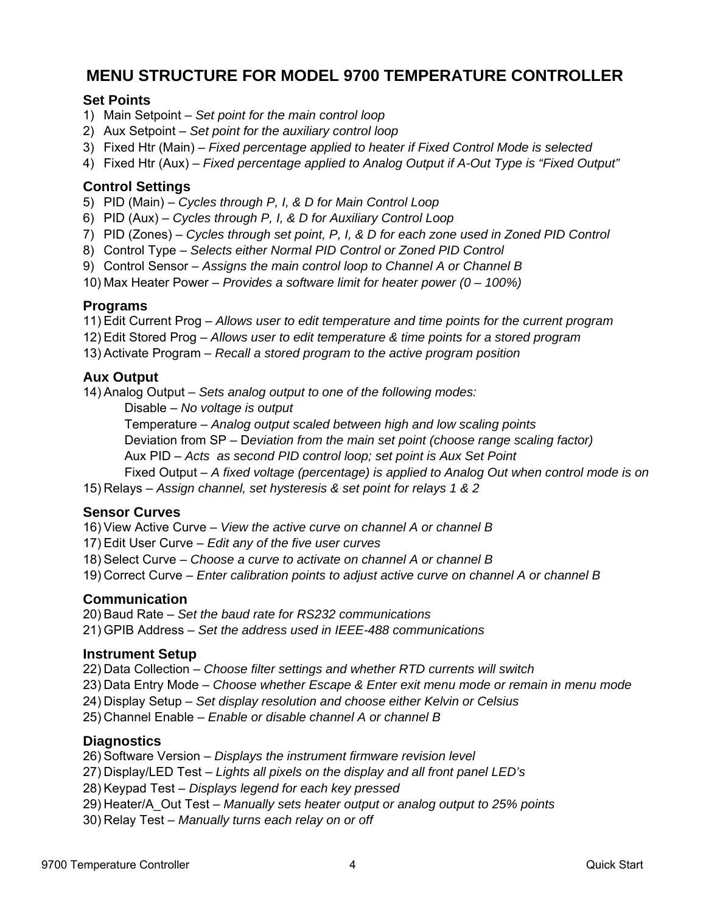# **MENU STRUCTURE FOR MODEL 9700 TEMPERATURE CONTROLLER**

#### **Set Points**

- 1) Main Setpoint *Set point for the main control loop*
- 2) Aux Setpoint *Set point for the auxiliary control loop*
- 3) Fixed Htr (Main) *Fixed percentage applied to heater if Fixed Control Mode is selected*
- 4) Fixed Htr (Aux) *Fixed percentage applied to Analog Output if A-Out Type is "Fixed Output"*

#### **Control Settings**

- 5) PID (Main) *Cycles through P, I, & D for Main Control Loop*
- 6) PID (Aux) *Cycles through P, I, & D for Auxiliary Control Loop*
- 7) PID (Zones) *Cycles through set point, P, I, & D for each zone used in Zoned PID Control*
- 8) Control Type *Selects either Normal PID Control or Zoned PID Control*
- 9) Control Sensor *Assigns the main control loop to Channel A or Channel B*
- 10) Max Heater Power *Provides a software limit for heater power (0 100%)*

#### **Programs**

- 11) Edit Current Prog *Allows user to edit temperature and time points for the current program*
- 12) Edit Stored Prog *Allows user to edit temperature & time points for a stored program*
- 13) Activate Program *Recall a stored program to the active program position*

#### **Aux Output**

14) Analog Output – *Sets analog output to one of the following modes:*

Disable – *No voltage is output*

Temperature – *Analog output scaled between high and low scaling points*

Deviation from SP – D*eviation from the main set point (choose range scaling factor)*

Aux PID – *Acts as second PID control loop; set point is Aux Set Point*

Fixed Output – *A fixed voltage (percentage) is applied to Analog Out when control mode is on*

15) Relays – *Assign channel, set hysteresis & set point for relays 1 & 2*

#### **Sensor Curves**

16) View Active Curve – *View the active curve on channel A or channel B* 

- 17) Edit User Curve *Edit any of the five user curves*
- 18) Select Curve *Choose a curve to activate on channel A or channel B*
- 19) Correct Curve – *Enter calibration points to adjust active curve on channel A or channel B*

# **Communication**

20) Baud Rate – *Set the baud rate for RS232 communications* 

21) GPIB Address – *Set the address used in IEEE-488 communications* 

#### **Instrument Setup**

22) Data Collection – *Choose filter settings and whether RTD currents will switch*

23) Data Entry Mode – *Choose whether Escape & Enter exit menu mode or remain in menu mode* 

24) Display Setup – *Set display resolution and choose either Kelvin or Celsius* 

25) Channel Enable – *Enable or disable channel A or channel B* 

# **Diagnostics**

26) Software Version – *Displays the instrument firmware revision level* 

27) Display/LED Test – *Lights all pixels on the display and all front panel LED's*

28) Keypad Test – *Displays legend for each key pressed* 

29) Heater/A\_Out Test – *Manually sets heater output or analog output to 25% points*

30) Relay Test – *Manually turns each relay on or off*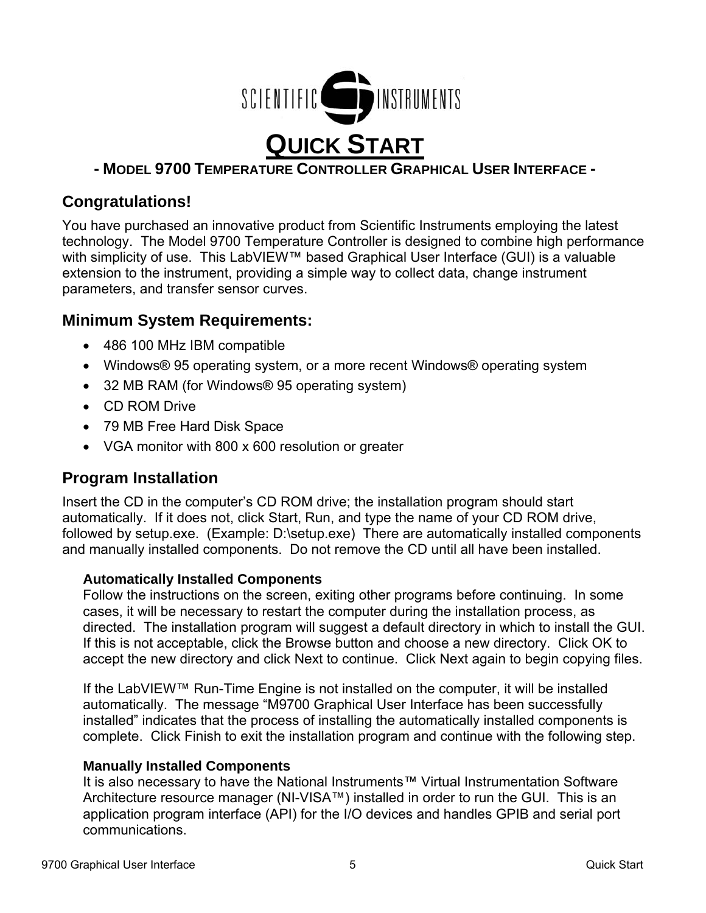

# **- MODEL 9700 TEMPERATURE CONTROLLER GRAPHICAL USER INTERFACE -**

# **Congratulations!**

You have purchased an innovative product from Scientific Instruments employing the latest technology. The Model 9700 Temperature Controller is designed to combine high performance with simplicity of use. This LabVIEW™ based Graphical User Interface (GUI) is a valuable extension to the instrument, providing a simple way to collect data, change instrument parameters, and transfer sensor curves.

# **Minimum System Requirements:**

- 486 100 MHz IBM compatible
- Windows® 95 operating system, or a more recent Windows® operating system
- 32 MB RAM (for Windows® 95 operating system)
- CD ROM Drive
- 79 MB Free Hard Disk Space
- VGA monitor with 800 x 600 resolution or greater

# **Program Installation**

Insert the CD in the computer's CD ROM drive; the installation program should start automatically. If it does not, click Start, Run, and type the name of your CD ROM drive, followed by setup.exe. (Example: D:\setup.exe) There are automatically installed components and manually installed components. Do not remove the CD until all have been installed.

# **Automatically Installed Components**

Follow the instructions on the screen, exiting other programs before continuing. In some cases, it will be necessary to restart the computer during the installation process, as directed. The installation program will suggest a default directory in which to install the GUI. If this is not acceptable, click the Browse button and choose a new directory. Click OK to accept the new directory and click Next to continue. Click Next again to begin copying files.

If the LabVIEW™ Run-Time Engine is not installed on the computer, it will be installed automatically. The message "M9700 Graphical User Interface has been successfully installed" indicates that the process of installing the automatically installed components is complete. Click Finish to exit the installation program and continue with the following step.

# **Manually Installed Components**

It is also necessary to have the National Instruments™ Virtual Instrumentation Software Architecture resource manager (NI-VISA™) installed in order to run the GUI. This is an application program interface (API) for the I/O devices and handles GPIB and serial port communications.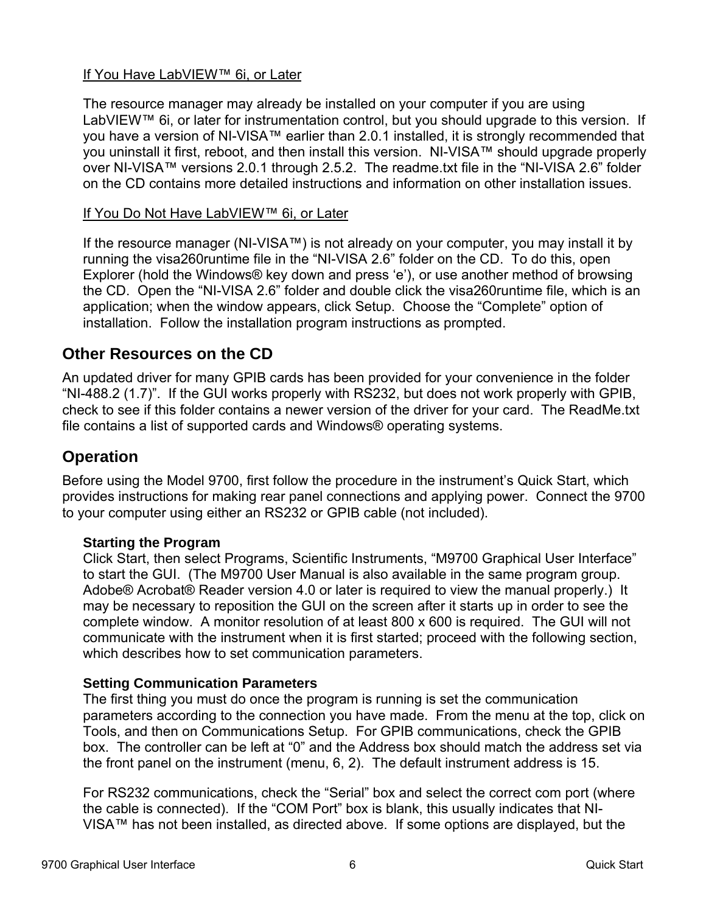# If You Have LabVIEW™ 6i, or Later

The resource manager may already be installed on your computer if you are using LabVIEW™ 6i, or later for instrumentation control, but you should upgrade to this version. If you have a version of NI-VISA™ earlier than 2.0.1 installed, it is strongly recommended that you uninstall it first, reboot, and then install this version. NI-VISA™ should upgrade properly over NI-VISA™ versions 2.0.1 through 2.5.2. The readme.txt file in the "NI-VISA 2.6" folder on the CD contains more detailed instructions and information on other installation issues.

# If You Do Not Have LabVIEW™ 6i, or Later

If the resource manager (NI-VISA™) is not already on your computer, you may install it by running the visa260runtime file in the "NI-VISA 2.6" folder on the CD. To do this, open Explorer (hold the Windows® key down and press 'e'), or use another method of browsing the CD. Open the "NI-VISA 2.6" folder and double click the visa260runtime file, which is an application; when the window appears, click Setup. Choose the "Complete" option of installation. Follow the installation program instructions as prompted.

# **Other Resources on the CD**

An updated driver for many GPIB cards has been provided for your convenience in the folder "NI-488.2 (1.7)". If the GUI works properly with RS232, but does not work properly with GPIB, check to see if this folder contains a newer version of the driver for your card. The ReadMe.txt file contains a list of supported cards and Windows® operating systems.

# **Operation**

Before using the Model 9700, first follow the procedure in the instrument's Quick Start, which provides instructions for making rear panel connections and applying power. Connect the 9700 to your computer using either an RS232 or GPIB cable (not included).

# **Starting the Program**

Click Start, then select Programs, Scientific Instruments, "M9700 Graphical User Interface" to start the GUI. (The M9700 User Manual is also available in the same program group. Adobe® Acrobat® Reader version 4.0 or later is required to view the manual properly.) It may be necessary to reposition the GUI on the screen after it starts up in order to see the complete window. A monitor resolution of at least 800 x 600 is required. The GUI will not communicate with the instrument when it is first started; proceed with the following section, which describes how to set communication parameters.

# **Setting Communication Parameters**

The first thing you must do once the program is running is set the communication parameters according to the connection you have made. From the menu at the top, click on Tools, and then on Communications Setup. For GPIB communications, check the GPIB box. The controller can be left at "0" and the Address box should match the address set via the front panel on the instrument (menu, 6, 2). The default instrument address is 15.

For RS232 communications, check the "Serial" box and select the correct com port (where the cable is connected). If the "COM Port" box is blank, this usually indicates that NI-VISA™ has not been installed, as directed above. If some options are displayed, but the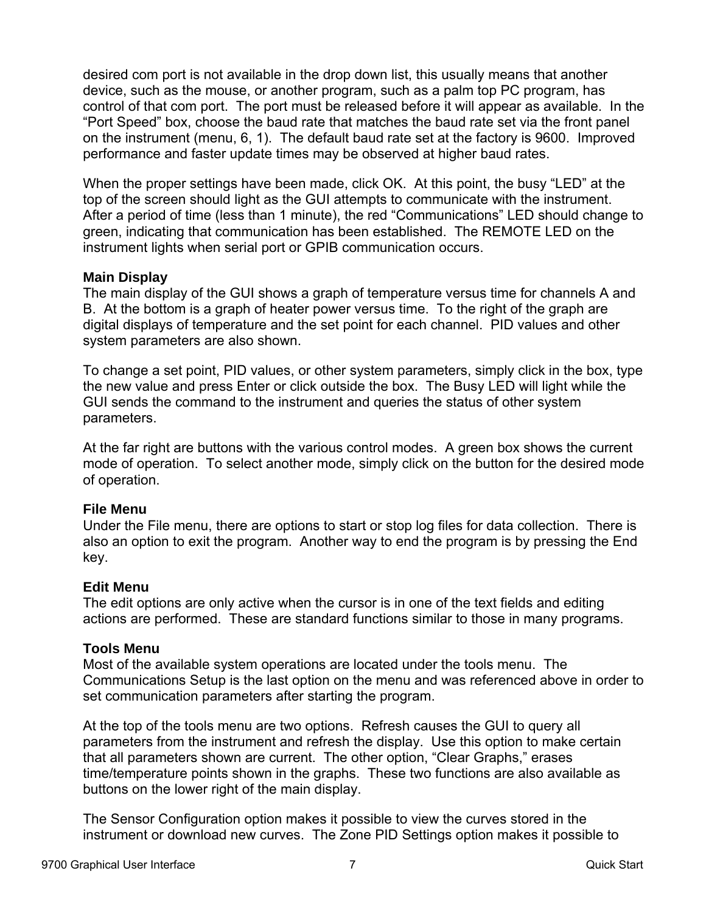desired com port is not available in the drop down list, this usually means that another device, such as the mouse, or another program, such as a palm top PC program, has control of that com port. The port must be released before it will appear as available. In the "Port Speed" box, choose the baud rate that matches the baud rate set via the front panel on the instrument (menu, 6, 1). The default baud rate set at the factory is 9600. Improved performance and faster update times may be observed at higher baud rates.

When the proper settings have been made, click OK. At this point, the busy "LED" at the top of the screen should light as the GUI attempts to communicate with the instrument. After a period of time (less than 1 minute), the red "Communications" LED should change to green, indicating that communication has been established. The REMOTE LED on the instrument lights when serial port or GPIB communication occurs.

#### **Main Display**

The main display of the GUI shows a graph of temperature versus time for channels A and B. At the bottom is a graph of heater power versus time. To the right of the graph are digital displays of temperature and the set point for each channel. PID values and other system parameters are also shown.

To change a set point, PID values, or other system parameters, simply click in the box, type the new value and press Enter or click outside the box. The Busy LED will light while the GUI sends the command to the instrument and queries the status of other system parameters.

At the far right are buttons with the various control modes. A green box shows the current mode of operation. To select another mode, simply click on the button for the desired mode of operation.

# **File Menu**

Under the File menu, there are options to start or stop log files for data collection. There is also an option to exit the program. Another way to end the program is by pressing the End key.

#### **Edit Menu**

The edit options are only active when the cursor is in one of the text fields and editing actions are performed. These are standard functions similar to those in many programs.

#### **Tools Menu**

Most of the available system operations are located under the tools menu. The Communications Setup is the last option on the menu and was referenced above in order to set communication parameters after starting the program.

At the top of the tools menu are two options. Refresh causes the GUI to query all parameters from the instrument and refresh the display. Use this option to make certain that all parameters shown are current. The other option, "Clear Graphs," erases time/temperature points shown in the graphs. These two functions are also available as buttons on the lower right of the main display.

The Sensor Configuration option makes it possible to view the curves stored in the instrument or download new curves. The Zone PID Settings option makes it possible to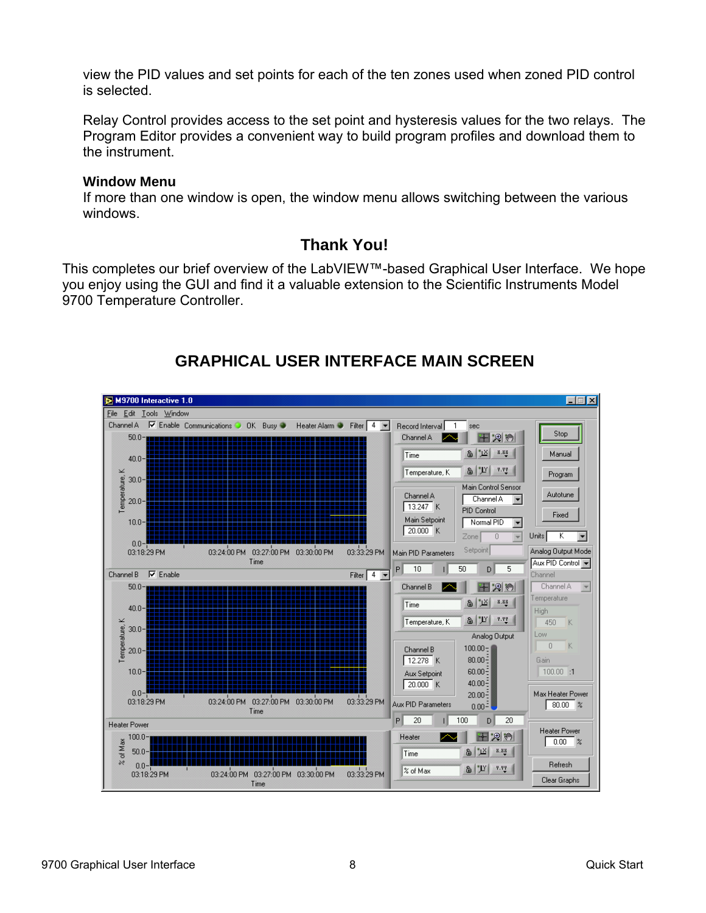view the PID values and set points for each of the ten zones used when zoned PID control is selected.

Relay Control provides access to the set point and hysteresis values for the two relays. The Program Editor provides a convenient way to build program profiles and download them to the instrument.

#### **Window Menu**

If more than one window is open, the window menu allows switching between the various windows.

# **Thank You!**

This completes our brief overview of the LabVIEW™-based Graphical User Interface. We hope you enjoy using the GUI and find it a valuable extension to the Scientific Instruments Model 9700 Temperature Controller.



# **GRAPHICAL USER INTERFACE MAIN SCREEN**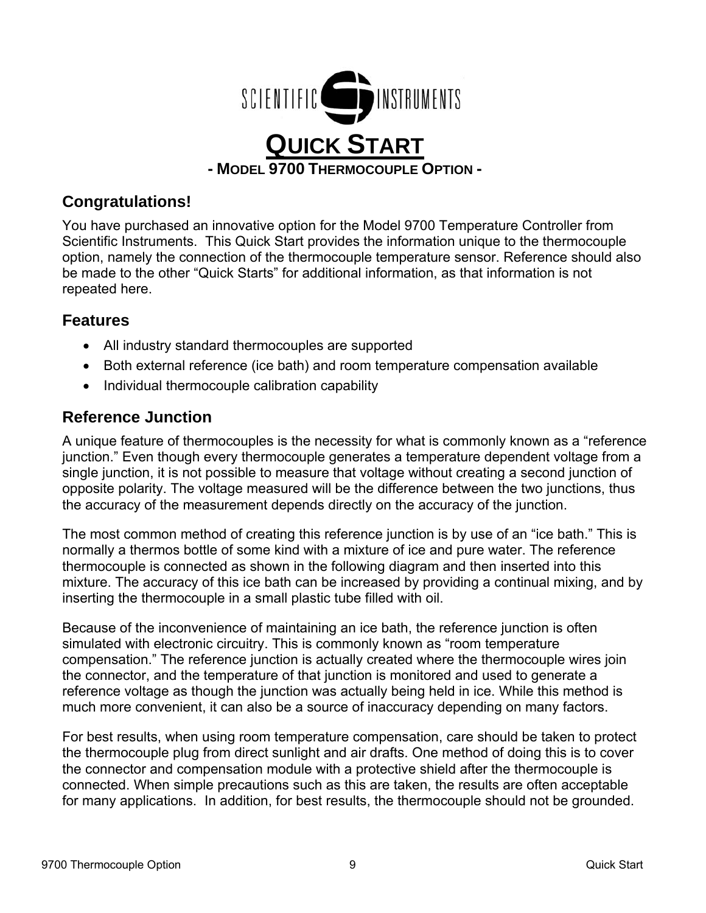

# **Congratulations!**

You have purchased an innovative option for the Model 9700 Temperature Controller from Scientific Instruments. This Quick Start provides the information unique to the thermocouple option, namely the connection of the thermocouple temperature sensor. Reference should also be made to the other "Quick Starts" for additional information, as that information is not repeated here.

# **Features**

- All industry standard thermocouples are supported
- Both external reference (ice bath) and room temperature compensation available
- Individual thermocouple calibration capability

# **Reference Junction**

A unique feature of thermocouples is the necessity for what is commonly known as a "reference junction." Even though every thermocouple generates a temperature dependent voltage from a single junction, it is not possible to measure that voltage without creating a second junction of opposite polarity. The voltage measured will be the difference between the two junctions, thus the accuracy of the measurement depends directly on the accuracy of the junction.

The most common method of creating this reference junction is by use of an "ice bath." This is normally a thermos bottle of some kind with a mixture of ice and pure water. The reference thermocouple is connected as shown in the following diagram and then inserted into this mixture. The accuracy of this ice bath can be increased by providing a continual mixing, and by inserting the thermocouple in a small plastic tube filled with oil.

Because of the inconvenience of maintaining an ice bath, the reference junction is often simulated with electronic circuitry. This is commonly known as "room temperature compensation." The reference junction is actually created where the thermocouple wires join the connector, and the temperature of that junction is monitored and used to generate a reference voltage as though the junction was actually being held in ice. While this method is much more convenient, it can also be a source of inaccuracy depending on many factors.

For best results, when using room temperature compensation, care should be taken to protect the thermocouple plug from direct sunlight and air drafts. One method of doing this is to cover the connector and compensation module with a protective shield after the thermocouple is connected. When simple precautions such as this are taken, the results are often acceptable for many applications. In addition, for best results, the thermocouple should not be grounded.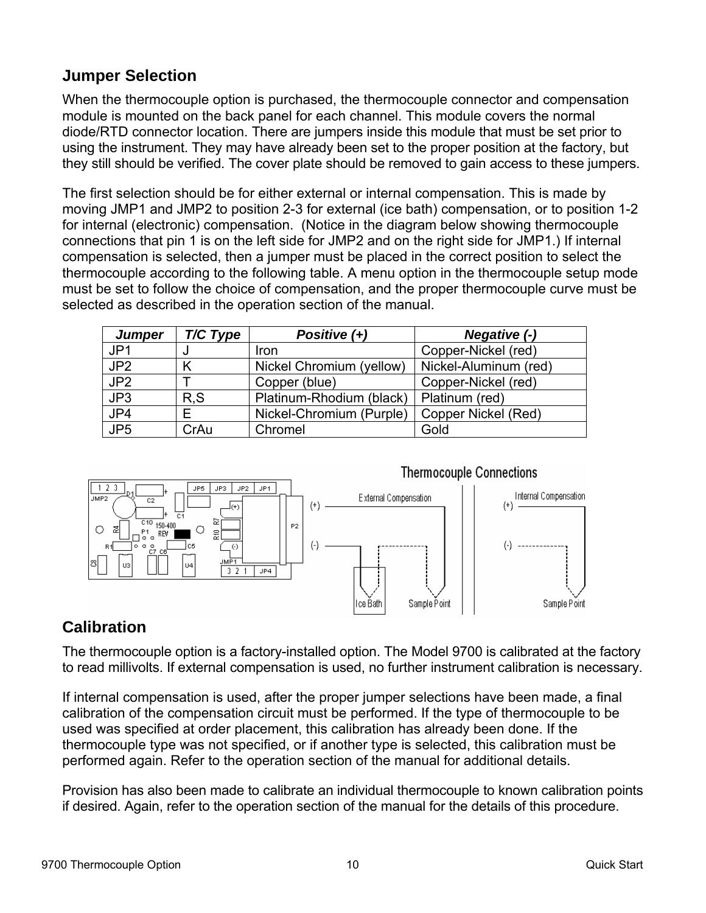# **Jumper Selection**

When the thermocouple option is purchased, the thermocouple connector and compensation module is mounted on the back panel for each channel. This module covers the normal diode/RTD connector location. There are jumpers inside this module that must be set prior to using the instrument. They may have already been set to the proper position at the factory, but they still should be verified. The cover plate should be removed to gain access to these jumpers.

The first selection should be for either external or internal compensation. This is made by moving JMP1 and JMP2 to position 2-3 for external (ice bath) compensation, or to position 1-2 for internal (electronic) compensation. (Notice in the diagram below showing thermocouple connections that pin 1 is on the left side for JMP2 and on the right side for JMP1.) If internal compensation is selected, then a jumper must be placed in the correct position to select the thermocouple according to the following table. A menu option in the thermocouple setup mode must be set to follow the choice of compensation, and the proper thermocouple curve must be selected as described in the operation section of the manual.

| <b>Jumper</b>   | T/C Type | Positive (+)             | Negative (-)          |
|-----------------|----------|--------------------------|-----------------------|
| JP1             | u        | <b>Iron</b>              | Copper-Nickel (red)   |
| JP <sub>2</sub> |          | Nickel Chromium (yellow) | Nickel-Aluminum (red) |
| JP <sub>2</sub> |          | Copper (blue)            | Copper-Nickel (red)   |
| JP3             | R, S     | Platinum-Rhodium (black) | Platinum (red)        |
| JP4             |          | Nickel-Chromium (Purple) | Copper Nickel (Red)   |
| JP <sub>5</sub> | CrAu     | Chromel                  | Gold                  |



# **Calibration**

The thermocouple option is a factory-installed option. The Model 9700 is calibrated at the factory to read millivolts. If external compensation is used, no further instrument calibration is necessary.

If internal compensation is used, after the proper jumper selections have been made, a final calibration of the compensation circuit must be performed. If the type of thermocouple to be used was specified at order placement, this calibration has already been done. If the thermocouple type was not specified, or if another type is selected, this calibration must be performed again. Refer to the operation section of the manual for additional details.

Provision has also been made to calibrate an individual thermocouple to known calibration points if desired. Again, refer to the operation section of the manual for the details of this procedure.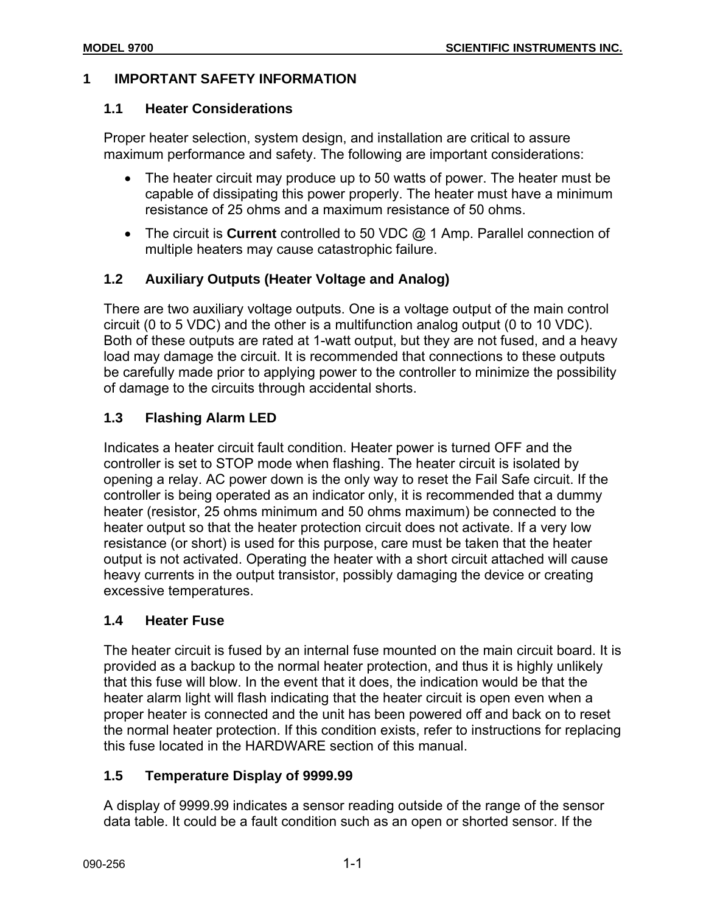#### **1 IMPORTANT SAFETY INFORMATION**

#### **1.1 Heater Considerations**

Proper heater selection, system design, and installation are critical to assure maximum performance and safety. The following are important considerations:

- The heater circuit may produce up to 50 watts of power. The heater must be capable of dissipating this power properly. The heater must have a minimum resistance of 25 ohms and a maximum resistance of 50 ohms.
- The circuit is **Current** controlled to 50 VDC @ 1 Amp. Parallel connection of multiple heaters may cause catastrophic failure.

# **1.2 Auxiliary Outputs (Heater Voltage and Analog)**

There are two auxiliary voltage outputs. One is a voltage output of the main control circuit (0 to 5 VDC) and the other is a multifunction analog output (0 to 10 VDC). Both of these outputs are rated at 1-watt output, but they are not fused, and a heavy load may damage the circuit. It is recommended that connections to these outputs be carefully made prior to applying power to the controller to minimize the possibility of damage to the circuits through accidental shorts.

# **1.3 Flashing Alarm LED**

Indicates a heater circuit fault condition. Heater power is turned OFF and the controller is set to STOP mode when flashing. The heater circuit is isolated by opening a relay. AC power down is the only way to reset the Fail Safe circuit. If the controller is being operated as an indicator only, it is recommended that a dummy heater (resistor, 25 ohms minimum and 50 ohms maximum) be connected to the heater output so that the heater protection circuit does not activate. If a very low resistance (or short) is used for this purpose, care must be taken that the heater output is not activated. Operating the heater with a short circuit attached will cause heavy currents in the output transistor, possibly damaging the device or creating excessive temperatures.

# **1.4 Heater Fuse**

The heater circuit is fused by an internal fuse mounted on the main circuit board. It is provided as a backup to the normal heater protection, and thus it is highly unlikely that this fuse will blow. In the event that it does, the indication would be that the heater alarm light will flash indicating that the heater circuit is open even when a proper heater is connected and the unit has been powered off and back on to reset the normal heater protection. If this condition exists, refer to instructions for replacing this fuse located in the HARDWARE section of this manual.

# **1.5 Temperature Display of 9999.99**

A display of 9999.99 indicates a sensor reading outside of the range of the sensor data table. It could be a fault condition such as an open or shorted sensor. If the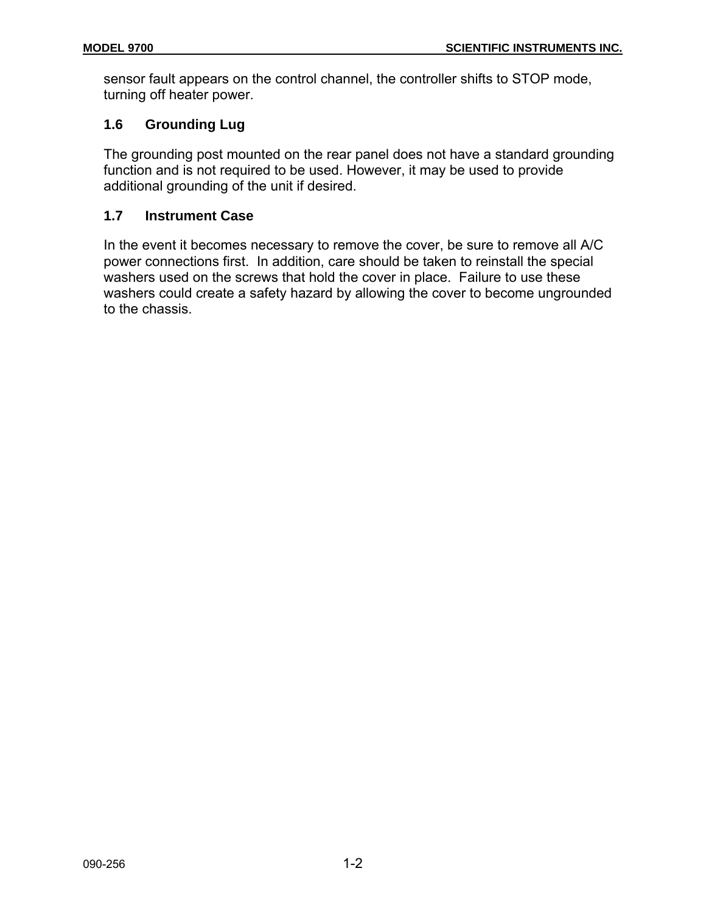sensor fault appears on the control channel, the controller shifts to STOP mode, turning off heater power.

# **1.6 Grounding Lug**

The grounding post mounted on the rear panel does not have a standard grounding function and is not required to be used. However, it may be used to provide additional grounding of the unit if desired.

# **1.7 Instrument Case**

In the event it becomes necessary to remove the cover, be sure to remove all A/C power connections first. In addition, care should be taken to reinstall the special washers used on the screws that hold the cover in place. Failure to use these washers could create a safety hazard by allowing the cover to become ungrounded to the chassis.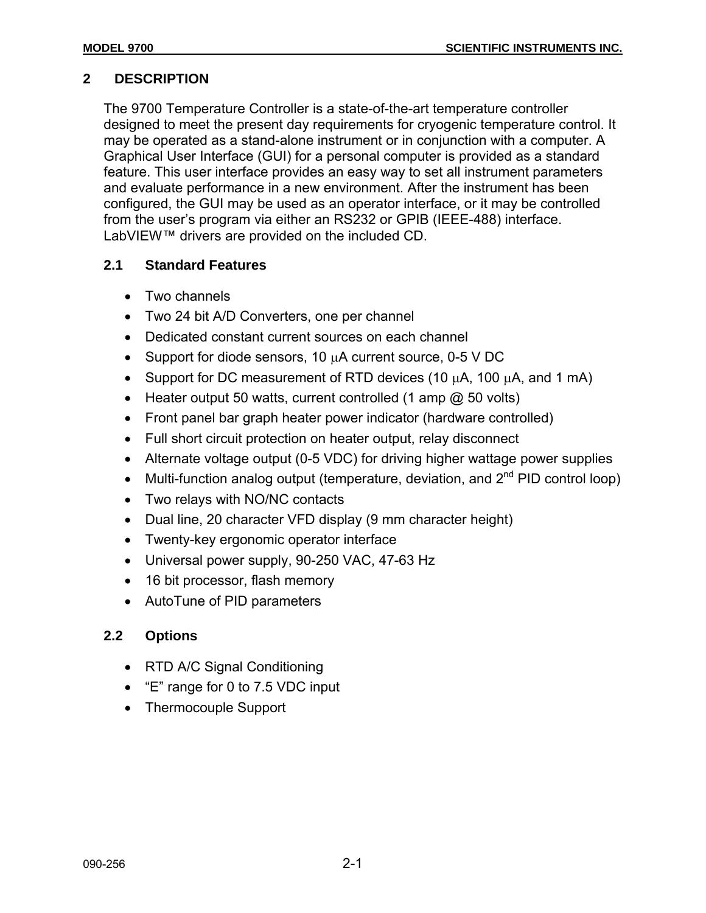# **2 DESCRIPTION**

The 9700 Temperature Controller is a state-of-the-art temperature controller designed to meet the present day requirements for cryogenic temperature control. It may be operated as a stand-alone instrument or in conjunction with a computer. A Graphical User Interface (GUI) for a personal computer is provided as a standard feature. This user interface provides an easy way to set all instrument parameters and evaluate performance in a new environment. After the instrument has been configured, the GUI may be used as an operator interface, or it may be controlled from the user's program via either an RS232 or GPIB (IEEE-488) interface. LabVIEW™ drivers are provided on the included CD.

# **2.1 Standard Features**

- Two channels
- Two 24 bit A/D Converters, one per channel
- Dedicated constant current sources on each channel
- Support for diode sensors, 10 µA current source, 0-5 V DC
- Support for DC measurement of RTD devices (10  $\mu$ A, 100  $\mu$ A, and 1 mA)
- Heater output 50 watts, current controlled (1 amp @ 50 volts)
- Front panel bar graph heater power indicator (hardware controlled)
- Full short circuit protection on heater output, relay disconnect
- Alternate voltage output (0-5 VDC) for driving higher wattage power supplies
- Multi-function analog output (temperature, deviation, and  $2^{nd}$  PID control loop)
- Two relays with NO/NC contacts
- Dual line, 20 character VFD display (9 mm character height)
- Twenty-key ergonomic operator interface
- Universal power supply, 90-250 VAC, 47-63 Hz
- 16 bit processor, flash memory
- AutoTune of PID parameters

# **2.2 Options**

- RTD A/C Signal Conditioning
- "E" range for 0 to 7.5 VDC input
- Thermocouple Support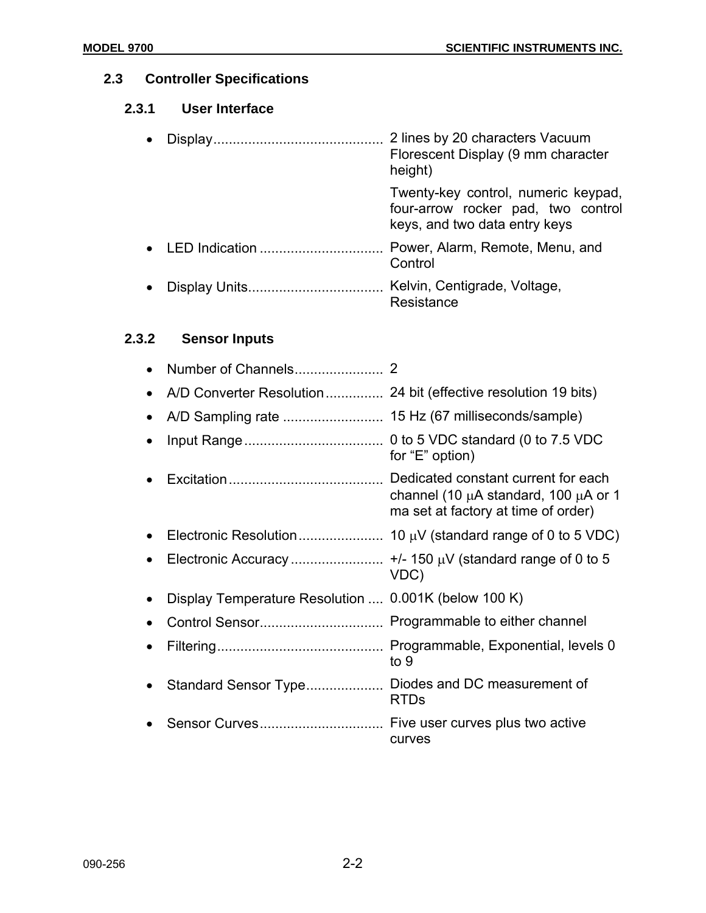# **2.3 Controller Specifications**

# **2.3.1 User Interface**

|  | 2 lines by 20 characters Vacuum<br>Florescent Display (9 mm character<br>height)                           |
|--|------------------------------------------------------------------------------------------------------------|
|  | Twenty-key control, numeric keypad,<br>four-arrow rocker pad, two control<br>keys, and two data entry keys |
|  | Power, Alarm, Remote, Menu, and<br>Control                                                                 |
|  | Kelvin, Centigrade, Voltage,<br>Resistance                                                                 |

# **2.3.2 Sensor Inputs**

|           | Number of Channels                                   |                                                                                       |
|-----------|------------------------------------------------------|---------------------------------------------------------------------------------------|
|           |                                                      |                                                                                       |
|           |                                                      | 15 Hz (67 milliseconds/sample)                                                        |
|           |                                                      | for "E" option)                                                                       |
|           |                                                      | channel (10 $\mu$ A standard, 100 $\mu$ A or 1<br>ma set at factory at time of order) |
|           |                                                      |                                                                                       |
| $\bullet$ |                                                      | VDC)                                                                                  |
|           | Display Temperature Resolution  0.001K (below 100 K) |                                                                                       |
|           |                                                      |                                                                                       |
|           |                                                      | to 9                                                                                  |
|           |                                                      | <b>RTDs</b>                                                                           |
|           |                                                      | curves                                                                                |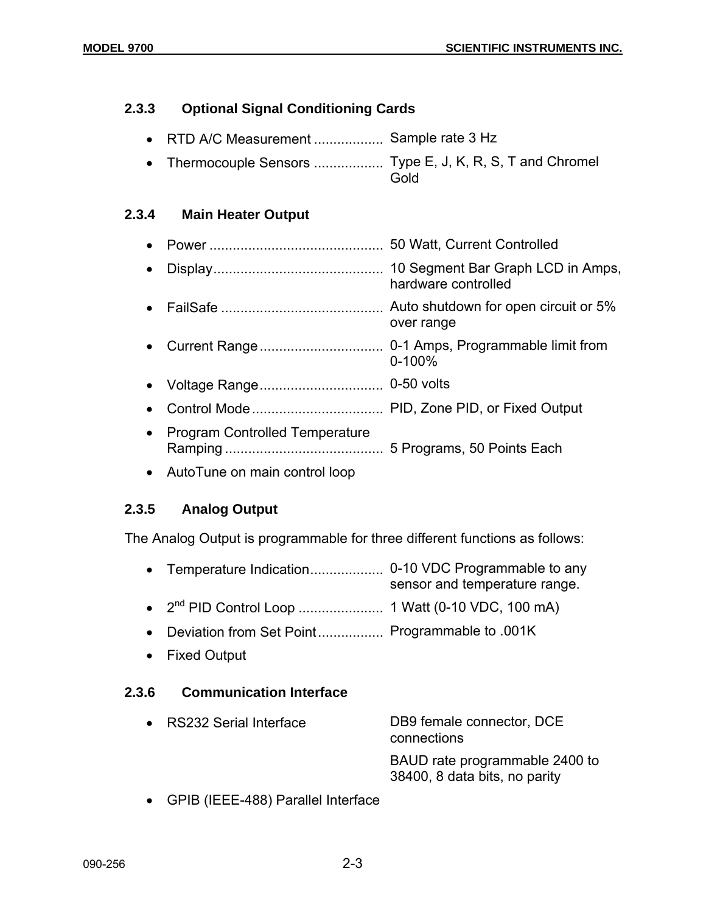# **2.3.3 Optional Signal Conditioning Cards**

- RTD A/C Measurement .................. Sample rate 3 Hz
- Thermocouple Sensors .................... Type E, J, K, R, S, T and Chromel Gold

# **2.3.4 Main Heater Output**

- Power ............................................. 50 Watt, Current Controlled • Display............................................ 10 Segment Bar Graph LCD in Amps, hardware controlled • FailSafe .......................................... Auto shutdown for open circuit or 5% over range • Current Range................................ 0-1 Amps, Programmable limit from 0-100% • Voltage Range................................ 0-50 volts • Control Mode.................................. PID, Zone PID, or Fixed Output • Program Controlled Temperature
- Ramping ......................................... 5 Programs, 50 Points Each
- AutoTune on main control loop

# **2.3.5 Analog Output**

The Analog Output is programmable for three different functions as follows:

- Temperature Indication................... 0-10 VDC Programmable to any sensor and temperature range.
- 2nd PID Control Loop ...................... 1 Watt (0-10 VDC, 100 mA)
- Deviation from Set Point................. Programmable to .001K
- Fixed Output

# **2.3.6 Communication Interface**

| • RS232 Serial Interface | DB9 female connector, DCE<br>connections                        |
|--------------------------|-----------------------------------------------------------------|
|                          | BAUD rate programmable 2400 to<br>38400, 8 data bits, no parity |

• GPIB (IEEE-488) Parallel Interface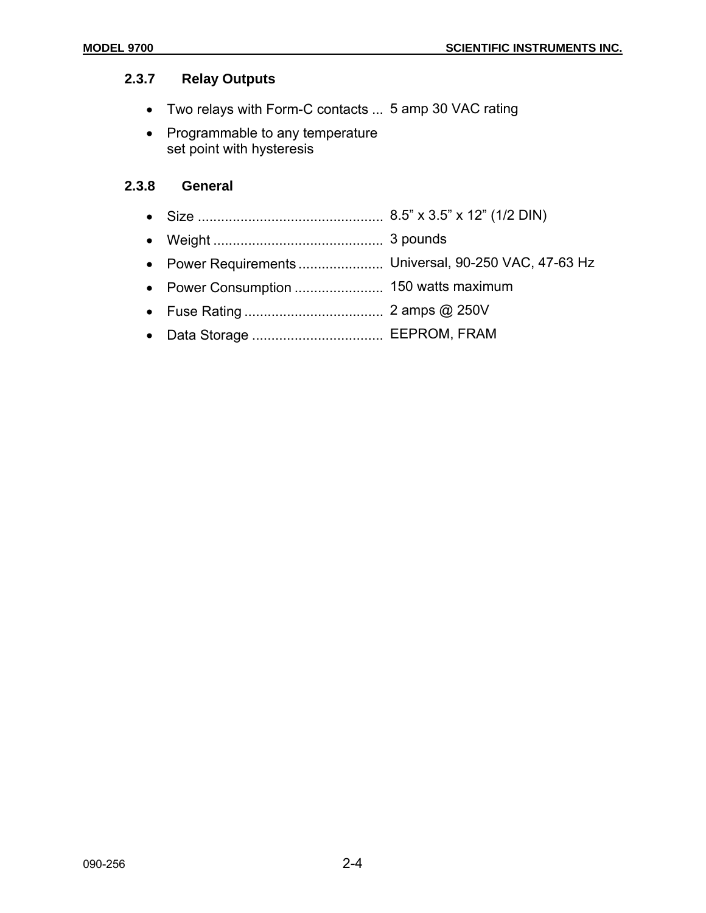# **2.3.7 Relay Outputs**

- Two relays with Form-C contacts ... 5 amp 30 VAC rating
- Programmable to any temperature set point with hysteresis

#### **2.3.8 General**

- Size ................................................ 8.5" x 3.5" x 12" (1/2 DIN)
- Weight ............................................ 3 pounds
- Power Requirements ...................... Universal, 90-250 VAC, 47-63 Hz
- Power Consumption ....................... 150 watts maximum
- Fuse Rating .................................... 2 amps @ 250V
- Data Storage .................................. EEPROM, FRAM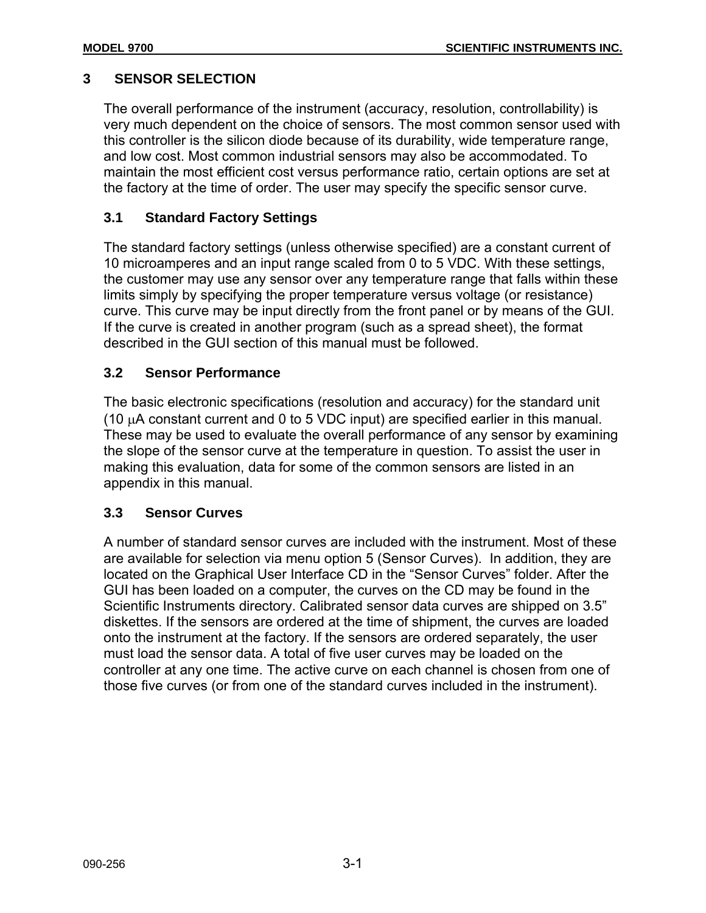# **3 SENSOR SELECTION**

The overall performance of the instrument (accuracy, resolution, controllability) is very much dependent on the choice of sensors. The most common sensor used with this controller is the silicon diode because of its durability, wide temperature range, and low cost. Most common industrial sensors may also be accommodated. To maintain the most efficient cost versus performance ratio, certain options are set at the factory at the time of order. The user may specify the specific sensor curve.

# **3.1 Standard Factory Settings**

The standard factory settings (unless otherwise specified) are a constant current of 10 microamperes and an input range scaled from 0 to 5 VDC. With these settings, the customer may use any sensor over any temperature range that falls within these limits simply by specifying the proper temperature versus voltage (or resistance) curve. This curve may be input directly from the front panel or by means of the GUI. If the curve is created in another program (such as a spread sheet), the format described in the GUI section of this manual must be followed.

# **3.2 Sensor Performance**

The basic electronic specifications (resolution and accuracy) for the standard unit (10 µA constant current and 0 to 5 VDC input) are specified earlier in this manual. These may be used to evaluate the overall performance of any sensor by examining the slope of the sensor curve at the temperature in question. To assist the user in making this evaluation, data for some of the common sensors are listed in an appendix in this manual.

# **3.3 Sensor Curves**

A number of standard sensor curves are included with the instrument. Most of these are available for selection via menu option 5 (Sensor Curves). In addition, they are located on the Graphical User Interface CD in the "Sensor Curves" folder. After the GUI has been loaded on a computer, the curves on the CD may be found in the Scientific Instruments directory. Calibrated sensor data curves are shipped on 3.5" diskettes. If the sensors are ordered at the time of shipment, the curves are loaded onto the instrument at the factory. If the sensors are ordered separately, the user must load the sensor data. A total of five user curves may be loaded on the controller at any one time. The active curve on each channel is chosen from one of those five curves (or from one of the standard curves included in the instrument).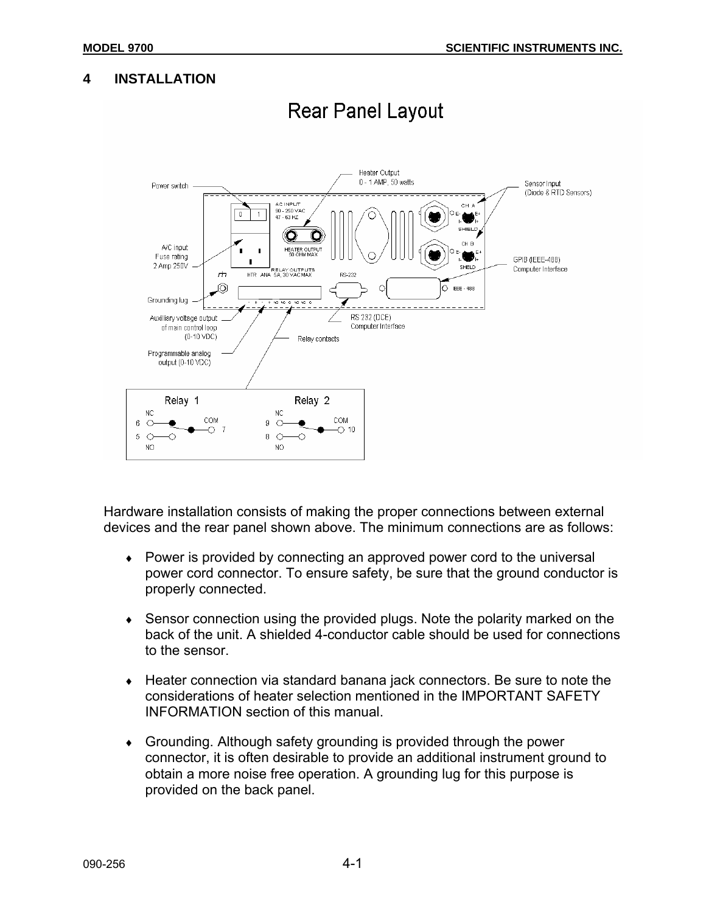# **4 INSTALLATION**



# **Rear Panel Layout**

Hardware installation consists of making the proper connections between external devices and the rear panel shown above. The minimum connections are as follows:

- ♦ Power is provided by connecting an approved power cord to the universal power cord connector. To ensure safety, be sure that the ground conductor is properly connected.
- Sensor connection using the provided plugs. Note the polarity marked on the back of the unit. A shielded 4-conductor cable should be used for connections to the sensor.
- ♦ Heater connection via standard banana jack connectors. Be sure to note the considerations of heater selection mentioned in the IMPORTANT SAFETY INFORMATION section of this manual.
- ♦ Grounding. Although safety grounding is provided through the power connector, it is often desirable to provide an additional instrument ground to obtain a more noise free operation. A grounding lug for this purpose is provided on the back panel.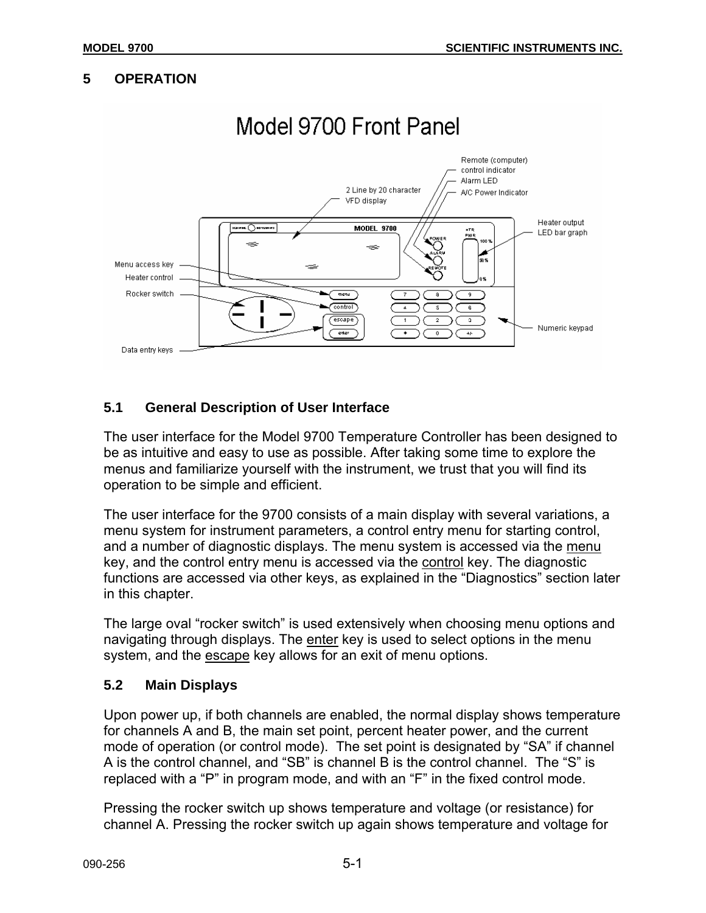# **5 OPERATION**



# **5.1 General Description of User Interface**

The user interface for the Model 9700 Temperature Controller has been designed to be as intuitive and easy to use as possible. After taking some time to explore the menus and familiarize yourself with the instrument, we trust that you will find its operation to be simple and efficient.

The user interface for the 9700 consists of a main display with several variations, a menu system for instrument parameters, a control entry menu for starting control, and a number of diagnostic displays. The menu system is accessed via the menu key, and the control entry menu is accessed via the control key. The diagnostic functions are accessed via other keys, as explained in the "Diagnostics" section later in this chapter.

The large oval "rocker switch" is used extensively when choosing menu options and navigating through displays. The enter key is used to select options in the menu system, and the escape key allows for an exit of menu options.

# **5.2 Main Displays**

Upon power up, if both channels are enabled, the normal display shows temperature for channels A and B, the main set point, percent heater power, and the current mode of operation (or control mode). The set point is designated by "SA" if channel A is the control channel, and "SB" is channel B is the control channel. The "S" is replaced with a "P" in program mode, and with an "F" in the fixed control mode.

Pressing the rocker switch up shows temperature and voltage (or resistance) for channel A. Pressing the rocker switch up again shows temperature and voltage for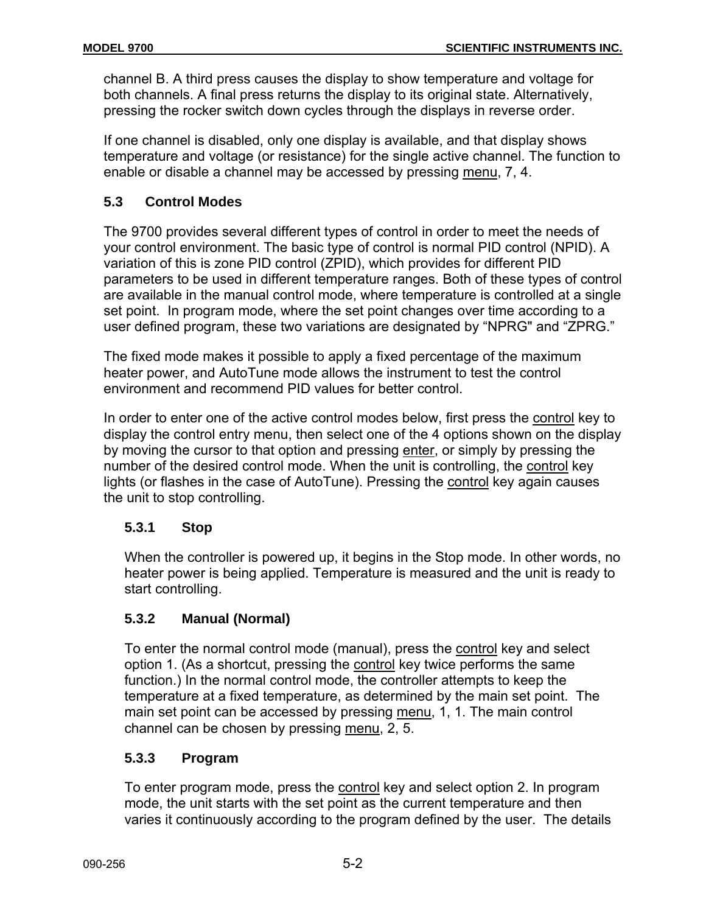channel B. A third press causes the display to show temperature and voltage for both channels. A final press returns the display to its original state. Alternatively, pressing the rocker switch down cycles through the displays in reverse order.

If one channel is disabled, only one display is available, and that display shows temperature and voltage (or resistance) for the single active channel. The function to enable or disable a channel may be accessed by pressing menu, 7, 4.

# **5.3 Control Modes**

The 9700 provides several different types of control in order to meet the needs of your control environment. The basic type of control is normal PID control (NPID). A variation of this is zone PID control (ZPID), which provides for different PID parameters to be used in different temperature ranges. Both of these types of control are available in the manual control mode, where temperature is controlled at a single set point. In program mode, where the set point changes over time according to a user defined program, these two variations are designated by "NPRG" and "ZPRG."

The fixed mode makes it possible to apply a fixed percentage of the maximum heater power, and AutoTune mode allows the instrument to test the control environment and recommend PID values for better control.

In order to enter one of the active control modes below, first press the control key to display the control entry menu, then select one of the 4 options shown on the display by moving the cursor to that option and pressing enter, or simply by pressing the number of the desired control mode. When the unit is controlling, the control key lights (or flashes in the case of AutoTune). Pressing the control key again causes the unit to stop controlling.

# **5.3.1 Stop**

When the controller is powered up, it begins in the Stop mode. In other words, no heater power is being applied. Temperature is measured and the unit is ready to start controlling.

# **5.3.2 Manual (Normal)**

To enter the normal control mode (manual), press the control key and select option 1. (As a shortcut, pressing the control key twice performs the same function.) In the normal control mode, the controller attempts to keep the temperature at a fixed temperature, as determined by the main set point. The main set point can be accessed by pressing menu, 1, 1. The main control channel can be chosen by pressing menu, 2, 5.

# **5.3.3 Program**

To enter program mode, press the control key and select option 2. In program mode, the unit starts with the set point as the current temperature and then varies it continuously according to the program defined by the user. The details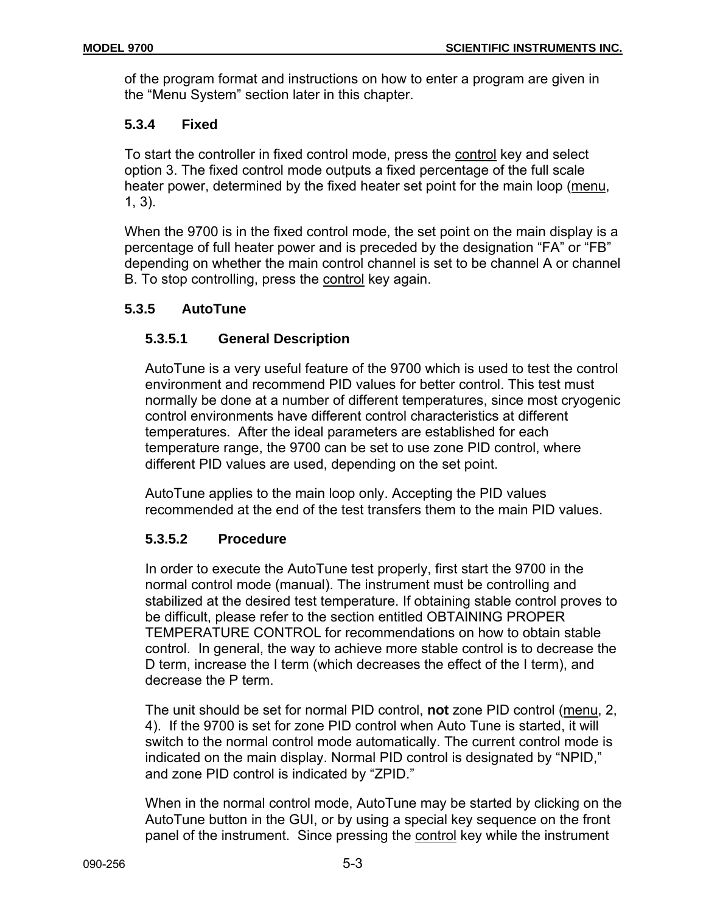of the program format and instructions on how to enter a program are given in the "Menu System" section later in this chapter.

# **5.3.4 Fixed**

To start the controller in fixed control mode, press the control key and select option 3. The fixed control mode outputs a fixed percentage of the full scale heater power, determined by the fixed heater set point for the main loop (menu, 1, 3).

When the 9700 is in the fixed control mode, the set point on the main display is a percentage of full heater power and is preceded by the designation "FA" or "FB" depending on whether the main control channel is set to be channel A or channel B. To stop controlling, press the control key again.

# **5.3.5 AutoTune**

# **5.3.5.1 General Description**

AutoTune is a very useful feature of the 9700 which is used to test the control environment and recommend PID values for better control. This test must normally be done at a number of different temperatures, since most cryogenic control environments have different control characteristics at different temperatures. After the ideal parameters are established for each temperature range, the 9700 can be set to use zone PID control, where different PID values are used, depending on the set point.

AutoTune applies to the main loop only. Accepting the PID values recommended at the end of the test transfers them to the main PID values.

# **5.3.5.2 Procedure**

In order to execute the AutoTune test properly, first start the 9700 in the normal control mode (manual). The instrument must be controlling and stabilized at the desired test temperature. If obtaining stable control proves to be difficult, please refer to the section entitled OBTAINING PROPER TEMPERATURE CONTROL for recommendations on how to obtain stable control. In general, the way to achieve more stable control is to decrease the D term, increase the I term (which decreases the effect of the I term), and decrease the P term.

The unit should be set for normal PID control, **not** zone PID control (menu, 2, 4). If the 9700 is set for zone PID control when Auto Tune is started, it will switch to the normal control mode automatically. The current control mode is indicated on the main display. Normal PID control is designated by "NPID," and zone PID control is indicated by "ZPID."

When in the normal control mode, AutoTune may be started by clicking on the AutoTune button in the GUI, or by using a special key sequence on the front panel of the instrument. Since pressing the control key while the instrument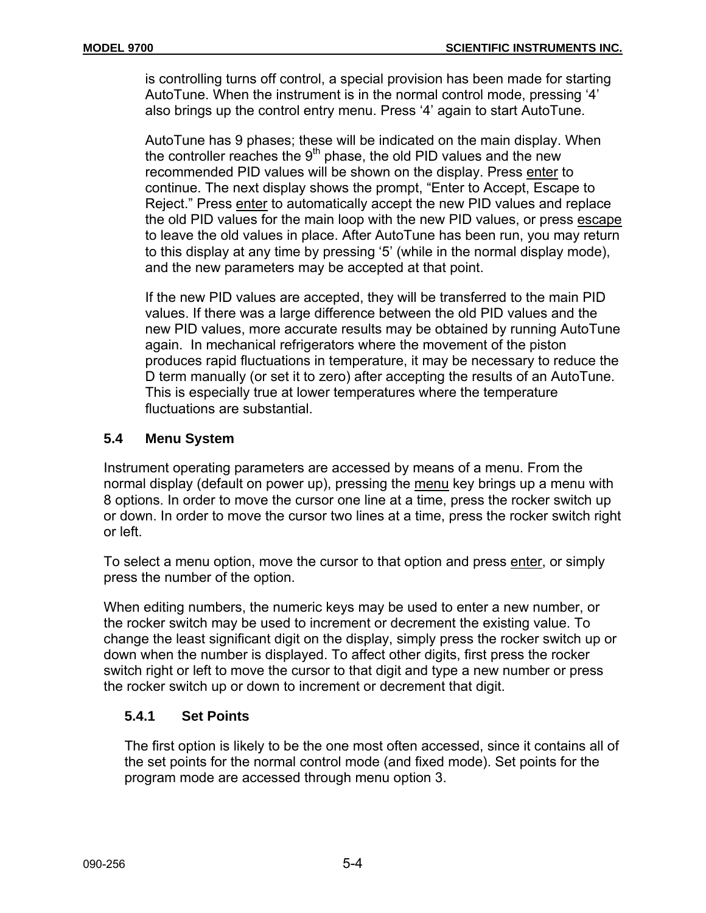is controlling turns off control, a special provision has been made for starting AutoTune. When the instrument is in the normal control mode, pressing '4' also brings up the control entry menu. Press '4' again to start AutoTune.

AutoTune has 9 phases; these will be indicated on the main display. When the controller reaches the  $9<sup>th</sup>$  phase, the old PID values and the new recommended PID values will be shown on the display. Press enter to continue. The next display shows the prompt, "Enter to Accept, Escape to Reject." Press enter to automatically accept the new PID values and replace the old PID values for the main loop with the new PID values, or press escape to leave the old values in place. After AutoTune has been run, you may return to this display at any time by pressing '5' (while in the normal display mode), and the new parameters may be accepted at that point.

If the new PID values are accepted, they will be transferred to the main PID values. If there was a large difference between the old PID values and the new PID values, more accurate results may be obtained by running AutoTune again. In mechanical refrigerators where the movement of the piston produces rapid fluctuations in temperature, it may be necessary to reduce the D term manually (or set it to zero) after accepting the results of an AutoTune. This is especially true at lower temperatures where the temperature fluctuations are substantial.

# **5.4 Menu System**

Instrument operating parameters are accessed by means of a menu. From the normal display (default on power up), pressing the menu key brings up a menu with 8 options. In order to move the cursor one line at a time, press the rocker switch up or down. In order to move the cursor two lines at a time, press the rocker switch right or left.

To select a menu option, move the cursor to that option and press enter, or simply press the number of the option.

When editing numbers, the numeric keys may be used to enter a new number, or the rocker switch may be used to increment or decrement the existing value. To change the least significant digit on the display, simply press the rocker switch up or down when the number is displayed. To affect other digits, first press the rocker switch right or left to move the cursor to that digit and type a new number or press the rocker switch up or down to increment or decrement that digit.

# **5.4.1 Set Points**

The first option is likely to be the one most often accessed, since it contains all of the set points for the normal control mode (and fixed mode). Set points for the program mode are accessed through menu option 3.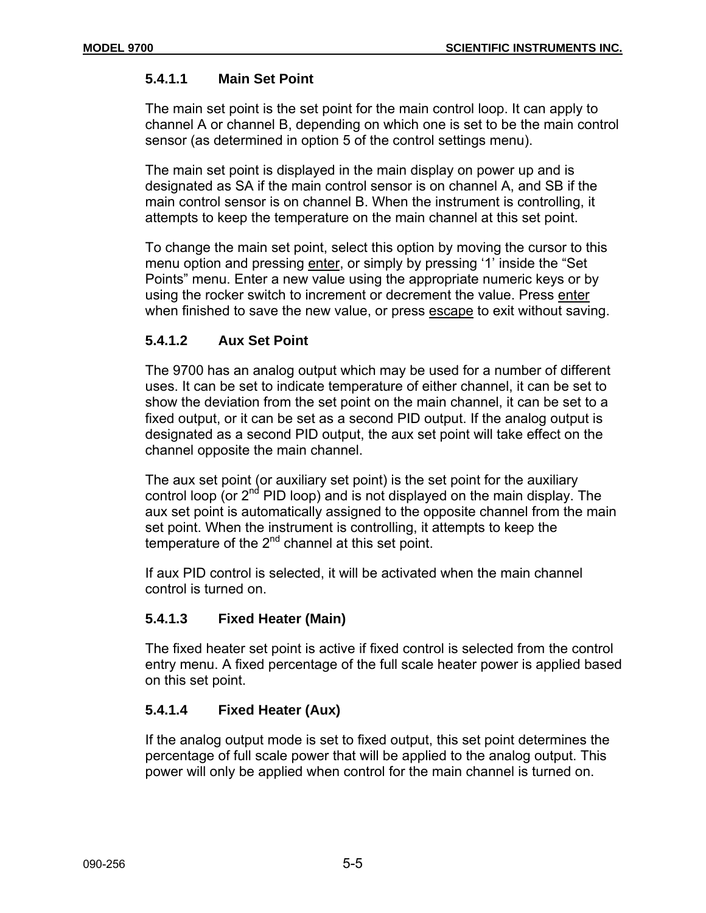# **5.4.1.1 Main Set Point**

The main set point is the set point for the main control loop. It can apply to channel A or channel B, depending on which one is set to be the main control sensor (as determined in option 5 of the control settings menu).

The main set point is displayed in the main display on power up and is designated as SA if the main control sensor is on channel A, and SB if the main control sensor is on channel B. When the instrument is controlling, it attempts to keep the temperature on the main channel at this set point.

To change the main set point, select this option by moving the cursor to this menu option and pressing enter, or simply by pressing '1' inside the "Set Points" menu. Enter a new value using the appropriate numeric keys or by using the rocker switch to increment or decrement the value. Press enter when finished to save the new value, or press escape to exit without saving.

# **5.4.1.2 Aux Set Point**

The 9700 has an analog output which may be used for a number of different uses. It can be set to indicate temperature of either channel, it can be set to show the deviation from the set point on the main channel, it can be set to a fixed output, or it can be set as a second PID output. If the analog output is designated as a second PID output, the aux set point will take effect on the channel opposite the main channel.

The aux set point (or auxiliary set point) is the set point for the auxiliary control loop (or  $2<sup>nd</sup>$  PID loop) and is not displayed on the main display. The aux set point is automatically assigned to the opposite channel from the main set point. When the instrument is controlling, it attempts to keep the temperature of the  $2^{nd}$  channel at this set point.

If aux PID control is selected, it will be activated when the main channel control is turned on.

# **5.4.1.3 Fixed Heater (Main)**

The fixed heater set point is active if fixed control is selected from the control entry menu. A fixed percentage of the full scale heater power is applied based on this set point.

# **5.4.1.4 Fixed Heater (Aux)**

If the analog output mode is set to fixed output, this set point determines the percentage of full scale power that will be applied to the analog output. This power will only be applied when control for the main channel is turned on.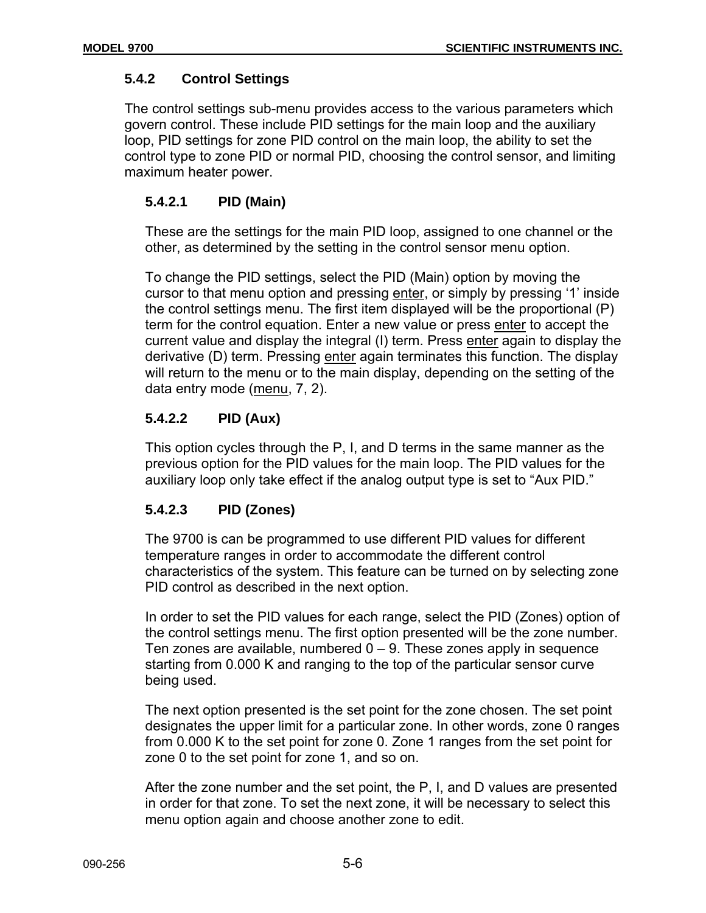# **5.4.2 Control Settings**

The control settings sub-menu provides access to the various parameters which govern control. These include PID settings for the main loop and the auxiliary loop, PID settings for zone PID control on the main loop, the ability to set the control type to zone PID or normal PID, choosing the control sensor, and limiting maximum heater power.

# **5.4.2.1 PID (Main)**

These are the settings for the main PID loop, assigned to one channel or the other, as determined by the setting in the control sensor menu option.

To change the PID settings, select the PID (Main) option by moving the cursor to that menu option and pressing enter, or simply by pressing '1' inside the control settings menu. The first item displayed will be the proportional (P) term for the control equation. Enter a new value or press enter to accept the current value and display the integral (I) term. Press enter again to display the derivative (D) term. Pressing enter again terminates this function. The display will return to the menu or to the main display, depending on the setting of the data entry mode (menu, 7, 2).

# **5.4.2.2 PID (Aux)**

This option cycles through the P, I, and D terms in the same manner as the previous option for the PID values for the main loop. The PID values for the auxiliary loop only take effect if the analog output type is set to "Aux PID."

# **5.4.2.3 PID (Zones)**

The 9700 is can be programmed to use different PID values for different temperature ranges in order to accommodate the different control characteristics of the system. This feature can be turned on by selecting zone PID control as described in the next option.

In order to set the PID values for each range, select the PID (Zones) option of the control settings menu. The first option presented will be the zone number. Ten zones are available, numbered  $0 - 9$ . These zones apply in sequence starting from 0.000 K and ranging to the top of the particular sensor curve being used.

The next option presented is the set point for the zone chosen. The set point designates the upper limit for a particular zone. In other words, zone 0 ranges from 0.000 K to the set point for zone 0. Zone 1 ranges from the set point for zone 0 to the set point for zone 1, and so on.

After the zone number and the set point, the P, I, and D values are presented in order for that zone. To set the next zone, it will be necessary to select this menu option again and choose another zone to edit.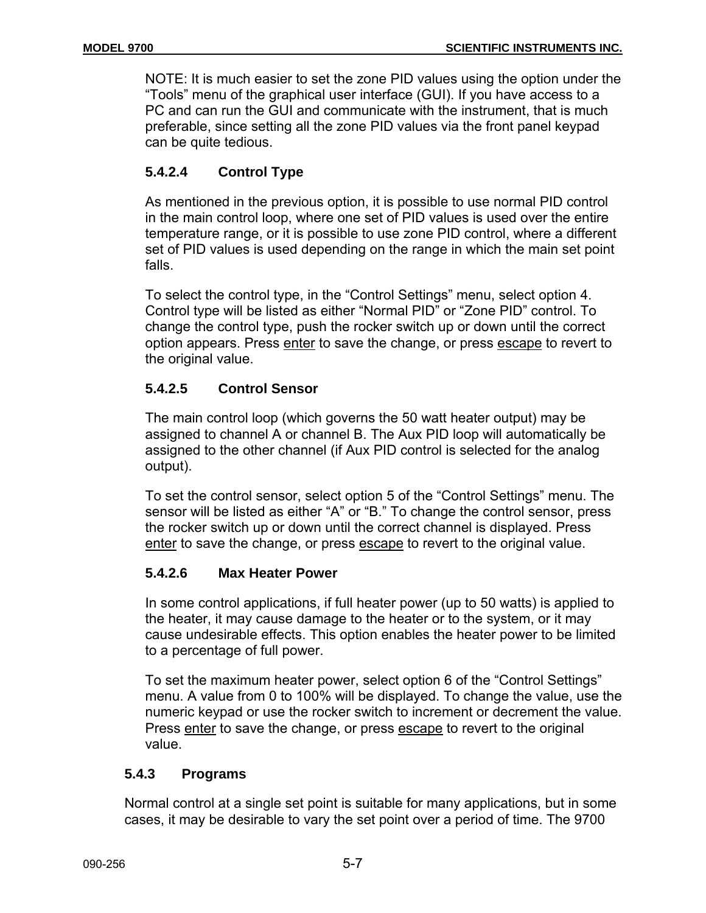NOTE: It is much easier to set the zone PID values using the option under the "Tools" menu of the graphical user interface (GUI). If you have access to a PC and can run the GUI and communicate with the instrument, that is much preferable, since setting all the zone PID values via the front panel keypad can be quite tedious.

# **5.4.2.4 Control Type**

As mentioned in the previous option, it is possible to use normal PID control in the main control loop, where one set of PID values is used over the entire temperature range, or it is possible to use zone PID control, where a different set of PID values is used depending on the range in which the main set point falls.

To select the control type, in the "Control Settings" menu, select option 4. Control type will be listed as either "Normal PID" or "Zone PID" control. To change the control type, push the rocker switch up or down until the correct option appears. Press enter to save the change, or press escape to revert to the original value.

# **5.4.2.5 Control Sensor**

The main control loop (which governs the 50 watt heater output) may be assigned to channel A or channel B. The Aux PID loop will automatically be assigned to the other channel (if Aux PID control is selected for the analog output).

To set the control sensor, select option 5 of the "Control Settings" menu. The sensor will be listed as either "A" or "B." To change the control sensor, press the rocker switch up or down until the correct channel is displayed. Press enter to save the change, or press escape to revert to the original value.

# **5.4.2.6 Max Heater Power**

In some control applications, if full heater power (up to 50 watts) is applied to the heater, it may cause damage to the heater or to the system, or it may cause undesirable effects. This option enables the heater power to be limited to a percentage of full power.

To set the maximum heater power, select option 6 of the "Control Settings" menu. A value from 0 to 100% will be displayed. To change the value, use the numeric keypad or use the rocker switch to increment or decrement the value. Press enter to save the change, or press escape to revert to the original value.

# **5.4.3 Programs**

Normal control at a single set point is suitable for many applications, but in some cases, it may be desirable to vary the set point over a period of time. The 9700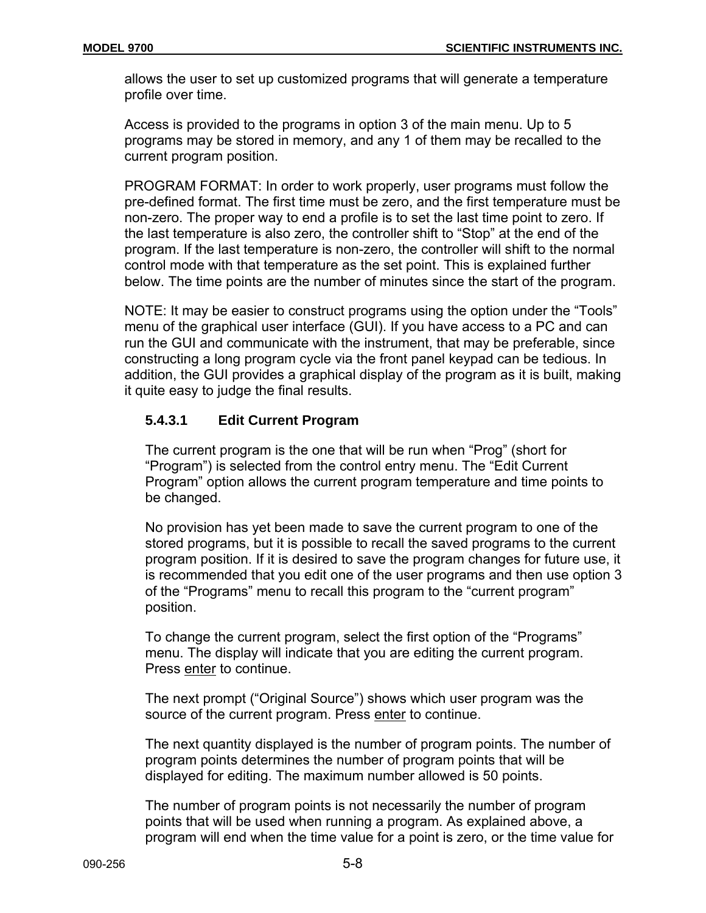allows the user to set up customized programs that will generate a temperature profile over time.

Access is provided to the programs in option 3 of the main menu. Up to 5 programs may be stored in memory, and any 1 of them may be recalled to the current program position.

PROGRAM FORMAT: In order to work properly, user programs must follow the pre-defined format. The first time must be zero, and the first temperature must be non-zero. The proper way to end a profile is to set the last time point to zero. If the last temperature is also zero, the controller shift to "Stop" at the end of the program. If the last temperature is non-zero, the controller will shift to the normal control mode with that temperature as the set point. This is explained further below. The time points are the number of minutes since the start of the program.

NOTE: It may be easier to construct programs using the option under the "Tools" menu of the graphical user interface (GUI). If you have access to a PC and can run the GUI and communicate with the instrument, that may be preferable, since constructing a long program cycle via the front panel keypad can be tedious. In addition, the GUI provides a graphical display of the program as it is built, making it quite easy to judge the final results.

# **5.4.3.1 Edit Current Program**

The current program is the one that will be run when "Prog" (short for "Program") is selected from the control entry menu. The "Edit Current Program" option allows the current program temperature and time points to be changed.

No provision has yet been made to save the current program to one of the stored programs, but it is possible to recall the saved programs to the current program position. If it is desired to save the program changes for future use, it is recommended that you edit one of the user programs and then use option 3 of the "Programs" menu to recall this program to the "current program" position.

To change the current program, select the first option of the "Programs" menu. The display will indicate that you are editing the current program. Press enter to continue.

The next prompt ("Original Source") shows which user program was the source of the current program. Press enter to continue.

The next quantity displayed is the number of program points. The number of program points determines the number of program points that will be displayed for editing. The maximum number allowed is 50 points.

The number of program points is not necessarily the number of program points that will be used when running a program. As explained above, a program will end when the time value for a point is zero, or the time value for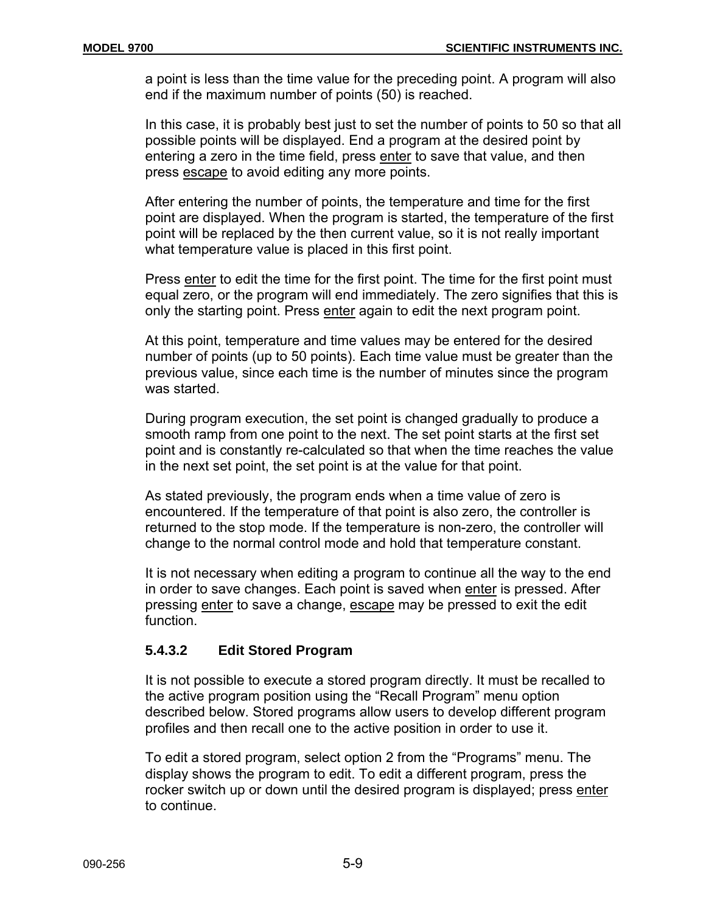a point is less than the time value for the preceding point. A program will also end if the maximum number of points (50) is reached.

In this case, it is probably best just to set the number of points to 50 so that all possible points will be displayed. End a program at the desired point by entering a zero in the time field, press enter to save that value, and then press escape to avoid editing any more points.

After entering the number of points, the temperature and time for the first point are displayed. When the program is started, the temperature of the first point will be replaced by the then current value, so it is not really important what temperature value is placed in this first point.

Press enter to edit the time for the first point. The time for the first point must equal zero, or the program will end immediately. The zero signifies that this is only the starting point. Press enter again to edit the next program point.

At this point, temperature and time values may be entered for the desired number of points (up to 50 points). Each time value must be greater than the previous value, since each time is the number of minutes since the program was started.

During program execution, the set point is changed gradually to produce a smooth ramp from one point to the next. The set point starts at the first set point and is constantly re-calculated so that when the time reaches the value in the next set point, the set point is at the value for that point.

As stated previously, the program ends when a time value of zero is encountered. If the temperature of that point is also zero, the controller is returned to the stop mode. If the temperature is non-zero, the controller will change to the normal control mode and hold that temperature constant.

It is not necessary when editing a program to continue all the way to the end in order to save changes. Each point is saved when enter is pressed. After pressing enter to save a change, escape may be pressed to exit the edit function.

# **5.4.3.2 Edit Stored Program**

It is not possible to execute a stored program directly. It must be recalled to the active program position using the "Recall Program" menu option described below. Stored programs allow users to develop different program profiles and then recall one to the active position in order to use it.

To edit a stored program, select option 2 from the "Programs" menu. The display shows the program to edit. To edit a different program, press the rocker switch up or down until the desired program is displayed; press enter to continue.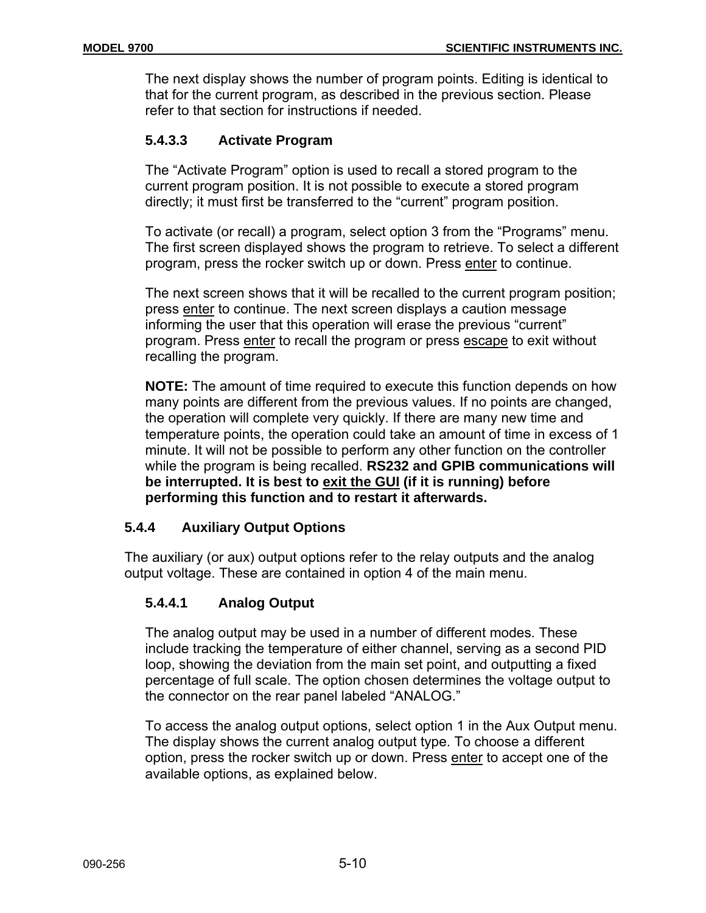The next display shows the number of program points. Editing is identical to that for the current program, as described in the previous section. Please refer to that section for instructions if needed.

# **5.4.3.3 Activate Program**

The "Activate Program" option is used to recall a stored program to the current program position. It is not possible to execute a stored program directly; it must first be transferred to the "current" program position.

To activate (or recall) a program, select option 3 from the "Programs" menu. The first screen displayed shows the program to retrieve. To select a different program, press the rocker switch up or down. Press enter to continue.

The next screen shows that it will be recalled to the current program position; press enter to continue. The next screen displays a caution message informing the user that this operation will erase the previous "current" program. Press enter to recall the program or press escape to exit without recalling the program.

**NOTE:** The amount of time required to execute this function depends on how many points are different from the previous values. If no points are changed, the operation will complete very quickly. If there are many new time and temperature points, the operation could take an amount of time in excess of 1 minute. It will not be possible to perform any other function on the controller while the program is being recalled. **RS232 and GPIB communications will be interrupted. It is best to exit the GUI (if it is running) before performing this function and to restart it afterwards.**

# **5.4.4 Auxiliary Output Options**

The auxiliary (or aux) output options refer to the relay outputs and the analog output voltage. These are contained in option 4 of the main menu.

# **5.4.4.1 Analog Output**

The analog output may be used in a number of different modes. These include tracking the temperature of either channel, serving as a second PID loop, showing the deviation from the main set point, and outputting a fixed percentage of full scale. The option chosen determines the voltage output to the connector on the rear panel labeled "ANALOG."

To access the analog output options, select option 1 in the Aux Output menu. The display shows the current analog output type. To choose a different option, press the rocker switch up or down. Press enter to accept one of the available options, as explained below.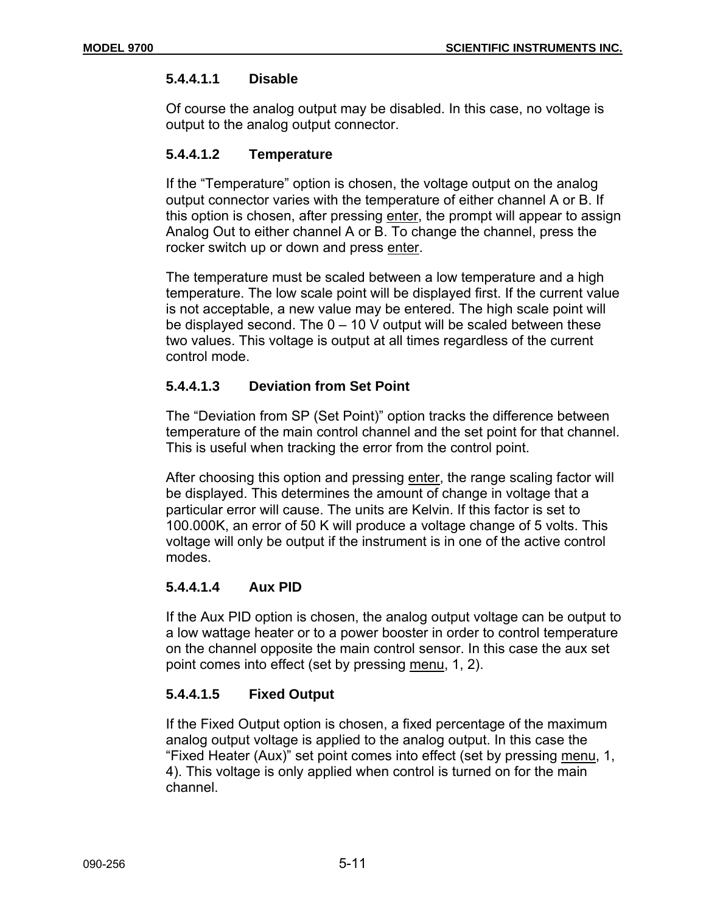# **5.4.4.1.1 Disable**

Of course the analog output may be disabled. In this case, no voltage is output to the analog output connector.

# **5.4.4.1.2 Temperature**

If the "Temperature" option is chosen, the voltage output on the analog output connector varies with the temperature of either channel A or B. If this option is chosen, after pressing enter, the prompt will appear to assign Analog Out to either channel A or B. To change the channel, press the rocker switch up or down and press enter.

The temperature must be scaled between a low temperature and a high temperature. The low scale point will be displayed first. If the current value is not acceptable, a new value may be entered. The high scale point will be displayed second. The  $0 - 10$  V output will be scaled between these two values. This voltage is output at all times regardless of the current control mode.

# **5.4.4.1.3 Deviation from Set Point**

The "Deviation from SP (Set Point)" option tracks the difference between temperature of the main control channel and the set point for that channel. This is useful when tracking the error from the control point.

After choosing this option and pressing enter, the range scaling factor will be displayed. This determines the amount of change in voltage that a particular error will cause. The units are Kelvin. If this factor is set to 100.000K, an error of 50 K will produce a voltage change of 5 volts. This voltage will only be output if the instrument is in one of the active control modes.

# **5.4.4.1.4 Aux PID**

If the Aux PID option is chosen, the analog output voltage can be output to a low wattage heater or to a power booster in order to control temperature on the channel opposite the main control sensor. In this case the aux set point comes into effect (set by pressing menu, 1, 2).

# **5.4.4.1.5 Fixed Output**

If the Fixed Output option is chosen, a fixed percentage of the maximum analog output voltage is applied to the analog output. In this case the "Fixed Heater (Aux)" set point comes into effect (set by pressing menu, 1, 4). This voltage is only applied when control is turned on for the main channel.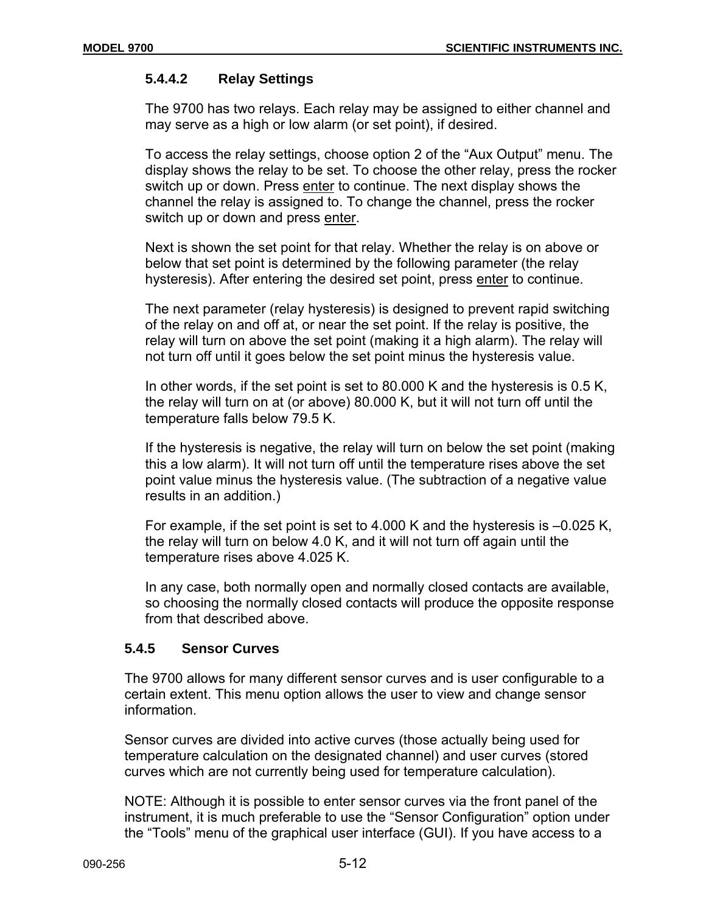# **5.4.4.2 Relay Settings**

The 9700 has two relays. Each relay may be assigned to either channel and may serve as a high or low alarm (or set point), if desired.

To access the relay settings, choose option 2 of the "Aux Output" menu. The display shows the relay to be set. To choose the other relay, press the rocker switch up or down. Press enter to continue. The next display shows the channel the relay is assigned to. To change the channel, press the rocker switch up or down and press enter.

Next is shown the set point for that relay. Whether the relay is on above or below that set point is determined by the following parameter (the relay hysteresis). After entering the desired set point, press enter to continue.

The next parameter (relay hysteresis) is designed to prevent rapid switching of the relay on and off at, or near the set point. If the relay is positive, the relay will turn on above the set point (making it a high alarm). The relay will not turn off until it goes below the set point minus the hysteresis value.

In other words, if the set point is set to 80.000 K and the hysteresis is 0.5 K, the relay will turn on at (or above) 80.000 K, but it will not turn off until the temperature falls below 79.5 K.

If the hysteresis is negative, the relay will turn on below the set point (making this a low alarm). It will not turn off until the temperature rises above the set point value minus the hysteresis value. (The subtraction of a negative value results in an addition.)

For example, if the set point is set to 4.000 K and the hysteresis is –0.025 K, the relay will turn on below 4.0 K, and it will not turn off again until the temperature rises above 4.025 K.

In any case, both normally open and normally closed contacts are available, so choosing the normally closed contacts will produce the opposite response from that described above.

# **5.4.5 Sensor Curves**

The 9700 allows for many different sensor curves and is user configurable to a certain extent. This menu option allows the user to view and change sensor information.

Sensor curves are divided into active curves (those actually being used for temperature calculation on the designated channel) and user curves (stored curves which are not currently being used for temperature calculation).

NOTE: Although it is possible to enter sensor curves via the front panel of the instrument, it is much preferable to use the "Sensor Configuration" option under the "Tools" menu of the graphical user interface (GUI). If you have access to a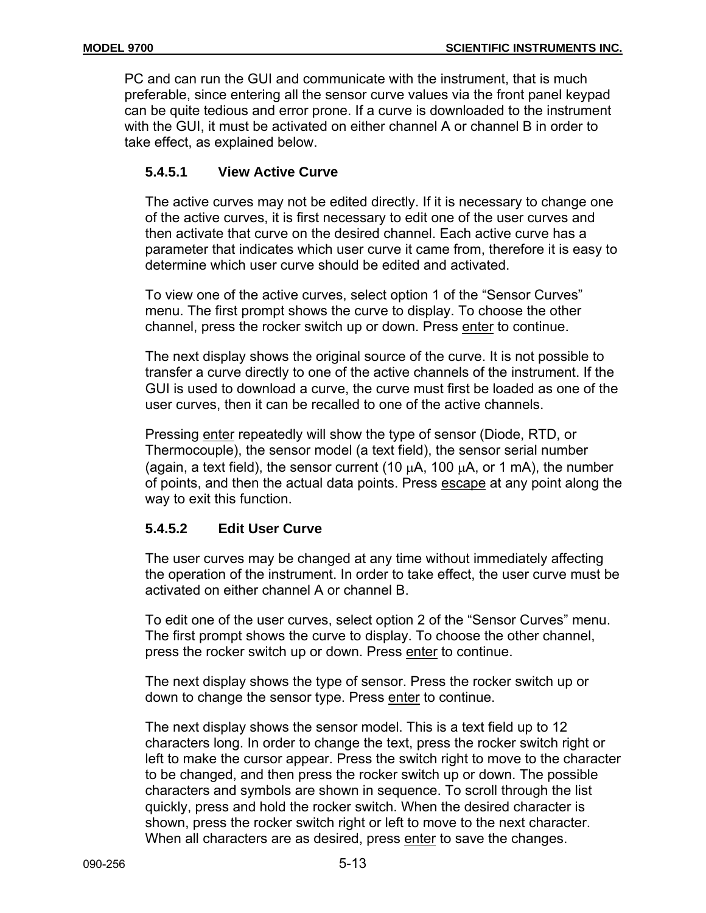PC and can run the GUI and communicate with the instrument, that is much preferable, since entering all the sensor curve values via the front panel keypad can be quite tedious and error prone. If a curve is downloaded to the instrument with the GUI, it must be activated on either channel A or channel B in order to take effect, as explained below.

# **5.4.5.1 View Active Curve**

The active curves may not be edited directly. If it is necessary to change one of the active curves, it is first necessary to edit one of the user curves and then activate that curve on the desired channel. Each active curve has a parameter that indicates which user curve it came from, therefore it is easy to determine which user curve should be edited and activated.

To view one of the active curves, select option 1 of the "Sensor Curves" menu. The first prompt shows the curve to display. To choose the other channel, press the rocker switch up or down. Press enter to continue.

The next display shows the original source of the curve. It is not possible to transfer a curve directly to one of the active channels of the instrument. If the GUI is used to download a curve, the curve must first be loaded as one of the user curves, then it can be recalled to one of the active channels.

Pressing enter repeatedly will show the type of sensor (Diode, RTD, or Thermocouple), the sensor model (a text field), the sensor serial number (again, a text field), the sensor current (10  $\mu$ A, 100  $\mu$ A, or 1 mA), the number of points, and then the actual data points. Press escape at any point along the way to exit this function.

# **5.4.5.2 Edit User Curve**

The user curves may be changed at any time without immediately affecting the operation of the instrument. In order to take effect, the user curve must be activated on either channel A or channel B.

To edit one of the user curves, select option 2 of the "Sensor Curves" menu. The first prompt shows the curve to display. To choose the other channel, press the rocker switch up or down. Press enter to continue.

The next display shows the type of sensor. Press the rocker switch up or down to change the sensor type. Press enter to continue.

The next display shows the sensor model. This is a text field up to 12 characters long. In order to change the text, press the rocker switch right or left to make the cursor appear. Press the switch right to move to the character to be changed, and then press the rocker switch up or down. The possible characters and symbols are shown in sequence. To scroll through the list quickly, press and hold the rocker switch. When the desired character is shown, press the rocker switch right or left to move to the next character. When all characters are as desired, press enter to save the changes.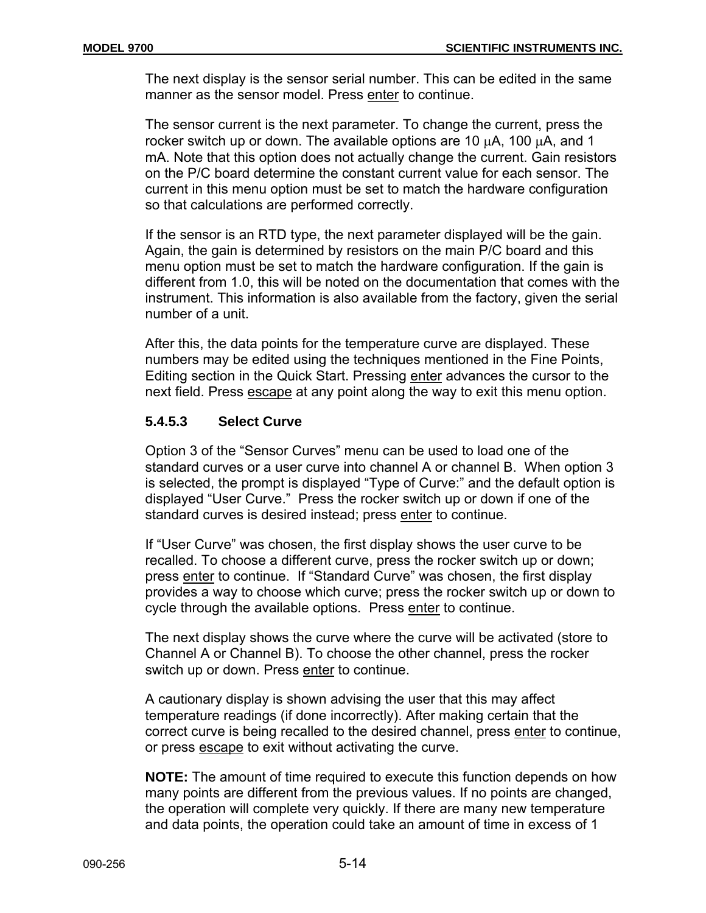The next display is the sensor serial number. This can be edited in the same manner as the sensor model. Press enter to continue.

The sensor current is the next parameter. To change the current, press the rocker switch up or down. The available options are 10 µA, 100 µA, and 1 mA. Note that this option does not actually change the current. Gain resistors on the P/C board determine the constant current value for each sensor. The current in this menu option must be set to match the hardware configuration so that calculations are performed correctly.

If the sensor is an RTD type, the next parameter displayed will be the gain. Again, the gain is determined by resistors on the main P/C board and this menu option must be set to match the hardware configuration. If the gain is different from 1.0, this will be noted on the documentation that comes with the instrument. This information is also available from the factory, given the serial number of a unit.

After this, the data points for the temperature curve are displayed. These numbers may be edited using the techniques mentioned in the Fine Points, Editing section in the Quick Start. Pressing enter advances the cursor to the next field. Press escape at any point along the way to exit this menu option.

# **5.4.5.3 Select Curve**

Option 3 of the "Sensor Curves" menu can be used to load one of the standard curves or a user curve into channel A or channel B. When option 3 is selected, the prompt is displayed "Type of Curve:" and the default option is displayed "User Curve." Press the rocker switch up or down if one of the standard curves is desired instead; press enter to continue.

If "User Curve" was chosen, the first display shows the user curve to be recalled. To choose a different curve, press the rocker switch up or down; press enter to continue. If "Standard Curve" was chosen, the first display provides a way to choose which curve; press the rocker switch up or down to cycle through the available options. Press enter to continue.

The next display shows the curve where the curve will be activated (store to Channel A or Channel B). To choose the other channel, press the rocker switch up or down. Press enter to continue.

A cautionary display is shown advising the user that this may affect temperature readings (if done incorrectly). After making certain that the correct curve is being recalled to the desired channel, press enter to continue, or press escape to exit without activating the curve.

**NOTE:** The amount of time required to execute this function depends on how many points are different from the previous values. If no points are changed, the operation will complete very quickly. If there are many new temperature and data points, the operation could take an amount of time in excess of 1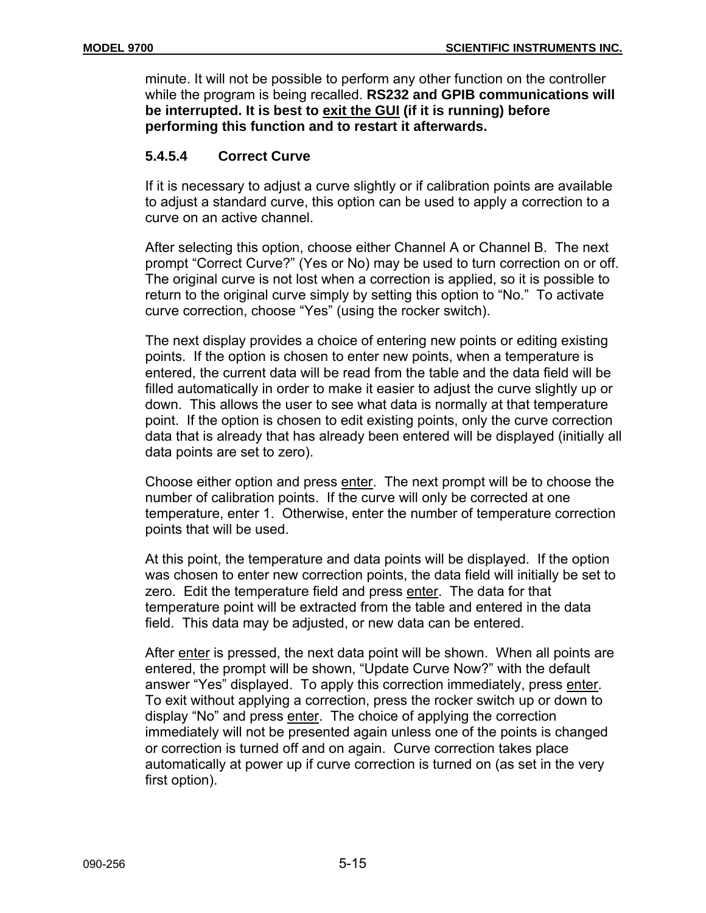minute. It will not be possible to perform any other function on the controller while the program is being recalled. **RS232 and GPIB communications will be interrupted. It is best to exit the GUI (if it is running) before performing this function and to restart it afterwards.**

# **5.4.5.4 Correct Curve**

If it is necessary to adjust a curve slightly or if calibration points are available to adjust a standard curve, this option can be used to apply a correction to a curve on an active channel.

After selecting this option, choose either Channel A or Channel B. The next prompt "Correct Curve?" (Yes or No) may be used to turn correction on or off. The original curve is not lost when a correction is applied, so it is possible to return to the original curve simply by setting this option to "No." To activate curve correction, choose "Yes" (using the rocker switch).

The next display provides a choice of entering new points or editing existing points. If the option is chosen to enter new points, when a temperature is entered, the current data will be read from the table and the data field will be filled automatically in order to make it easier to adjust the curve slightly up or down. This allows the user to see what data is normally at that temperature point. If the option is chosen to edit existing points, only the curve correction data that is already that has already been entered will be displayed (initially all data points are set to zero).

Choose either option and press enter. The next prompt will be to choose the number of calibration points. If the curve will only be corrected at one temperature, enter 1. Otherwise, enter the number of temperature correction points that will be used.

At this point, the temperature and data points will be displayed. If the option was chosen to enter new correction points, the data field will initially be set to zero. Edit the temperature field and press enter. The data for that temperature point will be extracted from the table and entered in the data field. This data may be adjusted, or new data can be entered.

After enter is pressed, the next data point will be shown. When all points are entered, the prompt will be shown, "Update Curve Now?" with the default answer "Yes" displayed. To apply this correction immediately, press enter. To exit without applying a correction, press the rocker switch up or down to display "No" and press enter. The choice of applying the correction immediately will not be presented again unless one of the points is changed or correction is turned off and on again. Curve correction takes place automatically at power up if curve correction is turned on (as set in the very first option).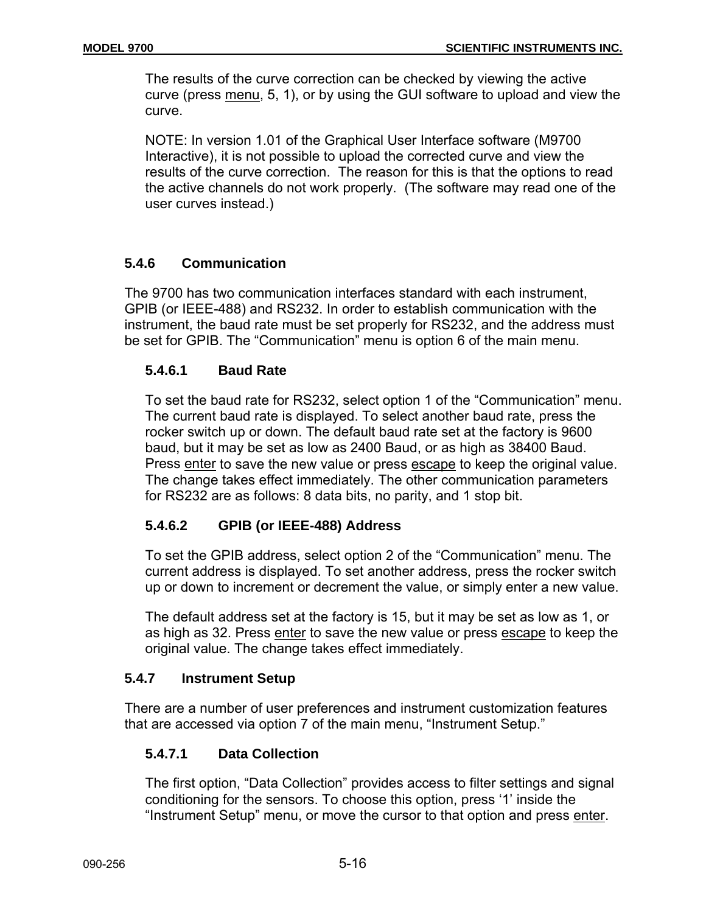The results of the curve correction can be checked by viewing the active curve (press menu, 5, 1), or by using the GUI software to upload and view the curve.

NOTE: In version 1.01 of the Graphical User Interface software (M9700 Interactive), it is not possible to upload the corrected curve and view the results of the curve correction. The reason for this is that the options to read the active channels do not work properly. (The software may read one of the user curves instead.)

# **5.4.6 Communication**

The 9700 has two communication interfaces standard with each instrument, GPIB (or IEEE-488) and RS232. In order to establish communication with the instrument, the baud rate must be set properly for RS232, and the address must be set for GPIB. The "Communication" menu is option 6 of the main menu.

# **5.4.6.1 Baud Rate**

To set the baud rate for RS232, select option 1 of the "Communication" menu. The current baud rate is displayed. To select another baud rate, press the rocker switch up or down. The default baud rate set at the factory is 9600 baud, but it may be set as low as 2400 Baud, or as high as 38400 Baud. Press enter to save the new value or press escape to keep the original value. The change takes effect immediately. The other communication parameters for RS232 are as follows: 8 data bits, no parity, and 1 stop bit.

# **5.4.6.2 GPIB (or IEEE-488) Address**

To set the GPIB address, select option 2 of the "Communication" menu. The current address is displayed. To set another address, press the rocker switch up or down to increment or decrement the value, or simply enter a new value.

The default address set at the factory is 15, but it may be set as low as 1, or as high as 32. Press enter to save the new value or press escape to keep the original value. The change takes effect immediately.

# **5.4.7 Instrument Setup**

There are a number of user preferences and instrument customization features that are accessed via option 7 of the main menu, "Instrument Setup."

# **5.4.7.1 Data Collection**

The first option, "Data Collection" provides access to filter settings and signal conditioning for the sensors. To choose this option, press '1' inside the "Instrument Setup" menu, or move the cursor to that option and press enter.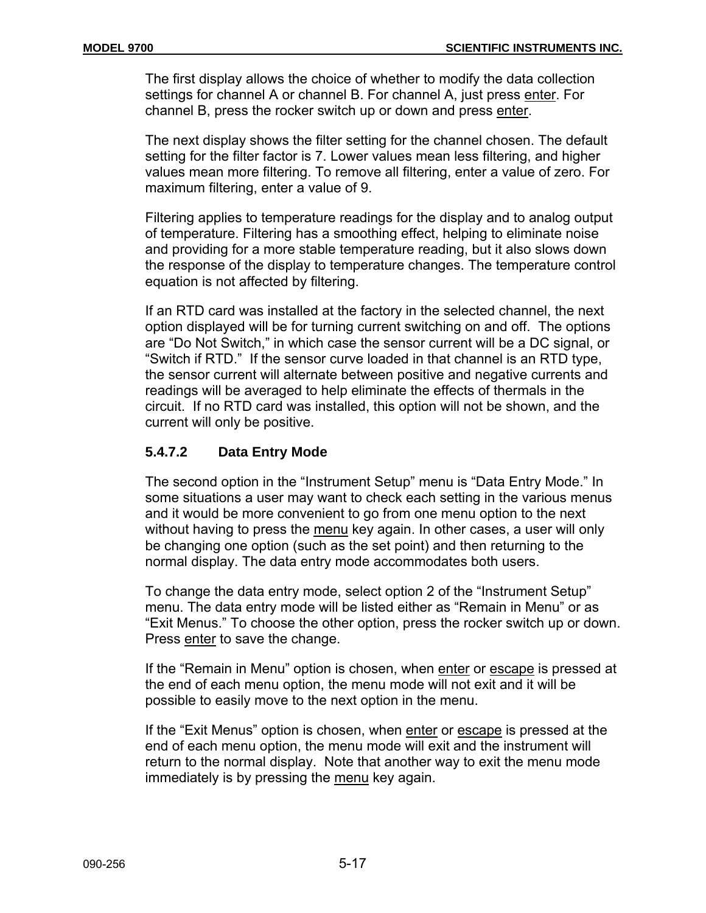The first display allows the choice of whether to modify the data collection settings for channel A or channel B. For channel A, just press enter. For channel B, press the rocker switch up or down and press enter.

The next display shows the filter setting for the channel chosen. The default setting for the filter factor is 7. Lower values mean less filtering, and higher values mean more filtering. To remove all filtering, enter a value of zero. For maximum filtering, enter a value of 9.

Filtering applies to temperature readings for the display and to analog output of temperature. Filtering has a smoothing effect, helping to eliminate noise and providing for a more stable temperature reading, but it also slows down the response of the display to temperature changes. The temperature control equation is not affected by filtering.

If an RTD card was installed at the factory in the selected channel, the next option displayed will be for turning current switching on and off. The options are "Do Not Switch," in which case the sensor current will be a DC signal, or "Switch if RTD." If the sensor curve loaded in that channel is an RTD type, the sensor current will alternate between positive and negative currents and readings will be averaged to help eliminate the effects of thermals in the circuit. If no RTD card was installed, this option will not be shown, and the current will only be positive.

# **5.4.7.2 Data Entry Mode**

The second option in the "Instrument Setup" menu is "Data Entry Mode." In some situations a user may want to check each setting in the various menus and it would be more convenient to go from one menu option to the next without having to press the menu key again. In other cases, a user will only be changing one option (such as the set point) and then returning to the normal display. The data entry mode accommodates both users.

To change the data entry mode, select option 2 of the "Instrument Setup" menu. The data entry mode will be listed either as "Remain in Menu" or as "Exit Menus." To choose the other option, press the rocker switch up or down. Press enter to save the change.

If the "Remain in Menu" option is chosen, when enter or escape is pressed at the end of each menu option, the menu mode will not exit and it will be possible to easily move to the next option in the menu.

If the "Exit Menus" option is chosen, when enter or escape is pressed at the end of each menu option, the menu mode will exit and the instrument will return to the normal display. Note that another way to exit the menu mode immediately is by pressing the menu key again.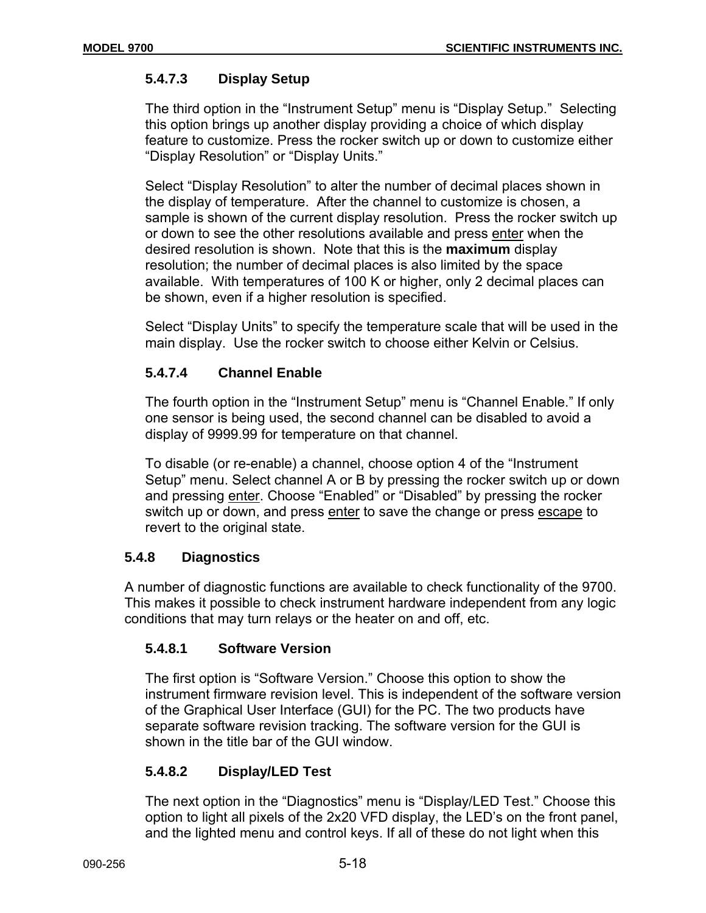# **5.4.7.3 Display Setup**

The third option in the "Instrument Setup" menu is "Display Setup." Selecting this option brings up another display providing a choice of which display feature to customize. Press the rocker switch up or down to customize either "Display Resolution" or "Display Units."

Select "Display Resolution" to alter the number of decimal places shown in the display of temperature. After the channel to customize is chosen, a sample is shown of the current display resolution. Press the rocker switch up or down to see the other resolutions available and press enter when the desired resolution is shown. Note that this is the **maximum** display resolution; the number of decimal places is also limited by the space available. With temperatures of 100 K or higher, only 2 decimal places can be shown, even if a higher resolution is specified.

Select "Display Units" to specify the temperature scale that will be used in the main display. Use the rocker switch to choose either Kelvin or Celsius.

# **5.4.7.4 Channel Enable**

The fourth option in the "Instrument Setup" menu is "Channel Enable." If only one sensor is being used, the second channel can be disabled to avoid a display of 9999.99 for temperature on that channel.

To disable (or re-enable) a channel, choose option 4 of the "Instrument Setup" menu. Select channel A or B by pressing the rocker switch up or down and pressing enter. Choose "Enabled" or "Disabled" by pressing the rocker switch up or down, and press enter to save the change or press escape to revert to the original state.

# **5.4.8 Diagnostics**

A number of diagnostic functions are available to check functionality of the 9700. This makes it possible to check instrument hardware independent from any logic conditions that may turn relays or the heater on and off, etc.

# **5.4.8.1 Software Version**

The first option is "Software Version." Choose this option to show the instrument firmware revision level. This is independent of the software version of the Graphical User Interface (GUI) for the PC. The two products have separate software revision tracking. The software version for the GUI is shown in the title bar of the GUI window.

# **5.4.8.2 Display/LED Test**

The next option in the "Diagnostics" menu is "Display/LED Test." Choose this option to light all pixels of the 2x20 VFD display, the LED's on the front panel, and the lighted menu and control keys. If all of these do not light when this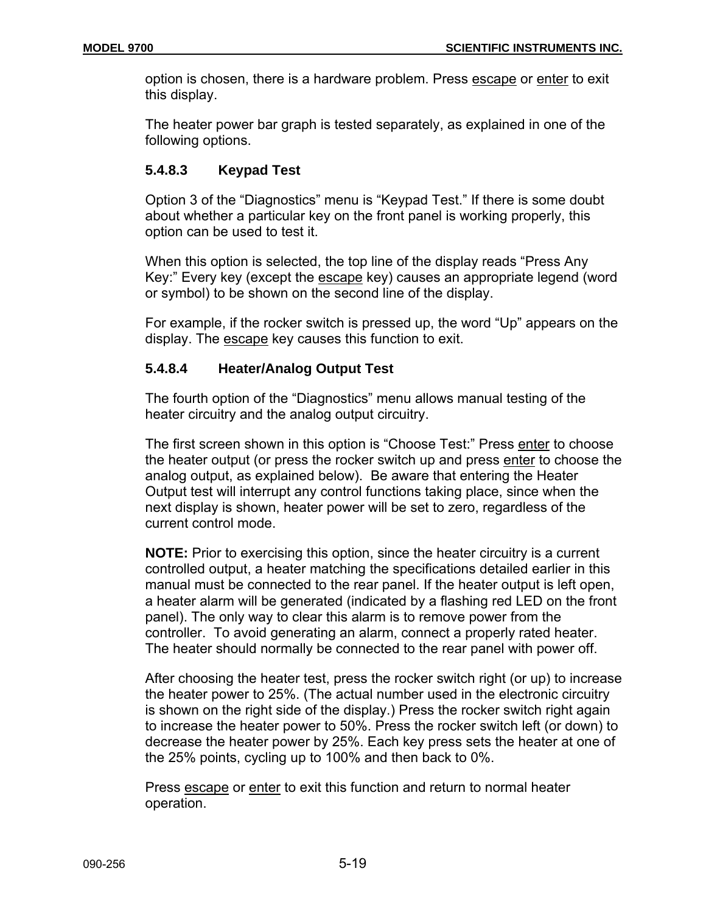option is chosen, there is a hardware problem. Press escape or enter to exit this display.

The heater power bar graph is tested separately, as explained in one of the following options.

# **5.4.8.3 Keypad Test**

Option 3 of the "Diagnostics" menu is "Keypad Test." If there is some doubt about whether a particular key on the front panel is working properly, this option can be used to test it.

When this option is selected, the top line of the display reads "Press Any Key:" Every key (except the escape key) causes an appropriate legend (word or symbol) to be shown on the second line of the display.

For example, if the rocker switch is pressed up, the word "Up" appears on the display. The escape key causes this function to exit.

# **5.4.8.4 Heater/Analog Output Test**

The fourth option of the "Diagnostics" menu allows manual testing of the heater circuitry and the analog output circuitry.

The first screen shown in this option is "Choose Test:" Press enter to choose the heater output (or press the rocker switch up and press enter to choose the analog output, as explained below). Be aware that entering the Heater Output test will interrupt any control functions taking place, since when the next display is shown, heater power will be set to zero, regardless of the current control mode.

**NOTE:** Prior to exercising this option, since the heater circuitry is a current controlled output, a heater matching the specifications detailed earlier in this manual must be connected to the rear panel. If the heater output is left open, a heater alarm will be generated (indicated by a flashing red LED on the front panel). The only way to clear this alarm is to remove power from the controller. To avoid generating an alarm, connect a properly rated heater. The heater should normally be connected to the rear panel with power off.

After choosing the heater test, press the rocker switch right (or up) to increase the heater power to 25%. (The actual number used in the electronic circuitry is shown on the right side of the display.) Press the rocker switch right again to increase the heater power to 50%. Press the rocker switch left (or down) to decrease the heater power by 25%. Each key press sets the heater at one of the 25% points, cycling up to 100% and then back to 0%.

Press escape or enter to exit this function and return to normal heater operation.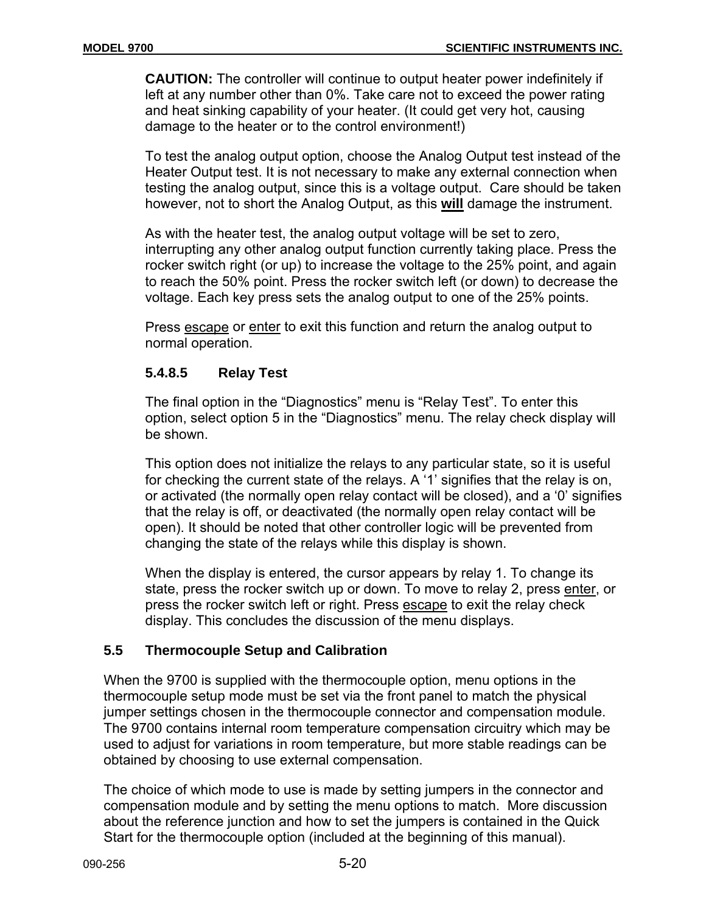**CAUTION:** The controller will continue to output heater power indefinitely if left at any number other than 0%. Take care not to exceed the power rating and heat sinking capability of your heater. (It could get very hot, causing damage to the heater or to the control environment!)

To test the analog output option, choose the Analog Output test instead of the Heater Output test. It is not necessary to make any external connection when testing the analog output, since this is a voltage output. Care should be taken however, not to short the Analog Output, as this **will** damage the instrument.

As with the heater test, the analog output voltage will be set to zero, interrupting any other analog output function currently taking place. Press the rocker switch right (or up) to increase the voltage to the 25% point, and again to reach the 50% point. Press the rocker switch left (or down) to decrease the voltage. Each key press sets the analog output to one of the 25% points.

Press escape or enter to exit this function and return the analog output to normal operation.

# **5.4.8.5 Relay Test**

The final option in the "Diagnostics" menu is "Relay Test". To enter this option, select option 5 in the "Diagnostics" menu. The relay check display will be shown.

This option does not initialize the relays to any particular state, so it is useful for checking the current state of the relays. A '1' signifies that the relay is on, or activated (the normally open relay contact will be closed), and a '0' signifies that the relay is off, or deactivated (the normally open relay contact will be open). It should be noted that other controller logic will be prevented from changing the state of the relays while this display is shown.

When the display is entered, the cursor appears by relay 1. To change its state, press the rocker switch up or down. To move to relay 2, press enter, or press the rocker switch left or right. Press escape to exit the relay check display. This concludes the discussion of the menu displays.

# **5.5 Thermocouple Setup and Calibration**

When the 9700 is supplied with the thermocouple option, menu options in the thermocouple setup mode must be set via the front panel to match the physical jumper settings chosen in the thermocouple connector and compensation module. The 9700 contains internal room temperature compensation circuitry which may be used to adjust for variations in room temperature, but more stable readings can be obtained by choosing to use external compensation.

The choice of which mode to use is made by setting jumpers in the connector and compensation module and by setting the menu options to match. More discussion about the reference junction and how to set the jumpers is contained in the Quick Start for the thermocouple option (included at the beginning of this manual).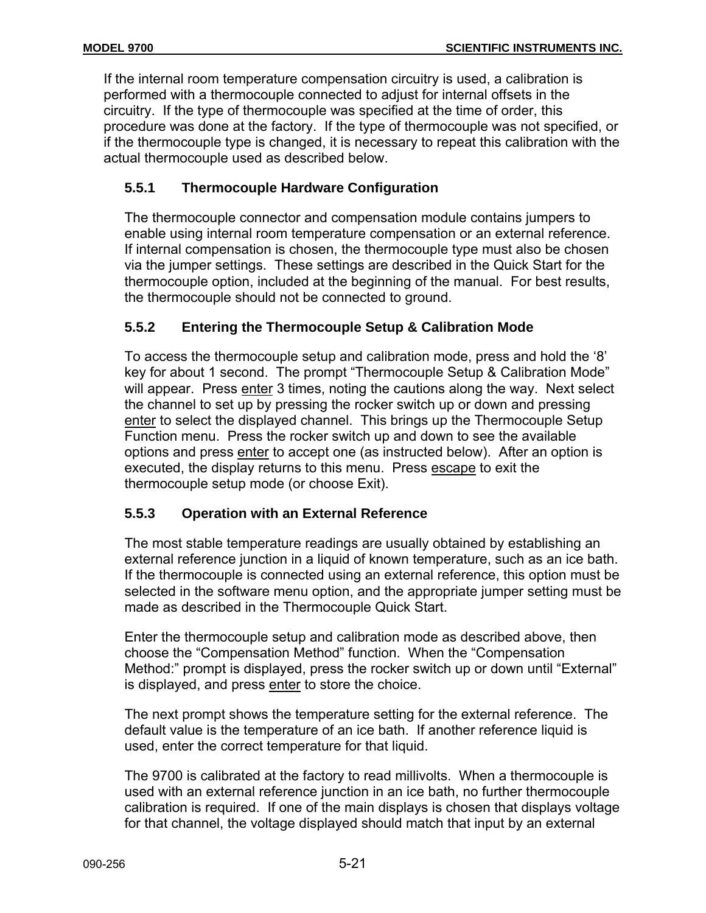If the internal room temperature compensation circuitry is used, a calibration is performed with a thermocouple connected to adjust for internal offsets in the circuitry. If the type of thermocouple was specified at the time of order, this procedure was done at the factory. If the type of thermocouple was not specified, or if the thermocouple type is changed, it is necessary to repeat this calibration with the actual thermocouple used as described below.

# **5.5.1 Thermocouple Hardware Configuration**

The thermocouple connector and compensation module contains jumpers to enable using internal room temperature compensation or an external reference. If internal compensation is chosen, the thermocouple type must also be chosen via the jumper settings. These settings are described in the Quick Start for the thermocouple option, included at the beginning of the manual. For best results, the thermocouple should not be connected to ground.

# **5.5.2 Entering the Thermocouple Setup & Calibration Mode**

To access the thermocouple setup and calibration mode, press and hold the '8' key for about 1 second. The prompt "Thermocouple Setup & Calibration Mode" will appear. Press enter 3 times, noting the cautions along the way. Next select the channel to set up by pressing the rocker switch up or down and pressing enter to select the displayed channel. This brings up the Thermocouple Setup Function menu. Press the rocker switch up and down to see the available options and press enter to accept one (as instructed below). After an option is executed, the display returns to this menu. Press escape to exit the thermocouple setup mode (or choose Exit).

# **5.5.3 Operation with an External Reference**

The most stable temperature readings are usually obtained by establishing an external reference junction in a liquid of known temperature, such as an ice bath. If the thermocouple is connected using an external reference, this option must be selected in the software menu option, and the appropriate jumper setting must be made as described in the Thermocouple Quick Start.

Enter the thermocouple setup and calibration mode as described above, then choose the "Compensation Method" function. When the "Compensation Method:" prompt is displayed, press the rocker switch up or down until "External" is displayed, and press enter to store the choice.

The next prompt shows the temperature setting for the external reference. The default value is the temperature of an ice bath. If another reference liquid is used, enter the correct temperature for that liquid.

The 9700 is calibrated at the factory to read millivolts. When a thermocouple is used with an external reference junction in an ice bath, no further thermocouple calibration is required. If one of the main displays is chosen that displays voltage for that channel, the voltage displayed should match that input by an external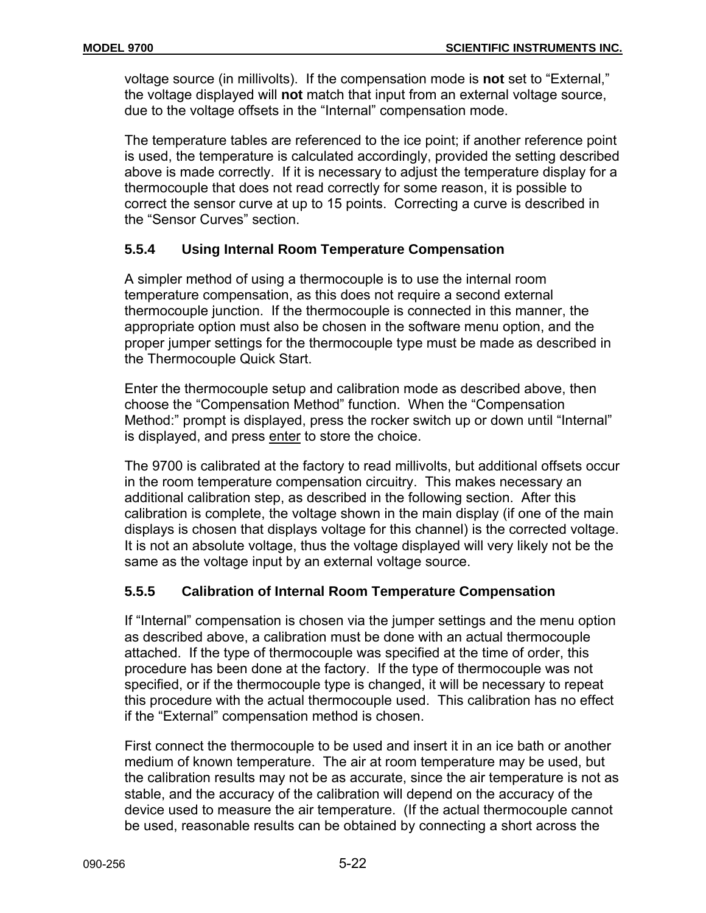voltage source (in millivolts). If the compensation mode is **not** set to "External," the voltage displayed will **not** match that input from an external voltage source, due to the voltage offsets in the "Internal" compensation mode.

The temperature tables are referenced to the ice point; if another reference point is used, the temperature is calculated accordingly, provided the setting described above is made correctly. If it is necessary to adjust the temperature display for a thermocouple that does not read correctly for some reason, it is possible to correct the sensor curve at up to 15 points. Correcting a curve is described in the "Sensor Curves" section.

# **5.5.4 Using Internal Room Temperature Compensation**

A simpler method of using a thermocouple is to use the internal room temperature compensation, as this does not require a second external thermocouple junction. If the thermocouple is connected in this manner, the appropriate option must also be chosen in the software menu option, and the proper jumper settings for the thermocouple type must be made as described in the Thermocouple Quick Start.

Enter the thermocouple setup and calibration mode as described above, then choose the "Compensation Method" function. When the "Compensation Method:" prompt is displayed, press the rocker switch up or down until "Internal" is displayed, and press enter to store the choice.

The 9700 is calibrated at the factory to read millivolts, but additional offsets occur in the room temperature compensation circuitry. This makes necessary an additional calibration step, as described in the following section. After this calibration is complete, the voltage shown in the main display (if one of the main displays is chosen that displays voltage for this channel) is the corrected voltage. It is not an absolute voltage, thus the voltage displayed will very likely not be the same as the voltage input by an external voltage source.

# **5.5.5 Calibration of Internal Room Temperature Compensation**

If "Internal" compensation is chosen via the jumper settings and the menu option as described above, a calibration must be done with an actual thermocouple attached. If the type of thermocouple was specified at the time of order, this procedure has been done at the factory. If the type of thermocouple was not specified, or if the thermocouple type is changed, it will be necessary to repeat this procedure with the actual thermocouple used. This calibration has no effect if the "External" compensation method is chosen.

First connect the thermocouple to be used and insert it in an ice bath or another medium of known temperature. The air at room temperature may be used, but the calibration results may not be as accurate, since the air temperature is not as stable, and the accuracy of the calibration will depend on the accuracy of the device used to measure the air temperature. (If the actual thermocouple cannot be used, reasonable results can be obtained by connecting a short across the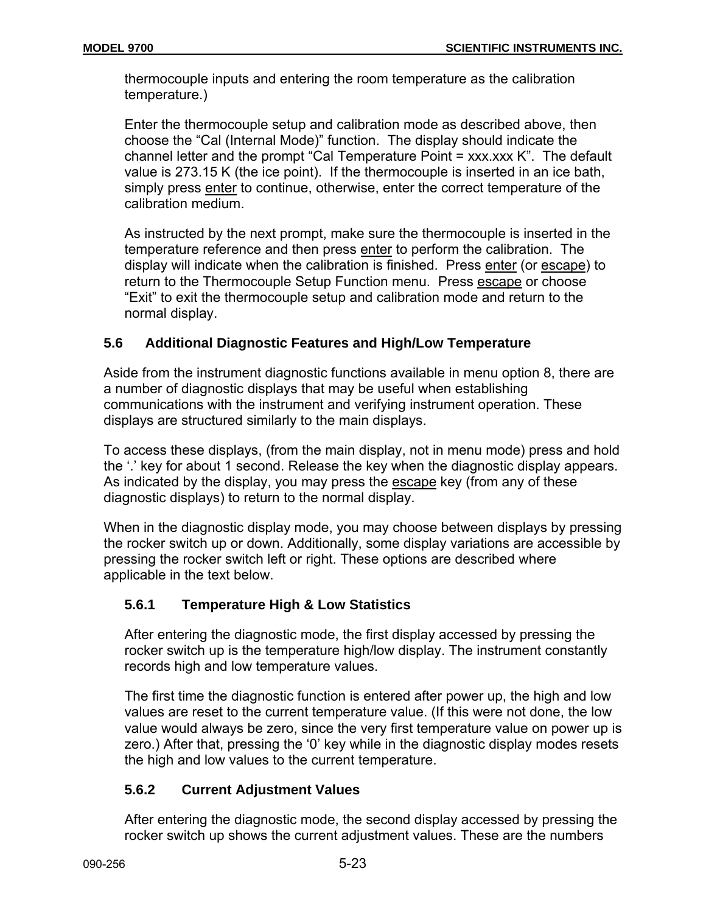thermocouple inputs and entering the room temperature as the calibration temperature.)

Enter the thermocouple setup and calibration mode as described above, then choose the "Cal (Internal Mode)" function. The display should indicate the channel letter and the prompt "Cal Temperature Point  $=$  xxx.xxx K". The default value is 273.15 K (the ice point). If the thermocouple is inserted in an ice bath, simply press enter to continue, otherwise, enter the correct temperature of the calibration medium.

As instructed by the next prompt, make sure the thermocouple is inserted in the temperature reference and then press enter to perform the calibration. The display will indicate when the calibration is finished. Press enter (or escape) to return to the Thermocouple Setup Function menu. Press escape or choose "Exit" to exit the thermocouple setup and calibration mode and return to the normal display.

# **5.6 Additional Diagnostic Features and High/Low Temperature**

Aside from the instrument diagnostic functions available in menu option 8, there are a number of diagnostic displays that may be useful when establishing communications with the instrument and verifying instrument operation. These displays are structured similarly to the main displays.

To access these displays, (from the main display, not in menu mode) press and hold the '.' key for about 1 second. Release the key when the diagnostic display appears. As indicated by the display, you may press the escape key (from any of these diagnostic displays) to return to the normal display.

When in the diagnostic display mode, you may choose between displays by pressing the rocker switch up or down. Additionally, some display variations are accessible by pressing the rocker switch left or right. These options are described where applicable in the text below.

# **5.6.1 Temperature High & Low Statistics**

After entering the diagnostic mode, the first display accessed by pressing the rocker switch up is the temperature high/low display. The instrument constantly records high and low temperature values.

The first time the diagnostic function is entered after power up, the high and low values are reset to the current temperature value. (If this were not done, the low value would always be zero, since the very first temperature value on power up is zero.) After that, pressing the '0' key while in the diagnostic display modes resets the high and low values to the current temperature.

# **5.6.2 Current Adjustment Values**

After entering the diagnostic mode, the second display accessed by pressing the rocker switch up shows the current adjustment values. These are the numbers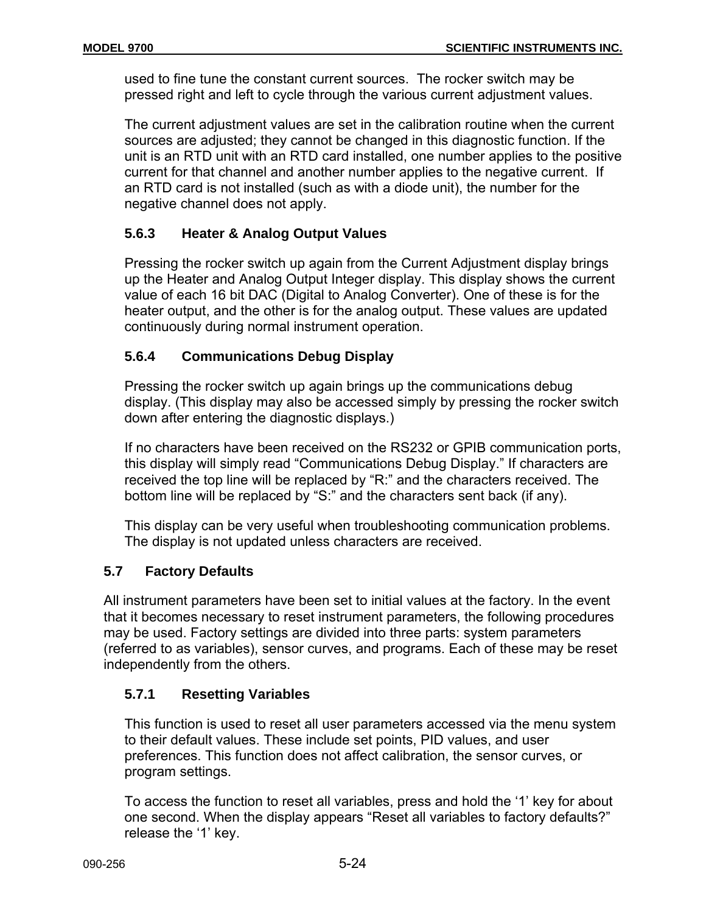used to fine tune the constant current sources. The rocker switch may be pressed right and left to cycle through the various current adjustment values.

The current adjustment values are set in the calibration routine when the current sources are adjusted; they cannot be changed in this diagnostic function. If the unit is an RTD unit with an RTD card installed, one number applies to the positive current for that channel and another number applies to the negative current. If an RTD card is not installed (such as with a diode unit), the number for the negative channel does not apply.

# **5.6.3 Heater & Analog Output Values**

Pressing the rocker switch up again from the Current Adjustment display brings up the Heater and Analog Output Integer display. This display shows the current value of each 16 bit DAC (Digital to Analog Converter). One of these is for the heater output, and the other is for the analog output. These values are updated continuously during normal instrument operation.

# **5.6.4 Communications Debug Display**

Pressing the rocker switch up again brings up the communications debug display. (This display may also be accessed simply by pressing the rocker switch down after entering the diagnostic displays.)

If no characters have been received on the RS232 or GPIB communication ports, this display will simply read "Communications Debug Display." If characters are received the top line will be replaced by "R:" and the characters received. The bottom line will be replaced by "S:" and the characters sent back (if any).

This display can be very useful when troubleshooting communication problems. The display is not updated unless characters are received.

# **5.7 Factory Defaults**

All instrument parameters have been set to initial values at the factory. In the event that it becomes necessary to reset instrument parameters, the following procedures may be used. Factory settings are divided into three parts: system parameters (referred to as variables), sensor curves, and programs. Each of these may be reset independently from the others.

# **5.7.1 Resetting Variables**

This function is used to reset all user parameters accessed via the menu system to their default values. These include set points, PID values, and user preferences. This function does not affect calibration, the sensor curves, or program settings.

To access the function to reset all variables, press and hold the '1' key for about one second. When the display appears "Reset all variables to factory defaults?" release the '1' key.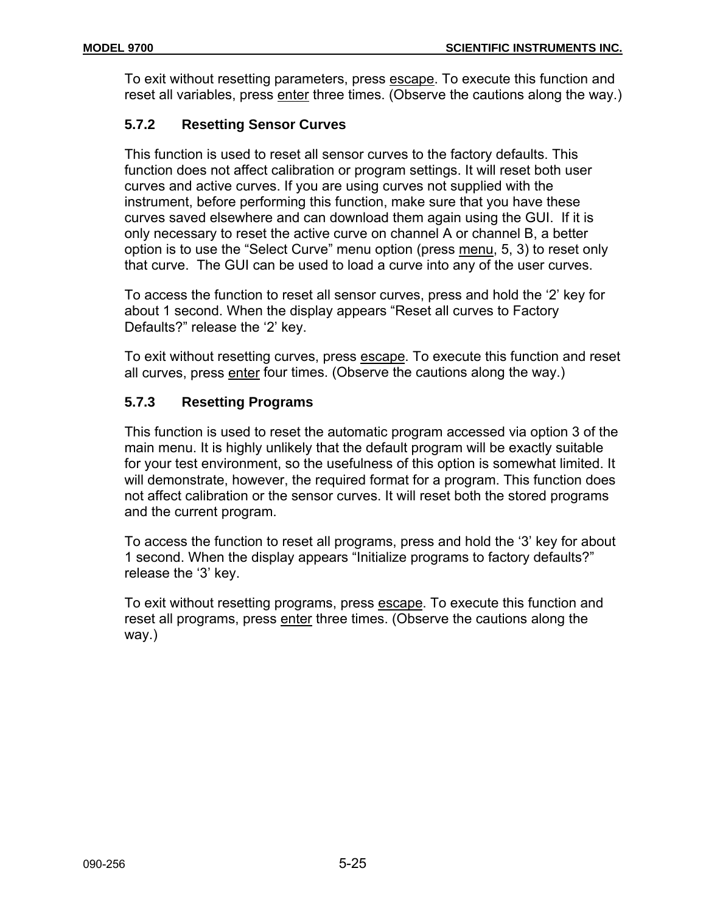To exit without resetting parameters, press escape. To execute this function and reset all variables, press enter three times. (Observe the cautions along the way.)

# **5.7.2 Resetting Sensor Curves**

This function is used to reset all sensor curves to the factory defaults. This function does not affect calibration or program settings. It will reset both user curves and active curves. If you are using curves not supplied with the instrument, before performing this function, make sure that you have these curves saved elsewhere and can download them again using the GUI. If it is only necessary to reset the active curve on channel A or channel B, a better option is to use the "Select Curve" menu option (press menu, 5, 3) to reset only that curve. The GUI can be used to load a curve into any of the user curves.

To access the function to reset all sensor curves, press and hold the '2' key for about 1 second. When the display appears "Reset all curves to Factory Defaults?" release the '2' key.

To exit without resetting curves, press escape. To execute this function and reset all curves, press enter four times. (Observe the cautions along the way.)

# **5.7.3 Resetting Programs**

This function is used to reset the automatic program accessed via option 3 of the main menu. It is highly unlikely that the default program will be exactly suitable for your test environment, so the usefulness of this option is somewhat limited. It will demonstrate, however, the required format for a program. This function does not affect calibration or the sensor curves. It will reset both the stored programs and the current program.

To access the function to reset all programs, press and hold the '3' key for about 1 second. When the display appears "Initialize programs to factory defaults?" release the '3' key.

To exit without resetting programs, press escape. To execute this function and reset all programs, press enter three times. (Observe the cautions along the way.)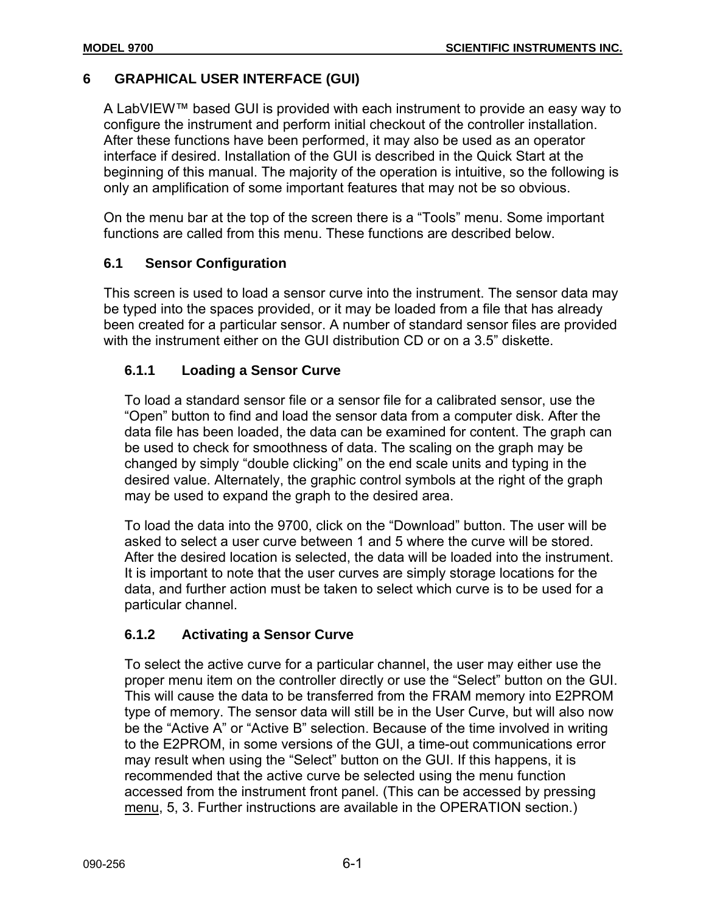# **6 GRAPHICAL USER INTERFACE (GUI)**

A LabVIEW™ based GUI is provided with each instrument to provide an easy way to configure the instrument and perform initial checkout of the controller installation. After these functions have been performed, it may also be used as an operator interface if desired. Installation of the GUI is described in the Quick Start at the beginning of this manual. The majority of the operation is intuitive, so the following is only an amplification of some important features that may not be so obvious.

On the menu bar at the top of the screen there is a "Tools" menu. Some important functions are called from this menu. These functions are described below.

# **6.1 Sensor Configuration**

This screen is used to load a sensor curve into the instrument. The sensor data may be typed into the spaces provided, or it may be loaded from a file that has already been created for a particular sensor. A number of standard sensor files are provided with the instrument either on the GUI distribution CD or on a 3.5" diskette.

# **6.1.1 Loading a Sensor Curve**

To load a standard sensor file or a sensor file for a calibrated sensor, use the "Open" button to find and load the sensor data from a computer disk. After the data file has been loaded, the data can be examined for content. The graph can be used to check for smoothness of data. The scaling on the graph may be changed by simply "double clicking" on the end scale units and typing in the desired value. Alternately, the graphic control symbols at the right of the graph may be used to expand the graph to the desired area.

To load the data into the 9700, click on the "Download" button. The user will be asked to select a user curve between 1 and 5 where the curve will be stored. After the desired location is selected, the data will be loaded into the instrument. It is important to note that the user curves are simply storage locations for the data, and further action must be taken to select which curve is to be used for a particular channel.

# **6.1.2 Activating a Sensor Curve**

To select the active curve for a particular channel, the user may either use the proper menu item on the controller directly or use the "Select" button on the GUI. This will cause the data to be transferred from the FRAM memory into E2PROM type of memory. The sensor data will still be in the User Curve, but will also now be the "Active A" or "Active B" selection. Because of the time involved in writing to the E2PROM, in some versions of the GUI, a time-out communications error may result when using the "Select" button on the GUI. If this happens, it is recommended that the active curve be selected using the menu function accessed from the instrument front panel. (This can be accessed by pressing menu, 5, 3. Further instructions are available in the OPERATION section.)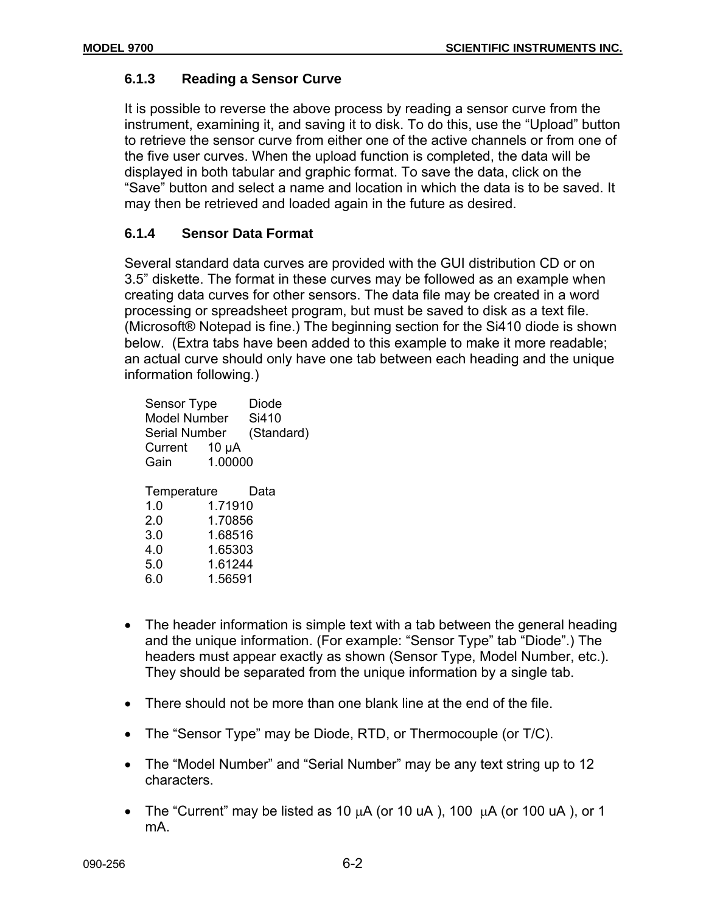# **6.1.3 Reading a Sensor Curve**

It is possible to reverse the above process by reading a sensor curve from the instrument, examining it, and saving it to disk. To do this, use the "Upload" button to retrieve the sensor curve from either one of the active channels or from one of the five user curves. When the upload function is completed, the data will be displayed in both tabular and graphic format. To save the data, click on the "Save" button and select a name and location in which the data is to be saved. It may then be retrieved and loaded again in the future as desired.

# **6.1.4 Sensor Data Format**

Several standard data curves are provided with the GUI distribution CD or on 3.5" diskette. The format in these curves may be followed as an example when creating data curves for other sensors. The data file may be created in a word processing or spreadsheet program, but must be saved to disk as a text file. (Microsoft® Notepad is fine.) The beginning section for the Si410 diode is shown below. (Extra tabs have been added to this example to make it more readable; an actual curve should only have one tab between each heading and the unique information following.)

|                                                                                                                                 | Si410<br>(Standard) |
|---------------------------------------------------------------------------------------------------------------------------------|---------------------|
| Temperature<br>Data<br>1.0<br>1.71910<br>1.70856<br>2 0<br>1.68516<br>3.0<br>1.65303<br>4.0<br>1.61244<br>5.0<br>1.56591<br>6.0 |                     |

- The header information is simple text with a tab between the general heading and the unique information. (For example: "Sensor Type" tab "Diode".) The headers must appear exactly as shown (Sensor Type, Model Number, etc.). They should be separated from the unique information by a single tab.
- There should not be more than one blank line at the end of the file.
- The "Sensor Type" may be Diode, RTD, or Thermocouple (or T/C).
- The "Model Number" and "Serial Number" may be any text string up to 12 characters.
- The "Current" may be listed as 10  $\mu$ A (or 10  $\mu$ A), 100  $\mu$ A (or 100  $\mu$ A), or 1 mA.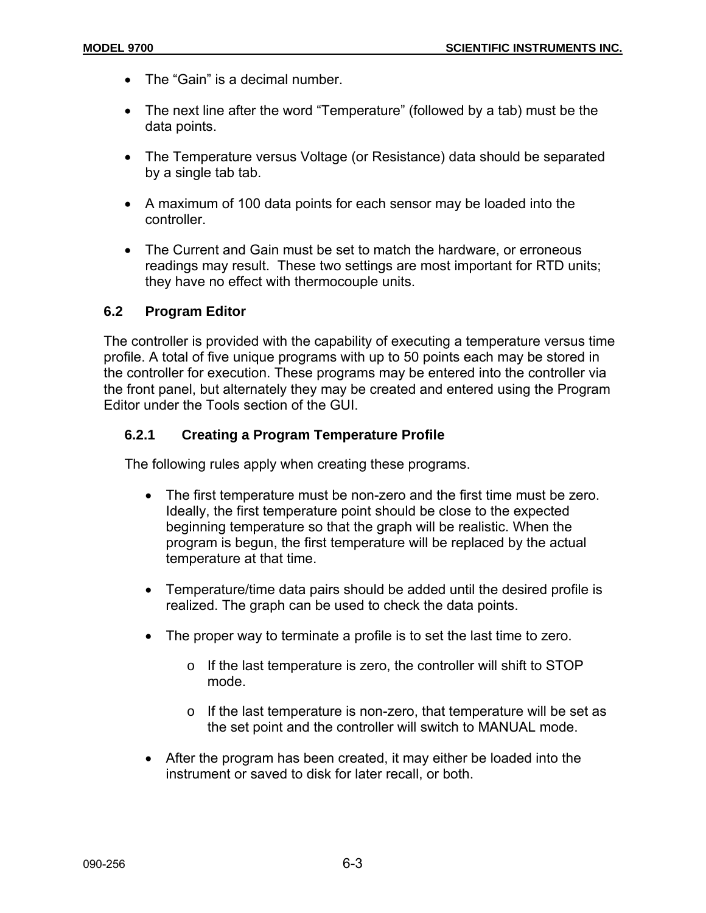- The "Gain" is a decimal number.
- The next line after the word "Temperature" (followed by a tab) must be the data points.
- The Temperature versus Voltage (or Resistance) data should be separated by a single tab tab.
- A maximum of 100 data points for each sensor may be loaded into the controller.
- The Current and Gain must be set to match the hardware, or erroneous readings may result. These two settings are most important for RTD units; they have no effect with thermocouple units.

#### **6.2 Program Editor**

The controller is provided with the capability of executing a temperature versus time profile. A total of five unique programs with up to 50 points each may be stored in the controller for execution. These programs may be entered into the controller via the front panel, but alternately they may be created and entered using the Program Editor under the Tools section of the GUI.

# **6.2.1 Creating a Program Temperature Profile**

The following rules apply when creating these programs.

- The first temperature must be non-zero and the first time must be zero. Ideally, the first temperature point should be close to the expected beginning temperature so that the graph will be realistic. When the program is begun, the first temperature will be replaced by the actual temperature at that time.
- Temperature/time data pairs should be added until the desired profile is realized. The graph can be used to check the data points.
- The proper way to terminate a profile is to set the last time to zero.
	- o If the last temperature is zero, the controller will shift to STOP mode.
	- o If the last temperature is non-zero, that temperature will be set as the set point and the controller will switch to MANUAL mode.
- After the program has been created, it may either be loaded into the instrument or saved to disk for later recall, or both.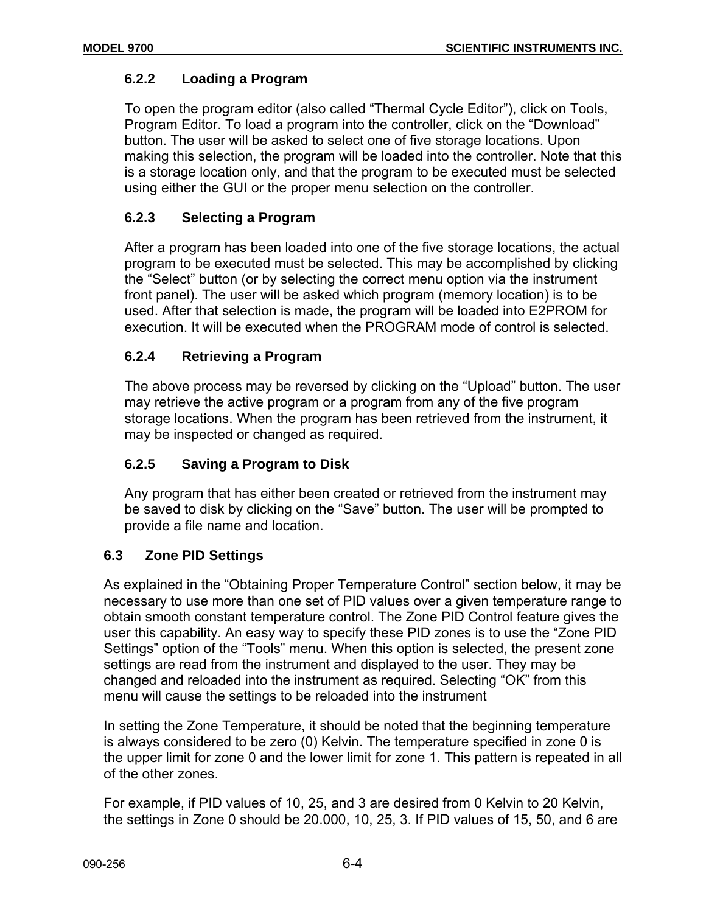# **6.2.2 Loading a Program**

To open the program editor (also called "Thermal Cycle Editor"), click on Tools, Program Editor. To load a program into the controller, click on the "Download" button. The user will be asked to select one of five storage locations. Upon making this selection, the program will be loaded into the controller. Note that this is a storage location only, and that the program to be executed must be selected using either the GUI or the proper menu selection on the controller.

# **6.2.3 Selecting a Program**

After a program has been loaded into one of the five storage locations, the actual program to be executed must be selected. This may be accomplished by clicking the "Select" button (or by selecting the correct menu option via the instrument front panel). The user will be asked which program (memory location) is to be used. After that selection is made, the program will be loaded into E2PROM for execution. It will be executed when the PROGRAM mode of control is selected.

# **6.2.4 Retrieving a Program**

The above process may be reversed by clicking on the "Upload" button. The user may retrieve the active program or a program from any of the five program storage locations. When the program has been retrieved from the instrument, it may be inspected or changed as required.

# **6.2.5 Saving a Program to Disk**

Any program that has either been created or retrieved from the instrument may be saved to disk by clicking on the "Save" button. The user will be prompted to provide a file name and location.

# **6.3 Zone PID Settings**

As explained in the "Obtaining Proper Temperature Control" section below, it may be necessary to use more than one set of PID values over a given temperature range to obtain smooth constant temperature control. The Zone PID Control feature gives the user this capability. An easy way to specify these PID zones is to use the "Zone PID Settings" option of the "Tools" menu. When this option is selected, the present zone settings are read from the instrument and displayed to the user. They may be changed and reloaded into the instrument as required. Selecting "OK" from this menu will cause the settings to be reloaded into the instrument

In setting the Zone Temperature, it should be noted that the beginning temperature is always considered to be zero (0) Kelvin. The temperature specified in zone 0 is the upper limit for zone 0 and the lower limit for zone 1. This pattern is repeated in all of the other zones.

For example, if PID values of 10, 25, and 3 are desired from 0 Kelvin to 20 Kelvin, the settings in Zone 0 should be 20.000, 10, 25, 3. If PID values of 15, 50, and 6 are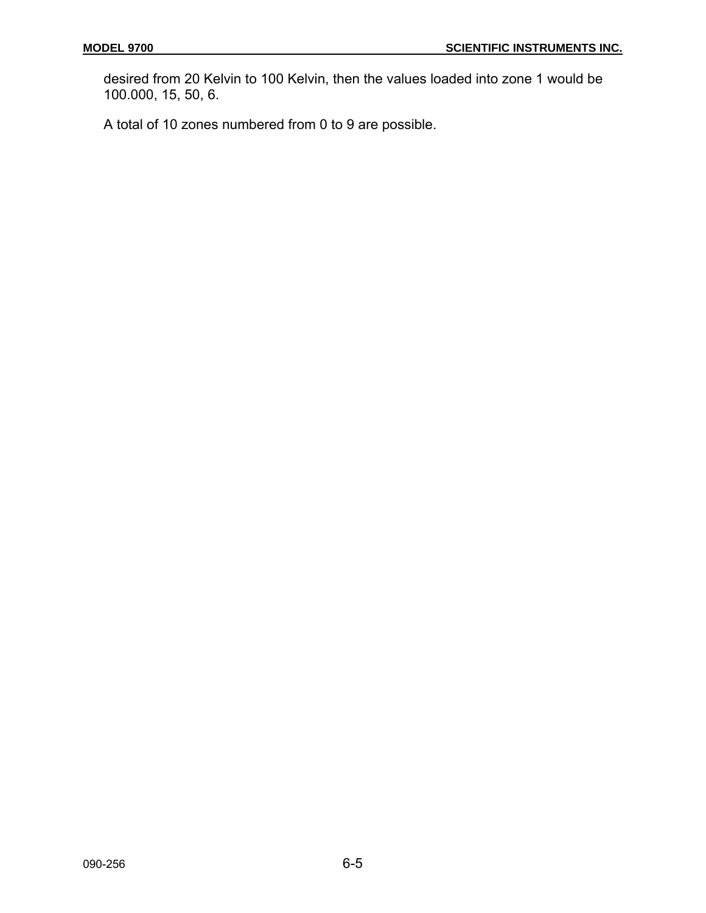desired from 20 Kelvin to 100 Kelvin, then the values loaded into zone 1 would be 100.000, 15, 50, 6.

A total of 10 zones numbered from 0 to 9 are possible.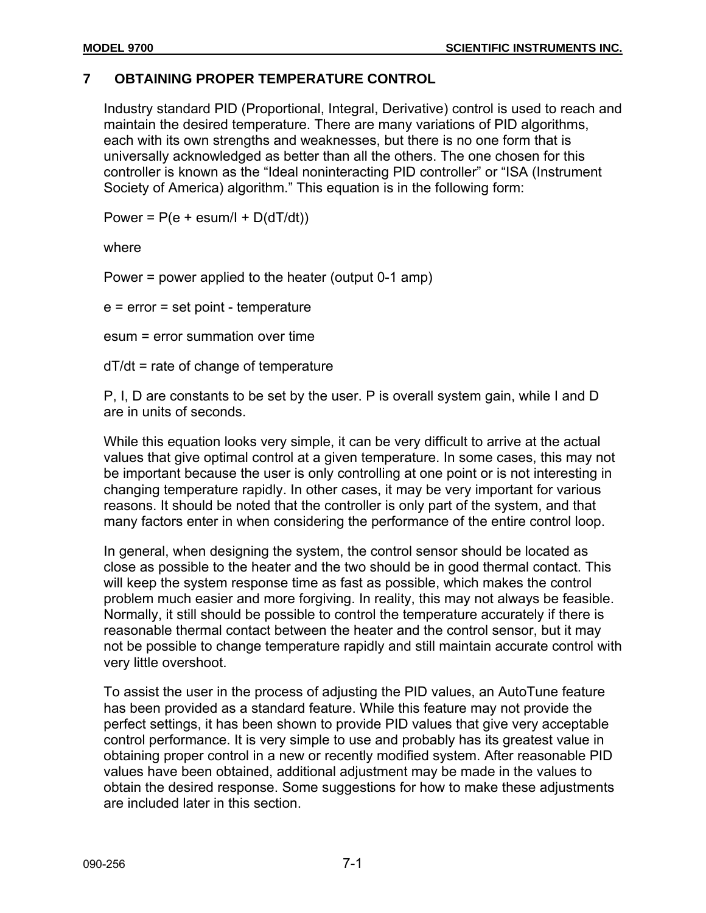# **7 OBTAINING PROPER TEMPERATURE CONTROL**

Industry standard PID (Proportional, Integral, Derivative) control is used to reach and maintain the desired temperature. There are many variations of PID algorithms, each with its own strengths and weaknesses, but there is no one form that is universally acknowledged as better than all the others. The one chosen for this controller is known as the "Ideal noninteracting PID controller" or "ISA (Instrument Society of America) algorithm." This equation is in the following form:

Power =  $P(e + \text{esum/l} + D(dT/dt))$ 

where

Power = power applied to the heater (output 0-1 amp)

e = error = set point - temperature

esum = error summation over time

dT/dt = rate of change of temperature

P, I, D are constants to be set by the user. P is overall system gain, while I and D are in units of seconds.

While this equation looks very simple, it can be very difficult to arrive at the actual values that give optimal control at a given temperature. In some cases, this may not be important because the user is only controlling at one point or is not interesting in changing temperature rapidly. In other cases, it may be very important for various reasons. It should be noted that the controller is only part of the system, and that many factors enter in when considering the performance of the entire control loop.

In general, when designing the system, the control sensor should be located as close as possible to the heater and the two should be in good thermal contact. This will keep the system response time as fast as possible, which makes the control problem much easier and more forgiving. In reality, this may not always be feasible. Normally, it still should be possible to control the temperature accurately if there is reasonable thermal contact between the heater and the control sensor, but it may not be possible to change temperature rapidly and still maintain accurate control with very little overshoot.

To assist the user in the process of adjusting the PID values, an AutoTune feature has been provided as a standard feature. While this feature may not provide the perfect settings, it has been shown to provide PID values that give very acceptable control performance. It is very simple to use and probably has its greatest value in obtaining proper control in a new or recently modified system. After reasonable PID values have been obtained, additional adjustment may be made in the values to obtain the desired response. Some suggestions for how to make these adjustments are included later in this section.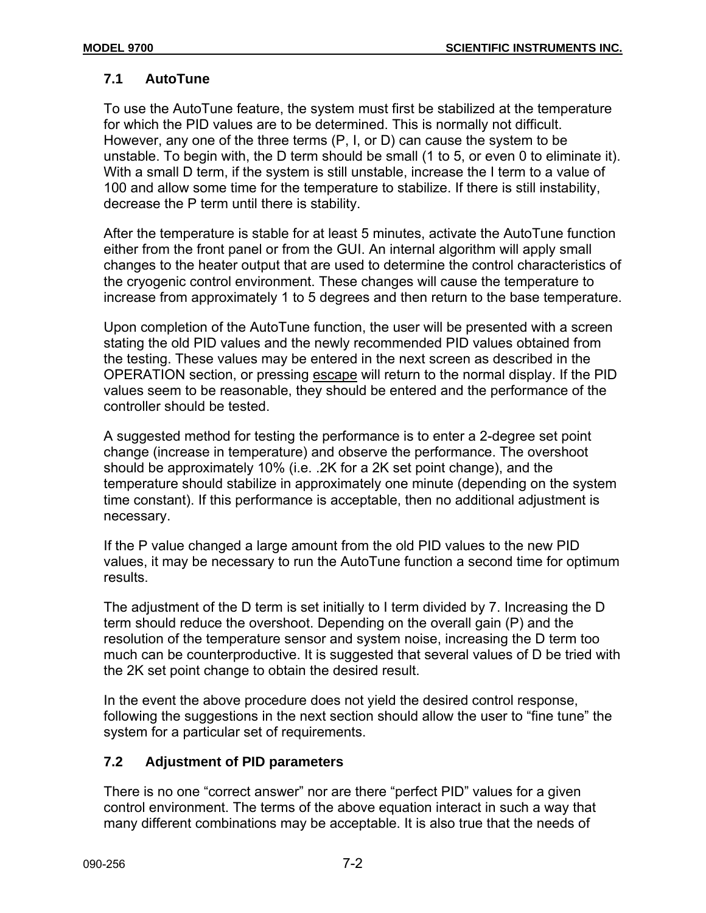# **7.1 AutoTune**

To use the AutoTune feature, the system must first be stabilized at the temperature for which the PID values are to be determined. This is normally not difficult. However, any one of the three terms (P, I, or D) can cause the system to be unstable. To begin with, the D term should be small (1 to 5, or even 0 to eliminate it). With a small D term, if the system is still unstable, increase the I term to a value of 100 and allow some time for the temperature to stabilize. If there is still instability, decrease the P term until there is stability.

After the temperature is stable for at least 5 minutes, activate the AutoTune function either from the front panel or from the GUI. An internal algorithm will apply small changes to the heater output that are used to determine the control characteristics of the cryogenic control environment. These changes will cause the temperature to increase from approximately 1 to 5 degrees and then return to the base temperature.

Upon completion of the AutoTune function, the user will be presented with a screen stating the old PID values and the newly recommended PID values obtained from the testing. These values may be entered in the next screen as described in the OPERATION section, or pressing escape will return to the normal display. If the PID values seem to be reasonable, they should be entered and the performance of the controller should be tested.

A suggested method for testing the performance is to enter a 2-degree set point change (increase in temperature) and observe the performance. The overshoot should be approximately 10% (i.e. .2K for a 2K set point change), and the temperature should stabilize in approximately one minute (depending on the system time constant). If this performance is acceptable, then no additional adjustment is necessary.

If the P value changed a large amount from the old PID values to the new PID values, it may be necessary to run the AutoTune function a second time for optimum results.

The adjustment of the D term is set initially to I term divided by 7. Increasing the D term should reduce the overshoot. Depending on the overall gain (P) and the resolution of the temperature sensor and system noise, increasing the D term too much can be counterproductive. It is suggested that several values of D be tried with the 2K set point change to obtain the desired result.

In the event the above procedure does not yield the desired control response, following the suggestions in the next section should allow the user to "fine tune" the system for a particular set of requirements.

# **7.2 Adjustment of PID parameters**

There is no one "correct answer" nor are there "perfect PID" values for a given control environment. The terms of the above equation interact in such a way that many different combinations may be acceptable. It is also true that the needs of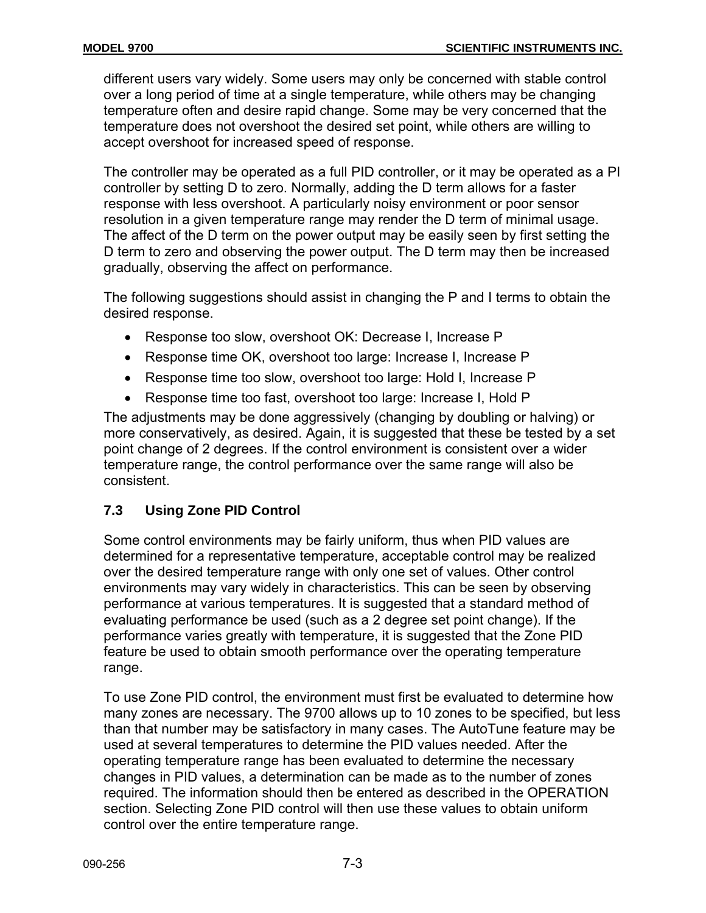different users vary widely. Some users may only be concerned with stable control over a long period of time at a single temperature, while others may be changing temperature often and desire rapid change. Some may be very concerned that the temperature does not overshoot the desired set point, while others are willing to accept overshoot for increased speed of response.

The controller may be operated as a full PID controller, or it may be operated as a PI controller by setting D to zero. Normally, adding the D term allows for a faster response with less overshoot. A particularly noisy environment or poor sensor resolution in a given temperature range may render the D term of minimal usage. The affect of the D term on the power output may be easily seen by first setting the D term to zero and observing the power output. The D term may then be increased gradually, observing the affect on performance.

The following suggestions should assist in changing the P and I terms to obtain the desired response.

- Response too slow, overshoot OK: Decrease I, Increase P
- Response time OK, overshoot too large: Increase I, Increase P
- Response time too slow, overshoot too large: Hold I, Increase P
- Response time too fast, overshoot too large: Increase I, Hold P

The adjustments may be done aggressively (changing by doubling or halving) or more conservatively, as desired. Again, it is suggested that these be tested by a set point change of 2 degrees. If the control environment is consistent over a wider temperature range, the control performance over the same range will also be consistent.

# **7.3 Using Zone PID Control**

Some control environments may be fairly uniform, thus when PID values are determined for a representative temperature, acceptable control may be realized over the desired temperature range with only one set of values. Other control environments may vary widely in characteristics. This can be seen by observing performance at various temperatures. It is suggested that a standard method of evaluating performance be used (such as a 2 degree set point change). If the performance varies greatly with temperature, it is suggested that the Zone PID feature be used to obtain smooth performance over the operating temperature range.

To use Zone PID control, the environment must first be evaluated to determine how many zones are necessary. The 9700 allows up to 10 zones to be specified, but less than that number may be satisfactory in many cases. The AutoTune feature may be used at several temperatures to determine the PID values needed. After the operating temperature range has been evaluated to determine the necessary changes in PID values, a determination can be made as to the number of zones required. The information should then be entered as described in the OPERATION section. Selecting Zone PID control will then use these values to obtain uniform control over the entire temperature range.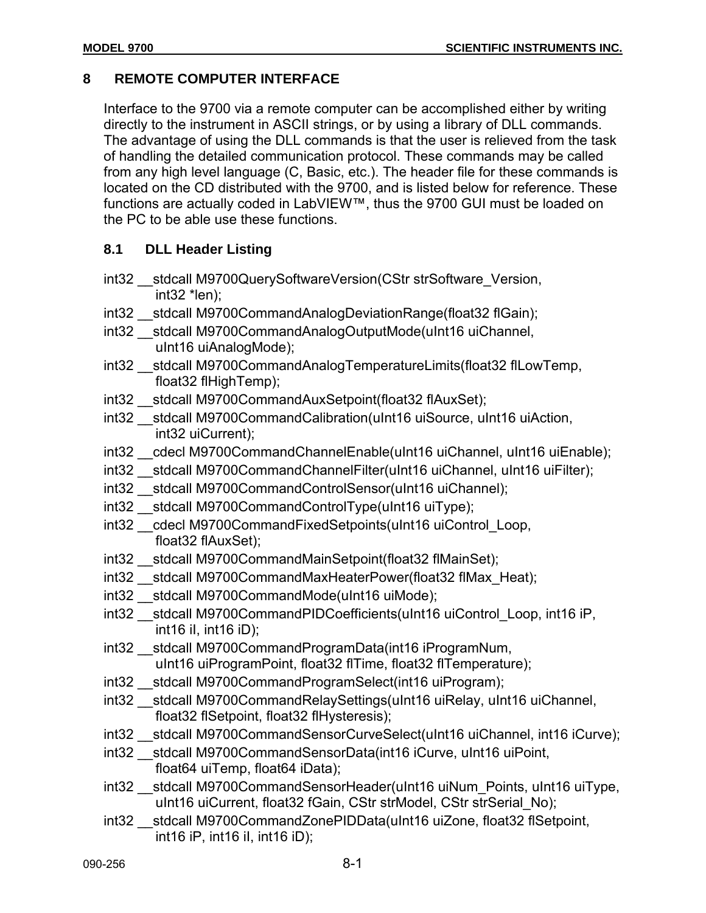# **8 REMOTE COMPUTER INTERFACE**

Interface to the 9700 via a remote computer can be accomplished either by writing directly to the instrument in ASCII strings, or by using a library of DLL commands. The advantage of using the DLL commands is that the user is relieved from the task of handling the detailed communication protocol. These commands may be called from any high level language (C, Basic, etc.). The header file for these commands is located on the CD distributed with the 9700, and is listed below for reference. These functions are actually coded in LabVIEW™, thus the 9700 GUI must be loaded on the PC to be able use these functions.

# **8.1 DLL Header Listing**

- int32 stdcall M9700QuerySoftwareVersion(CStr strSoftware Version,  $int32$  \*len);
- int32 stdcall M9700CommandAnalogDeviationRange(float32 flGain);
- int32 \_\_stdcall M9700CommandAnalogOutputMode(uInt16 uiChannel, uInt16 uiAnalogMode);
- int32 stdcall M9700CommandAnalogTemperatureLimits(float32 flLowTemp, float32 flHighTemp);
- int32 stdcall M9700CommandAuxSetpoint(float32 flAuxSet);
- int32 \_\_stdcall M9700CommandCalibration(uInt16 uiSource, uInt16 uiAction, int32 uiCurrent);
- int32 cdecl M9700CommandChannelEnable(uInt16 uiChannel, uInt16 uiEnable);
- int32 stdcall M9700CommandChannelFilter(uInt16 uiChannel, uInt16 uiFilter);
- int32 stdcall M9700CommandControlSensor(uInt16 uiChannel);
- int32 \_\_stdcall M9700CommandControlType(uInt16 uiType);
- int32 \_\_cdecl M9700CommandFixedSetpoints(uInt16 uiControl\_Loop, float32 flAuxSet);
- int32 stdcall M9700CommandMainSetpoint(float32 flMainSet);
- int32 stdcall M9700CommandMaxHeaterPower(float32 flMax Heat);
- int32 stdcall M9700CommandMode(uInt16 uiMode);
- int32 \_\_stdcall M9700CommandPIDCoefficients(uInt16 uiControl\_Loop, int16 iP, int16 iI, int16 iD);
- int32 \_\_stdcall M9700CommandProgramData(int16 iProgramNum, uInt16 uiProgramPoint, float32 flTime, float32 flTemperature);
- int32 stdcall M9700CommandProgramSelect(int16 uiProgram);
- int32 \_\_stdcall M9700CommandRelaySettings(uInt16 uiRelay, uInt16 uiChannel, float32 flSetpoint, float32 flHysteresis);
- int32 stdcall M9700CommandSensorCurveSelect(uInt16 uiChannel, int16 iCurve);
- int32 \_\_stdcall M9700CommandSensorData(int16 iCurve, uInt16 uiPoint, float64 uiTemp, float64 iData);
- int32 \_\_stdcall M9700CommandSensorHeader(uInt16 uiNum\_Points, uInt16 uiType, uInt16 uiCurrent, float32 fGain, CStr strModel, CStr strSerial No);
- int32 \_\_stdcall M9700CommandZonePIDData(uInt16 uiZone, float32 flSetpoint, int16 iP, int16 iI, int16 iD);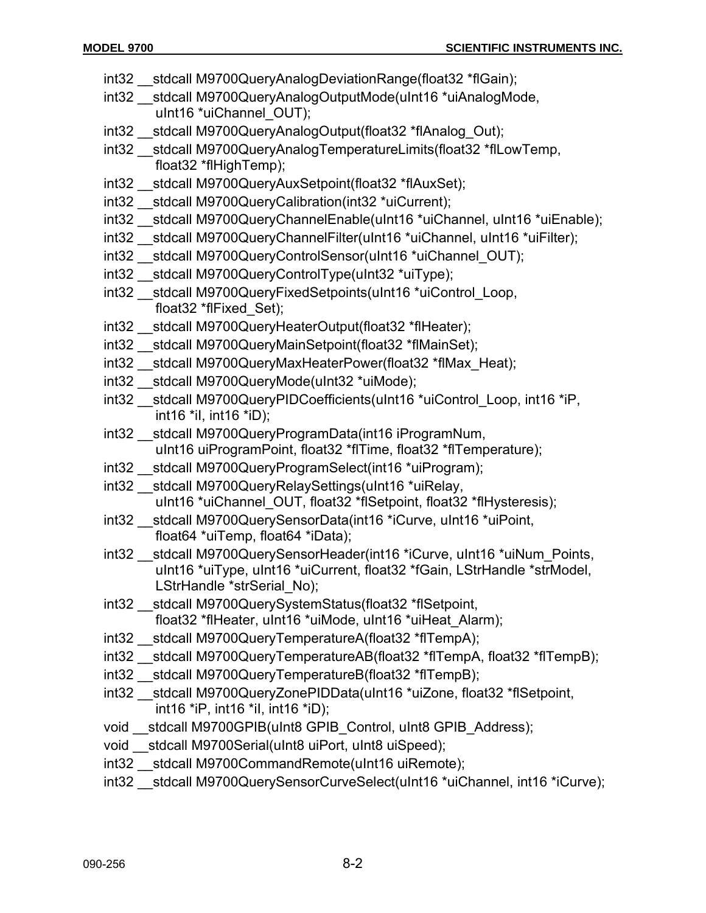- int32 stdcall M9700QueryAnalogDeviationRange(float32 \*flGain);
- int32 stdcall M9700QueryAnalogOutputMode(uInt16 \*uiAnalogMode, uInt16 \*uiChannel OUT);
- int32 stdcall M9700QueryAnalogOutput(float32 \*flAnalog\_Out);
- int32 \_\_stdcall M9700QueryAnalogTemperatureLimits(float32 \*flLowTemp, float32 \*flHighTemp);
- int32 stdcall M9700QueryAuxSetpoint(float32 \*flAuxSet);
- int32 \_\_stdcall M9700QueryCalibration(int32 \*uiCurrent);
- int32 \_\_stdcall M9700QueryChannelEnable(uInt16 \*uiChannel, uInt16 \*uiEnable);
- int32 stdcall M9700QueryChannelFilter(uInt16 \*uiChannel, uInt16 \*uiFilter);
- int32 stdcall M9700QueryControlSensor(uInt16 \*uiChannel OUT);
- int32 \_\_stdcall M9700QueryControlType(uInt32 \*uiType);
- int32 \_\_stdcall M9700QueryFixedSetpoints(uInt16 \*uiControl\_Loop, float32 \*flFixed\_Set);
- int32 \_\_stdcall M9700QueryHeaterOutput(float32 \*flHeater);
- int32 \_\_stdcall M9700QueryMainSetpoint(float32 \*flMainSet);
- int32 stdcall M9700QueryMaxHeaterPower(float32 \*flMax Heat);
- int32 stdcall M9700QueryMode(uInt32 \*uiMode);
- int32 stdcall M9700QueryPIDCoefficients(uInt16 \*uiControl\_Loop, int16 \*iP, int16 \*iI, int16 \*iD);
- int32 \_\_stdcall M9700QueryProgramData(int16 iProgramNum, uInt16 uiProgramPoint, float32 \*flTime, float32 \*flTemperature);
- int32 \_\_stdcall M9700QueryProgramSelect(int16 \*uiProgram);
- int32 \_\_stdcall M9700QueryRelaySettings(uInt16 \*uiRelay, uInt16 \*uiChannel OUT, float32 \*flSetpoint, float32 \*flHysteresis);
- int32 stdcall M9700QuerySensorData(int16 \*iCurve, uInt16 \*uiPoint, float64 \*uiTemp, float64 \*iData);
- int32 \_\_stdcall M9700QuerySensorHeader(int16 \*iCurve, uInt16 \*uiNum\_Points, uInt16 \*uiType, uInt16 \*uiCurrent, float32 \*fGain, LStrHandle \*strModel, LStrHandle \*strSerial\_No);
- int32 \_\_stdcall M9700QuerySystemStatus(float32 \*flSetpoint, float32 \*flHeater, uInt16 \*uiMode, uInt16 \*uiHeat\_Alarm);
- int32 stdcall M9700QueryTemperatureA(float32 \*flTempA);
- int32 stdcall M9700QueryTemperatureAB(float32 \*flTempA, float32 \*flTempB);
- int32 \_\_stdcall M9700QueryTemperatureB(float32 \*flTempB);
- int32 stdcall M9700QueryZonePIDData(uInt16 \*uiZone, float32 \*flSetpoint, int16 \*iP, int16 \*iI, int16 \*iD);
- void \_\_stdcall M9700GPIB(uInt8 GPIB\_Control, uInt8 GPIB\_Address);
- void stdcall M9700Serial(uInt8 uiPort, uInt8 uiSpeed);
- int32 stdcall M9700CommandRemote(uInt16 uiRemote);
- int32 stdcall M9700QuerySensorCurveSelect(uInt16 \*uiChannel, int16 \*iCurve);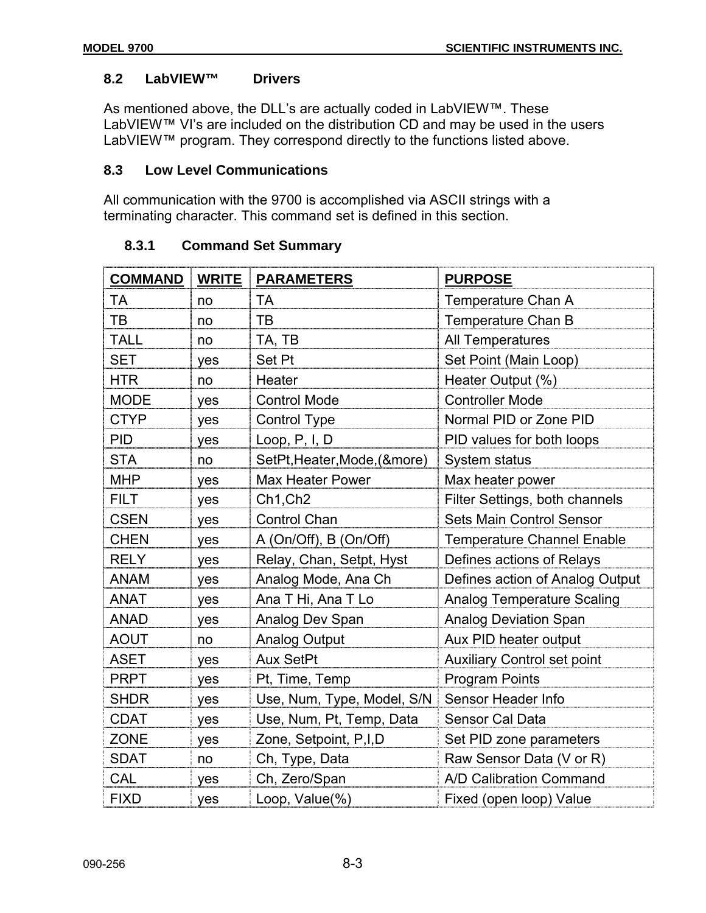# **8.2 LabVIEW™ Drivers**

As mentioned above, the DLL's are actually coded in LabVIEW™. These LabVIEW™ VI's are included on the distribution CD and may be used in the users LabVIEW™ program. They correspond directly to the functions listed above.

# **8.3 Low Level Communications**

All communication with the 9700 is accomplished via ASCII strings with a terminating character. This command set is defined in this section.

| <b>COMMAND</b> | <b>WRITE</b> | <b>PARAMETERS</b>            | <b>PURPOSE</b>                     |
|----------------|--------------|------------------------------|------------------------------------|
| TA             | no           | TA                           | Temperature Chan A                 |
| TB             | no           | TB                           | Temperature Chan B                 |
| <b>TALL</b>    | no           | TA, TB                       | All Temperatures                   |
| <b>SET</b>     | yes          | Set Pt                       | Set Point (Main Loop)              |
| <b>HTR</b>     | no           | Heater                       | Heater Output (%)                  |
| <b>MODE</b>    | yes          | <b>Control Mode</b>          | <b>Controller Mode</b>             |
| <b>CTYP</b>    | yes          | <b>Control Type</b>          | Normal PID or Zone PID             |
| <b>PID</b>     | yes          | Loop, $P, I, D$              | PID values for both loops          |
| <b>STA</b>     | no           | SetPt, Heater, Mode, (&more) | System status                      |
| <b>MHP</b>     | yes          | Max Heater Power             | Max heater power                   |
| <b>FILT</b>    | yes          | Ch1, Ch2                     | Filter Settings, both channels     |
| <b>CSEN</b>    | yes          | <b>Control Chan</b>          | <b>Sets Main Control Sensor</b>    |
| <b>CHEN</b>    | yes          | A (On/Off), B (On/Off)       | <b>Temperature Channel Enable</b>  |
| <b>RELY</b>    | yes          | Relay, Chan, Setpt, Hyst     | Defines actions of Relays          |
| <b>ANAM</b>    | yes          | Analog Mode, Ana Ch          | Defines action of Analog Output    |
| <b>ANAT</b>    | yes          | Ana T Hi, Ana T Lo           | <b>Analog Temperature Scaling</b>  |
| <b>ANAD</b>    | yes          | Analog Dev Span              | <b>Analog Deviation Span</b>       |
| <b>AOUT</b>    | no           | <b>Analog Output</b>         | Aux PID heater output              |
| <b>ASET</b>    | yes          | <b>Aux SetPt</b>             | <b>Auxiliary Control set point</b> |
| <b>PRPT</b>    | yes          | Pt, Time, Temp               | <b>Program Points</b>              |
| <b>SHDR</b>    | yes          | Use, Num, Type, Model, S/N   | Sensor Header Info                 |
| <b>CDAT</b>    | yes          | Use, Num, Pt, Temp, Data     | Sensor Cal Data                    |
| <b>ZONE</b>    | yes          | Zone, Setpoint, P,I,D        | Set PID zone parameters            |
| <b>SDAT</b>    | no           | Ch, Type, Data               | Raw Sensor Data (V or R)           |
| CAL            | yes          | Ch, Zero/Span                | A/D Calibration Command            |
| <b>FIXD</b>    | yes          | Loop, Value(%)               | Fixed (open loop) Value            |

# **8.3.1 Command Set Summary**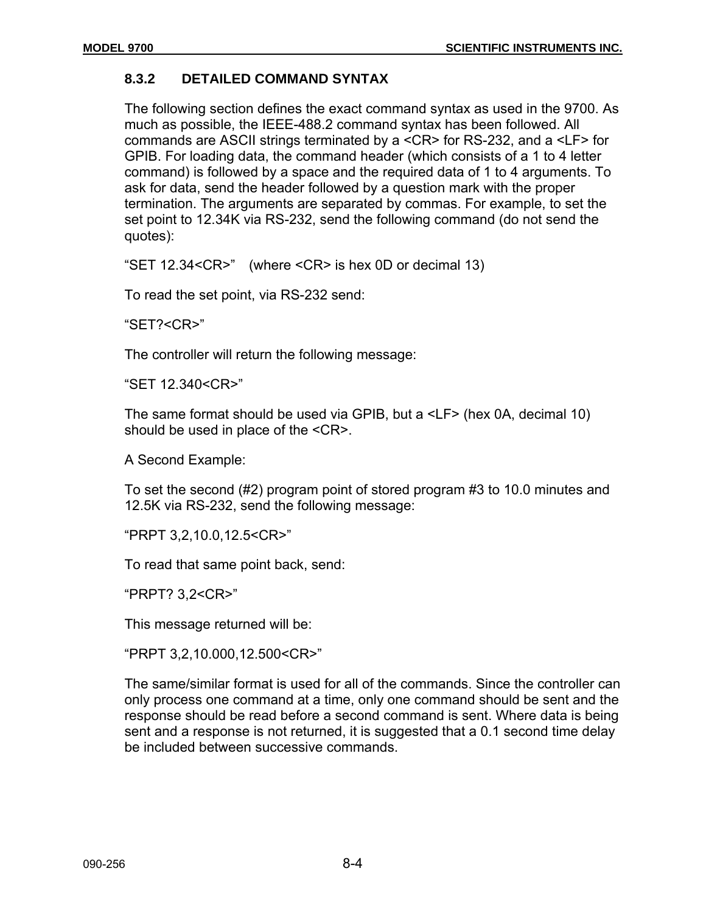# **8.3.2 DETAILED COMMAND SYNTAX**

The following section defines the exact command syntax as used in the 9700. As much as possible, the IEEE-488.2 command syntax has been followed. All commands are ASCII strings terminated by a <CR> for RS-232, and a <LF> for GPIB. For loading data, the command header (which consists of a 1 to 4 letter command) is followed by a space and the required data of 1 to 4 arguments. To ask for data, send the header followed by a question mark with the proper termination. The arguments are separated by commas. For example, to set the set point to 12.34K via RS-232, send the following command (do not send the quotes):

"SET 12.34<CR>" (where <CR> is hex 0D or decimal 13)

To read the set point, via RS-232 send:

"SET?<CR>"

The controller will return the following message:

"SET 12.340<CR>"

The same format should be used via GPIB, but a <LF> (hex 0A, decimal 10) should be used in place of the <CR>.

A Second Example:

To set the second (#2) program point of stored program #3 to 10.0 minutes and 12.5K via RS-232, send the following message:

"PRPT 3,2,10.0,12.5<CR>"

To read that same point back, send:

"PRPT? 3,2<CR>"

This message returned will be:

"PRPT 3,2,10.000,12.500<CR>"

The same/similar format is used for all of the commands. Since the controller can only process one command at a time, only one command should be sent and the response should be read before a second command is sent. Where data is being sent and a response is not returned, it is suggested that a 0.1 second time delay be included between successive commands.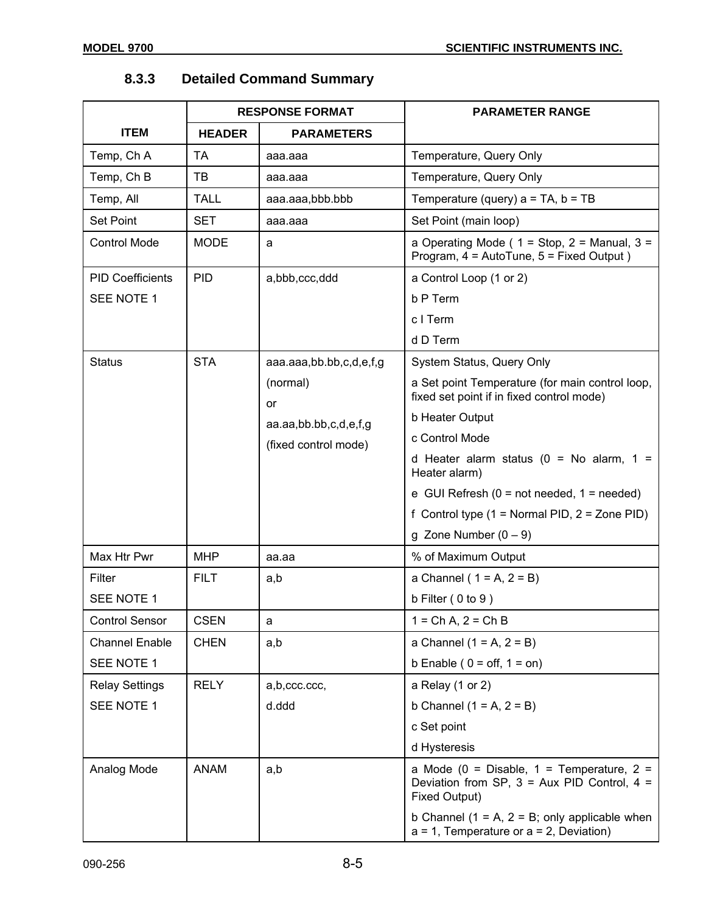|                         | <b>RESPONSE FORMAT</b> |                                                                 | <b>PARAMETER RANGE</b>                                                                                               |  |
|-------------------------|------------------------|-----------------------------------------------------------------|----------------------------------------------------------------------------------------------------------------------|--|
| <b>ITEM</b>             | <b>HEADER</b>          | <b>PARAMETERS</b>                                               |                                                                                                                      |  |
| Temp, Ch A              | <b>TA</b>              | aaa.aaa                                                         | Temperature, Query Only                                                                                              |  |
| Temp, Ch B              | TВ                     | aaa.aaa                                                         | Temperature, Query Only                                                                                              |  |
| Temp, All               | <b>TALL</b>            | aaa.aaa,bbb.bbb                                                 | Temperature (query) $a = TA$ , $b = TB$                                                                              |  |
| <b>Set Point</b>        | <b>SET</b>             | aaa.aaa                                                         | Set Point (main loop)                                                                                                |  |
| <b>Control Mode</b>     | <b>MODE</b>            | a                                                               | a Operating Mode ( $1 =$ Stop, $2 =$ Manual, $3 =$<br>Program, 4 = AutoTune, 5 = Fixed Output)                       |  |
| <b>PID Coefficients</b> | <b>PID</b>             | a,bbb,ccc,ddd                                                   | a Control Loop (1 or 2)                                                                                              |  |
| SEE NOTE 1              |                        |                                                                 | b P Term                                                                                                             |  |
|                         |                        |                                                                 | c I Term                                                                                                             |  |
|                         |                        |                                                                 | d D Term                                                                                                             |  |
| <b>Status</b>           | <b>STA</b>             | aaa.aaa,bb.bb,c,d,e,f,g                                         | System Status, Query Only                                                                                            |  |
|                         |                        | (normal)<br>or<br>aa.aa,bb.bb,c,d,e,f,g<br>(fixed control mode) | a Set point Temperature (for main control loop,<br>fixed set point if in fixed control mode)                         |  |
|                         |                        |                                                                 | b Heater Output                                                                                                      |  |
|                         |                        |                                                                 | c Control Mode                                                                                                       |  |
|                         |                        |                                                                 | d Heater alarm status ( $0 = No$ alarm, $1 =$<br>Heater alarm)                                                       |  |
|                         |                        |                                                                 | e GUI Refresh ( $0 = not needed$ , $1 = needed$ )                                                                    |  |
|                         |                        |                                                                 | f Control type $(1 = Normal PID, 2 = Zone PID)$                                                                      |  |
|                         |                        |                                                                 | g Zone Number $(0 - 9)$                                                                                              |  |
| Max Htr Pwr             | <b>MHP</b>             | aa.aa                                                           | % of Maximum Output                                                                                                  |  |
| Filter                  | <b>FILT</b>            | a,b                                                             | a Channel ( $1 = A$ , $2 = B$ )                                                                                      |  |
| SEE NOTE 1              |                        |                                                                 | b Filter $(0 to 9)$                                                                                                  |  |
| <b>Control Sensor</b>   | <b>CSEN</b>            | a                                                               | $1 = Ch A$ , $2 = Ch B$                                                                                              |  |
| <b>Channel Enable</b>   | <b>CHEN</b>            | a,b                                                             | a Channel $(1 = A, 2 = B)$                                                                                           |  |
| SEE NOTE 1              |                        |                                                                 | b Enable ( $0 = \text{off}, 1 = \text{on}$ )                                                                         |  |
| <b>Relay Settings</b>   | <b>RELY</b>            | a,b,ccc.ccc,                                                    | a Relay $(1 or 2)$                                                                                                   |  |
| SEE NOTE 1              |                        | d.ddd                                                           | b Channel $(1 = A, 2 = B)$                                                                                           |  |
|                         |                        |                                                                 | c Set point                                                                                                          |  |
|                         |                        |                                                                 | d Hysteresis                                                                                                         |  |
| Analog Mode             | <b>ANAM</b>            | a,b                                                             | a Mode (0 = Disable, 1 = Temperature, 2 =<br>Deviation from SP, $3 = Aux$ PID Control, $4 =$<br><b>Fixed Output)</b> |  |
|                         |                        |                                                                 | b Channel ( $1 = A$ , $2 = B$ ; only applicable when<br>$a = 1$ , Temperature or $a = 2$ , Deviation)                |  |

# **8.3.3 Detailed Command Summary**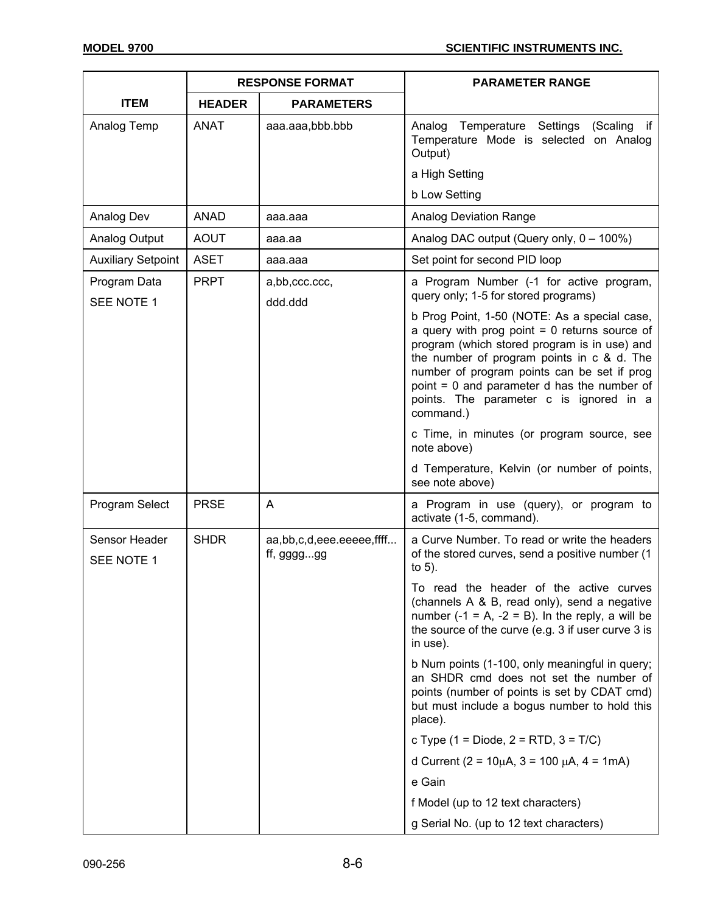|                             | <b>RESPONSE FORMAT</b> |                                        | <b>PARAMETER RANGE</b>                                                                                                                                                                                                                                                                                                                              |  |
|-----------------------------|------------------------|----------------------------------------|-----------------------------------------------------------------------------------------------------------------------------------------------------------------------------------------------------------------------------------------------------------------------------------------------------------------------------------------------------|--|
| <b>ITEM</b>                 | <b>HEADER</b>          | <b>PARAMETERS</b>                      |                                                                                                                                                                                                                                                                                                                                                     |  |
| Analog Temp                 | <b>ANAT</b>            | aaa.aaa,bbb.bbb                        | Analog Temperature Settings (Scaling if<br>Temperature Mode is selected on Analog<br>Output)<br>a High Setting                                                                                                                                                                                                                                      |  |
|                             | <b>ANAD</b>            |                                        | b Low Setting                                                                                                                                                                                                                                                                                                                                       |  |
| Analog Dev                  | <b>AOUT</b>            | aaa.aaa                                | <b>Analog Deviation Range</b>                                                                                                                                                                                                                                                                                                                       |  |
| Analog Output               |                        | aaa.aa                                 | Analog DAC output (Query only, 0 - 100%)                                                                                                                                                                                                                                                                                                            |  |
| <b>Auxiliary Setpoint</b>   | <b>ASET</b>            | aaa.aaa                                | Set point for second PID loop                                                                                                                                                                                                                                                                                                                       |  |
| Program Data<br>SEE NOTE 1  | <b>PRPT</b>            | a,bb,ccc.ccc,<br>ddd.ddd               | a Program Number (-1 for active program,<br>query only; 1-5 for stored programs)                                                                                                                                                                                                                                                                    |  |
|                             |                        |                                        | b Prog Point, 1-50 (NOTE: As a special case,<br>a query with prog point $= 0$ returns source of<br>program (which stored program is in use) and<br>the number of program points in c & d. The<br>number of program points can be set if prog<br>point = 0 and parameter d has the number of<br>points. The parameter c is ignored in a<br>command.) |  |
|                             |                        |                                        | c Time, in minutes (or program source, see<br>note above)                                                                                                                                                                                                                                                                                           |  |
|                             |                        |                                        | d Temperature, Kelvin (or number of points,<br>see note above)                                                                                                                                                                                                                                                                                      |  |
| Program Select              | <b>PRSE</b>            | A                                      | a Program in use (query), or program to<br>activate (1-5, command).                                                                                                                                                                                                                                                                                 |  |
| Sensor Header<br>SEE NOTE 1 | <b>SHDR</b>            | aa,bb,c,d,eee.eeeee,ffff<br>ff, gggggg | a Curve Number. To read or write the headers<br>of the stored curves, send a positive number (1<br>to $5$ ).                                                                                                                                                                                                                                        |  |
|                             |                        |                                        | To read the header of the active curves<br>(channels A & B, read only), send a negative<br>number $(-1 = A, -2 = B)$ . In the reply, a will be<br>the source of the curve (e.g. 3 if user curve 3 is<br>in use).                                                                                                                                    |  |
|                             |                        |                                        | b Num points (1-100, only meaningful in query;<br>an SHDR cmd does not set the number of<br>points (number of points is set by CDAT cmd)<br>but must include a bogus number to hold this<br>place).                                                                                                                                                 |  |
|                             |                        |                                        | c Type $(1 = Diode, 2 = RTD, 3 = T/C)$                                                                                                                                                                                                                                                                                                              |  |
|                             |                        |                                        | d Current (2 = $10\mu$ A, 3 = $100 \mu$ A, 4 = $1$ mA)                                                                                                                                                                                                                                                                                              |  |
|                             |                        |                                        | e Gain                                                                                                                                                                                                                                                                                                                                              |  |
|                             |                        |                                        | f Model (up to 12 text characters)                                                                                                                                                                                                                                                                                                                  |  |
|                             |                        |                                        | g Serial No. (up to 12 text characters)                                                                                                                                                                                                                                                                                                             |  |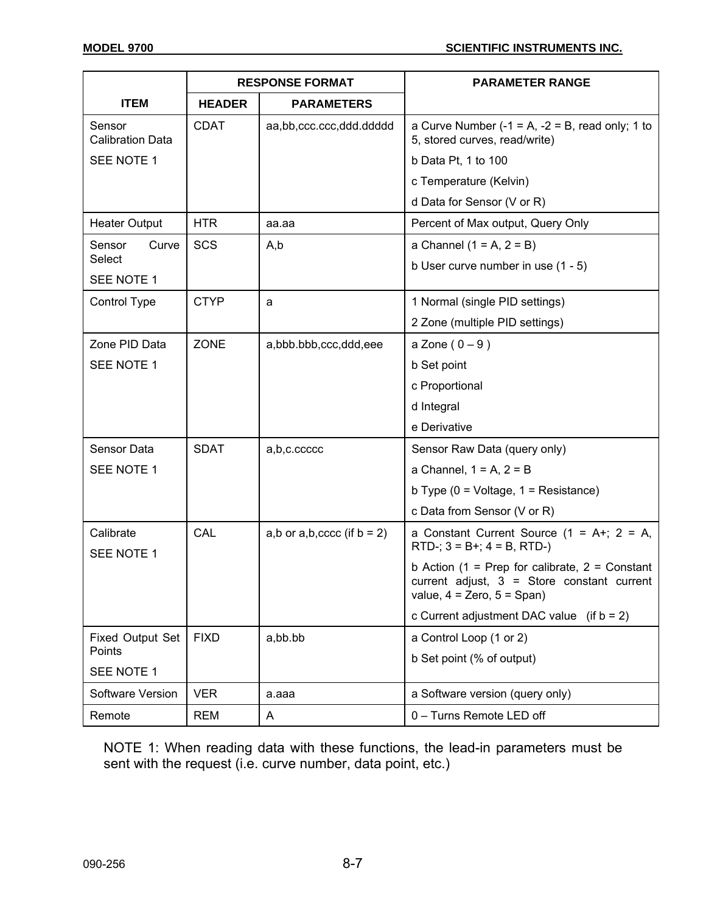|                                   | <b>RESPONSE FORMAT</b> |                                 | <b>PARAMETER RANGE</b>                                                                                                             |  |
|-----------------------------------|------------------------|---------------------------------|------------------------------------------------------------------------------------------------------------------------------------|--|
| <b>ITEM</b>                       | <b>HEADER</b>          | <b>PARAMETERS</b>               |                                                                                                                                    |  |
| Sensor<br><b>Calibration Data</b> | <b>CDAT</b>            | aa,bb,ccc.ccc,ddd.ddddd         | a Curve Number $(-1 = A, -2 = B,$ read only; 1 to<br>5, stored curves, read/write)                                                 |  |
| SEE NOTE 1                        |                        |                                 | b Data Pt, 1 to 100                                                                                                                |  |
|                                   |                        |                                 | c Temperature (Kelvin)                                                                                                             |  |
|                                   |                        |                                 | d Data for Sensor (V or R)                                                                                                         |  |
| <b>Heater Output</b>              | <b>HTR</b>             | aa.aa                           | Percent of Max output, Query Only                                                                                                  |  |
| Sensor<br>Curve                   | SCS                    | A,b                             | a Channel $(1 = A, 2 = B)$                                                                                                         |  |
| Select                            |                        |                                 | b User curve number in use $(1 - 5)$                                                                                               |  |
| SEE NOTE 1                        |                        |                                 |                                                                                                                                    |  |
| Control Type                      | <b>CTYP</b>            | a                               | 1 Normal (single PID settings)                                                                                                     |  |
|                                   |                        |                                 | 2 Zone (multiple PID settings)                                                                                                     |  |
| Zone PID Data                     | <b>ZONE</b>            | a,bbb.bbb,ccc,ddd,eee           | a Zone $(0-9)$                                                                                                                     |  |
| SEE NOTE 1                        |                        |                                 | b Set point                                                                                                                        |  |
|                                   |                        |                                 | c Proportional                                                                                                                     |  |
|                                   |                        |                                 | d Integral                                                                                                                         |  |
|                                   |                        |                                 | e Derivative                                                                                                                       |  |
| Sensor Data                       | <b>SDAT</b>            | a,b,c.ccccc                     | Sensor Raw Data (query only)                                                                                                       |  |
| SEE NOTE 1                        |                        |                                 | a Channel, $1 = A$ , $2 = B$                                                                                                       |  |
|                                   |                        |                                 | b Type $(0 = \text{Voltage}, 1 = \text{Resistance})$                                                                               |  |
|                                   |                        |                                 | c Data from Sensor (V or R)                                                                                                        |  |
| Calibrate<br>SEE NOTE 1           | CAL                    | a,b or $a,b,cccc$ (if $b = 2$ ) | a Constant Current Source $(1 = A + 2 = A,$<br>$RTD$ -; $3 = B+$ ; $4 = B$ , $RTD-$ )                                              |  |
|                                   |                        |                                 | b Action (1 = Prep for calibrate, $2 =$ Constant<br>current adjust, $3 =$ Store constant current<br>value, $4 =$ Zero, $5 =$ Span) |  |
|                                   |                        |                                 | c Current adjustment DAC value (if $b = 2$ )                                                                                       |  |
| <b>Fixed Output Set</b>           | <b>FIXD</b>            | a,bb.bb                         | a Control Loop (1 or 2)                                                                                                            |  |
| Points                            |                        |                                 | b Set point (% of output)                                                                                                          |  |
| SEE NOTE 1                        |                        |                                 |                                                                                                                                    |  |
| Software Version                  | <b>VER</b>             | a.aaa                           | a Software version (query only)                                                                                                    |  |
| Remote                            | <b>REM</b>             | A                               | 0 - Turns Remote LED off                                                                                                           |  |

NOTE 1: When reading data with these functions, the lead-in parameters must be sent with the request (i.e. curve number, data point, etc.)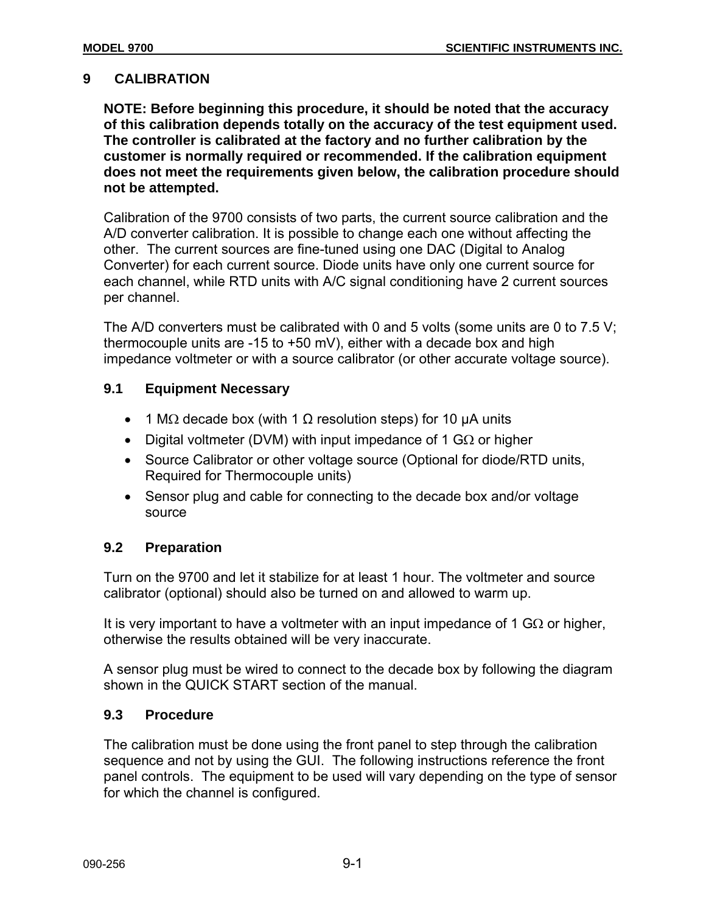# **9 CALIBRATION**

**NOTE: Before beginning this procedure, it should be noted that the accuracy of this calibration depends totally on the accuracy of the test equipment used. The controller is calibrated at the factory and no further calibration by the customer is normally required or recommended. If the calibration equipment does not meet the requirements given below, the calibration procedure should not be attempted.** 

Calibration of the 9700 consists of two parts, the current source calibration and the A/D converter calibration. It is possible to change each one without affecting the other. The current sources are fine-tuned using one DAC (Digital to Analog Converter) for each current source. Diode units have only one current source for each channel, while RTD units with A/C signal conditioning have 2 current sources per channel.

The A/D converters must be calibrated with 0 and 5 volts (some units are 0 to 7.5 V; thermocouple units are  $-15$  to  $+50$  mV), either with a decade box and high impedance voltmeter or with a source calibrator (or other accurate voltage source).

# **9.1 Equipment Necessary**

- 1 M $\Omega$  decade box (with 1  $\Omega$  resolution steps) for 10 µA units
- Digital voltmeter (DVM) with input impedance of 1 G $\Omega$  or higher
- Source Calibrator or other voltage source (Optional for diode/RTD units, Required for Thermocouple units)
- Sensor plug and cable for connecting to the decade box and/or voltage source

# **9.2 Preparation**

Turn on the 9700 and let it stabilize for at least 1 hour. The voltmeter and source calibrator (optional) should also be turned on and allowed to warm up.

It is very important to have a voltmeter with an input impedance of 1 G $\Omega$  or higher, otherwise the results obtained will be very inaccurate.

A sensor plug must be wired to connect to the decade box by following the diagram shown in the QUICK START section of the manual.

# **9.3 Procedure**

The calibration must be done using the front panel to step through the calibration sequence and not by using the GUI. The following instructions reference the front panel controls. The equipment to be used will vary depending on the type of sensor for which the channel is configured.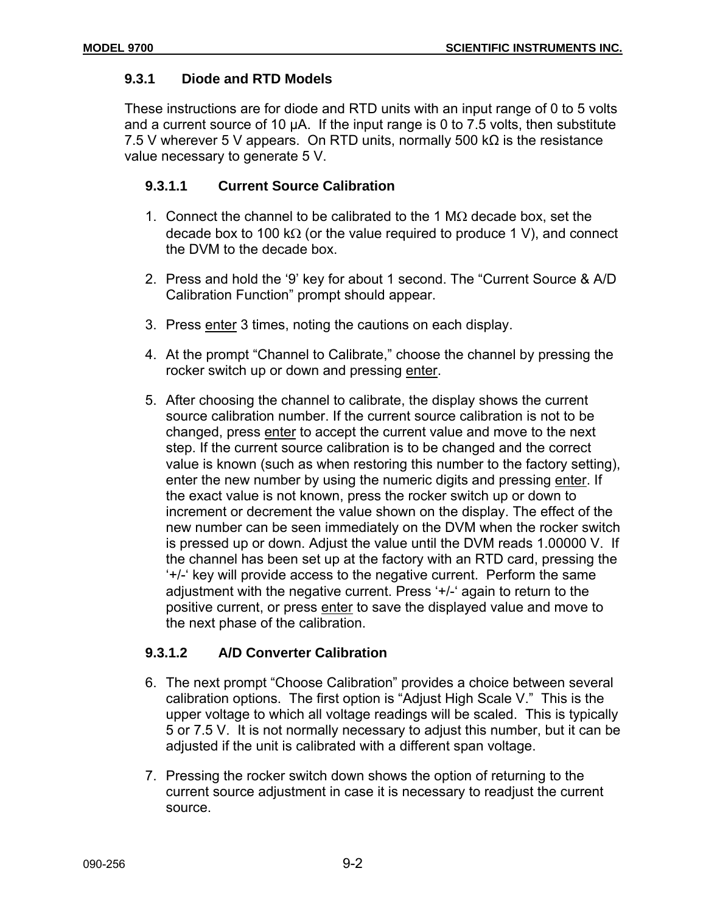# **9.3.1 Diode and RTD Models**

These instructions are for diode and RTD units with an input range of 0 to 5 volts and a current source of 10 µA. If the input range is 0 to 7.5 volts, then substitute 7.5 V wherever 5 V appears. On RTD units, normally 500 kΩ is the resistance value necessary to generate 5 V.

# **9.3.1.1 Current Source Calibration**

- 1. Connect the channel to be calibrated to the 1 M $\Omega$  decade box, set the decade box to 100 k $\Omega$  (or the value required to produce 1 V), and connect the DVM to the decade box.
- 2. Press and hold the '9' key for about 1 second. The "Current Source & A/D Calibration Function" prompt should appear.
- 3. Press enter 3 times, noting the cautions on each display.
- 4. At the prompt "Channel to Calibrate," choose the channel by pressing the rocker switch up or down and pressing enter.
- 5. After choosing the channel to calibrate, the display shows the current source calibration number. If the current source calibration is not to be changed, press enter to accept the current value and move to the next step. If the current source calibration is to be changed and the correct value is known (such as when restoring this number to the factory setting), enter the new number by using the numeric digits and pressing enter. If the exact value is not known, press the rocker switch up or down to increment or decrement the value shown on the display. The effect of the new number can be seen immediately on the DVM when the rocker switch is pressed up or down. Adjust the value until the DVM reads 1.00000 V. If the channel has been set up at the factory with an RTD card, pressing the '+/-' key will provide access to the negative current. Perform the same adjustment with the negative current. Press '+/-' again to return to the positive current, or press enter to save the displayed value and move to the next phase of the calibration.

# **9.3.1.2 A/D Converter Calibration**

- 6. The next prompt "Choose Calibration" provides a choice between several calibration options. The first option is "Adjust High Scale V." This is the upper voltage to which all voltage readings will be scaled. This is typically 5 or 7.5 V. It is not normally necessary to adjust this number, but it can be adjusted if the unit is calibrated with a different span voltage.
- 7. Pressing the rocker switch down shows the option of returning to the current source adjustment in case it is necessary to readjust the current source.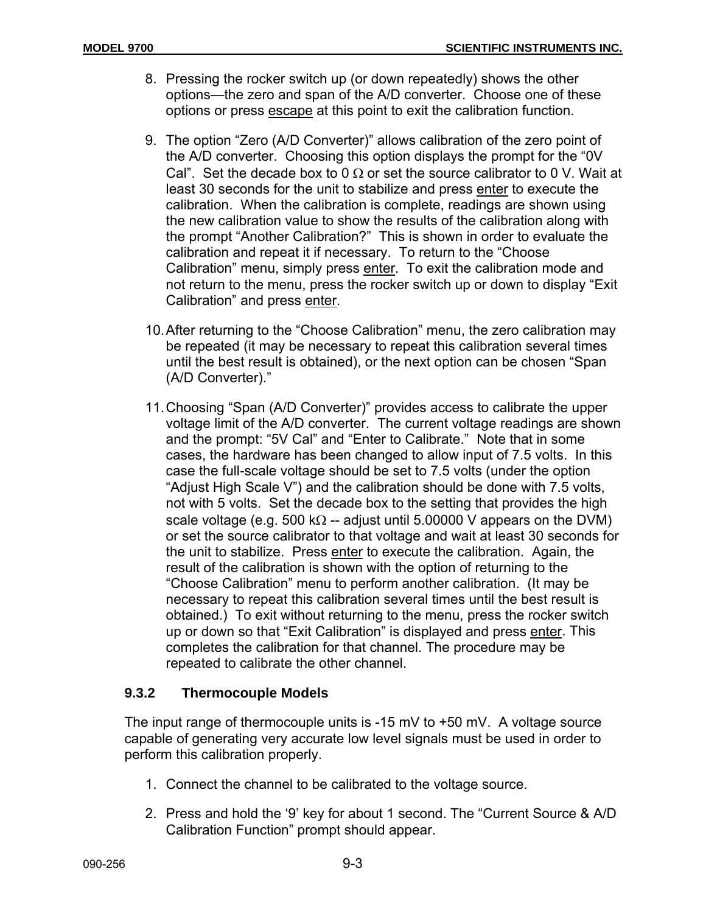- 8. Pressing the rocker switch up (or down repeatedly) shows the other options—the zero and span of the A/D converter. Choose one of these options or press escape at this point to exit the calibration function.
- 9. The option "Zero (A/D Converter)" allows calibration of the zero point of the A/D converter. Choosing this option displays the prompt for the "0V Cal". Set the decade box to 0  $\Omega$  or set the source calibrator to 0 V. Wait at least 30 seconds for the unit to stabilize and press enter to execute the calibration. When the calibration is complete, readings are shown using the new calibration value to show the results of the calibration along with the prompt "Another Calibration?" This is shown in order to evaluate the calibration and repeat it if necessary. To return to the "Choose Calibration" menu, simply press enter. To exit the calibration mode and not return to the menu, press the rocker switch up or down to display "Exit Calibration" and press enter.
- 10. After returning to the "Choose Calibration" menu, the zero calibration may be repeated (it may be necessary to repeat this calibration several times until the best result is obtained), or the next option can be chosen "Span (A/D Converter)."
- 11. Choosing "Span (A/D Converter)" provides access to calibrate the upper voltage limit of the A/D converter. The current voltage readings are shown and the prompt: "5V Cal" and "Enter to Calibrate." Note that in some cases, the hardware has been changed to allow input of 7.5 volts. In this case the full-scale voltage should be set to 7.5 volts (under the option "Adjust High Scale V") and the calibration should be done with 7.5 volts, not with 5 volts. Set the decade box to the setting that provides the high scale voltage (e.g. 500 k $\Omega$  -- adjust until 5.00000 V appears on the DVM) or set the source calibrator to that voltage and wait at least 30 seconds for the unit to stabilize. Press enter to execute the calibration. Again, the result of the calibration is shown with the option of returning to the "Choose Calibration" menu to perform another calibration. (It may be necessary to repeat this calibration several times until the best result is obtained.) To exit without returning to the menu, press the rocker switch up or down so that "Exit Calibration" is displayed and press enter. This completes the calibration for that channel. The procedure may be repeated to calibrate the other channel.

# **9.3.2 Thermocouple Models**

The input range of thermocouple units is -15 mV to +50 mV. A voltage source capable of generating very accurate low level signals must be used in order to perform this calibration properly.

- 1. Connect the channel to be calibrated to the voltage source.
- 2. Press and hold the '9' key for about 1 second. The "Current Source & A/D Calibration Function" prompt should appear.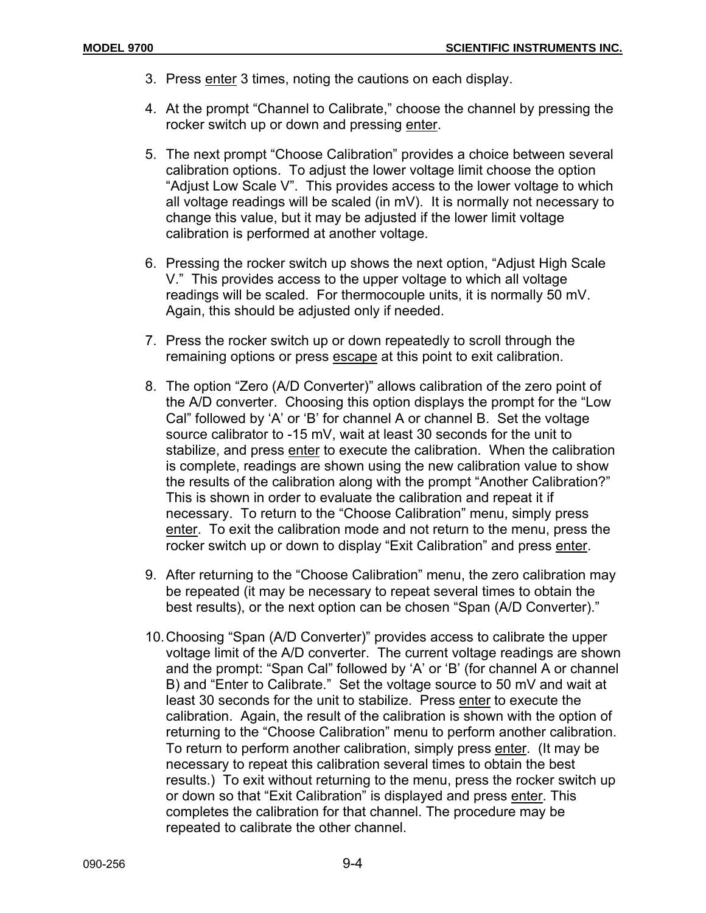- 3. Press enter 3 times, noting the cautions on each display.
- 4. At the prompt "Channel to Calibrate," choose the channel by pressing the rocker switch up or down and pressing enter.
- 5. The next prompt "Choose Calibration" provides a choice between several calibration options. To adjust the lower voltage limit choose the option "Adjust Low Scale V". This provides access to the lower voltage to which all voltage readings will be scaled (in mV). It is normally not necessary to change this value, but it may be adjusted if the lower limit voltage calibration is performed at another voltage.
- 6. Pressing the rocker switch up shows the next option, "Adjust High Scale V." This provides access to the upper voltage to which all voltage readings will be scaled. For thermocouple units, it is normally 50 mV. Again, this should be adjusted only if needed.
- 7. Press the rocker switch up or down repeatedly to scroll through the remaining options or press escape at this point to exit calibration.
- 8. The option "Zero (A/D Converter)" allows calibration of the zero point of the A/D converter. Choosing this option displays the prompt for the "Low Cal" followed by 'A' or 'B' for channel A or channel B. Set the voltage source calibrator to -15 mV, wait at least 30 seconds for the unit to stabilize, and press enter to execute the calibration. When the calibration is complete, readings are shown using the new calibration value to show the results of the calibration along with the prompt "Another Calibration?" This is shown in order to evaluate the calibration and repeat it if necessary. To return to the "Choose Calibration" menu, simply press enter. To exit the calibration mode and not return to the menu, press the rocker switch up or down to display "Exit Calibration" and press enter.
- 9. After returning to the "Choose Calibration" menu, the zero calibration may be repeated (it may be necessary to repeat several times to obtain the best results), or the next option can be chosen "Span (A/D Converter)."
- 10. Choosing "Span (A/D Converter)" provides access to calibrate the upper voltage limit of the A/D converter. The current voltage readings are shown and the prompt: "Span Cal" followed by 'A' or 'B' (for channel A or channel B) and "Enter to Calibrate." Set the voltage source to 50 mV and wait at least 30 seconds for the unit to stabilize. Press enter to execute the calibration. Again, the result of the calibration is shown with the option of returning to the "Choose Calibration" menu to perform another calibration. To return to perform another calibration, simply press enter. (It may be necessary to repeat this calibration several times to obtain the best results.) To exit without returning to the menu, press the rocker switch up or down so that "Exit Calibration" is displayed and press enter. This completes the calibration for that channel. The procedure may be repeated to calibrate the other channel.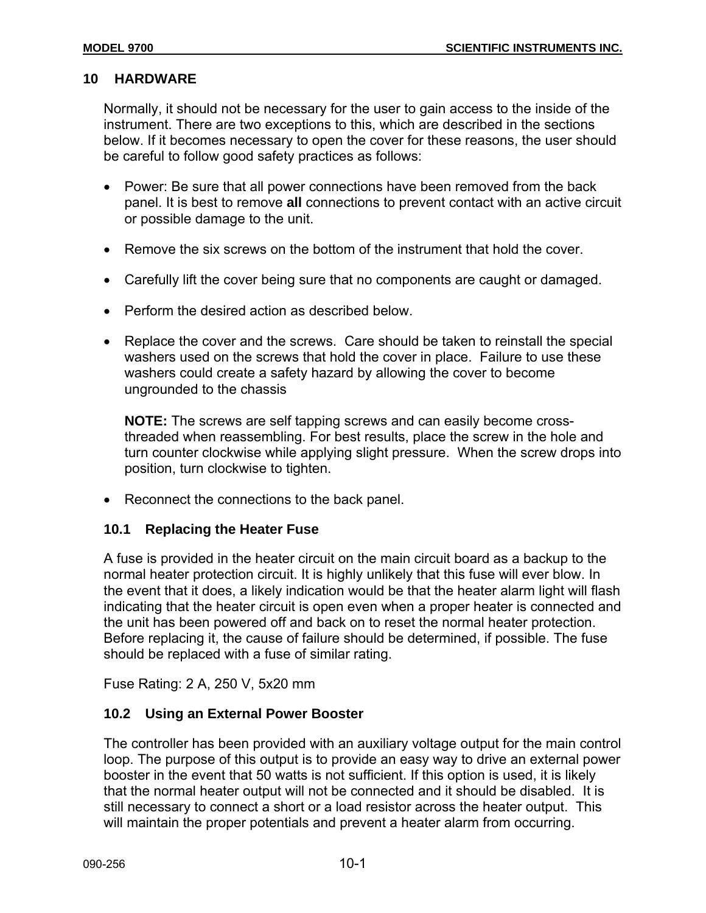#### **10 HARDWARE**

Normally, it should not be necessary for the user to gain access to the inside of the instrument. There are two exceptions to this, which are described in the sections below. If it becomes necessary to open the cover for these reasons, the user should be careful to follow good safety practices as follows:

- Power: Be sure that all power connections have been removed from the back panel. It is best to remove **all** connections to prevent contact with an active circuit or possible damage to the unit.
- Remove the six screws on the bottom of the instrument that hold the cover.
- Carefully lift the cover being sure that no components are caught or damaged.
- Perform the desired action as described below.
- Replace the cover and the screws.Care should be taken to reinstall the special washers used on the screws that hold the cover in place. Failure to use these washers could create a safety hazard by allowing the cover to become ungrounded to the chassis

**NOTE:** The screws are self tapping screws and can easily become crossthreaded when reassembling. For best results, place the screw in the hole and turn counter clockwise while applying slight pressure. When the screw drops into position, turn clockwise to tighten.

• Reconnect the connections to the back panel.

#### **10.1 Replacing the Heater Fuse**

A fuse is provided in the heater circuit on the main circuit board as a backup to the normal heater protection circuit. It is highly unlikely that this fuse will ever blow. In the event that it does, a likely indication would be that the heater alarm light will flash indicating that the heater circuit is open even when a proper heater is connected and the unit has been powered off and back on to reset the normal heater protection. Before replacing it, the cause of failure should be determined, if possible. The fuse should be replaced with a fuse of similar rating.

Fuse Rating: 2 A, 250 V, 5x20 mm

#### **10.2 Using an External Power Booster**

The controller has been provided with an auxiliary voltage output for the main control loop. The purpose of this output is to provide an easy way to drive an external power booster in the event that 50 watts is not sufficient. If this option is used, it is likely that the normal heater output will not be connected and it should be disabled. It is still necessary to connect a short or a load resistor across the heater output. This will maintain the proper potentials and prevent a heater alarm from occurring.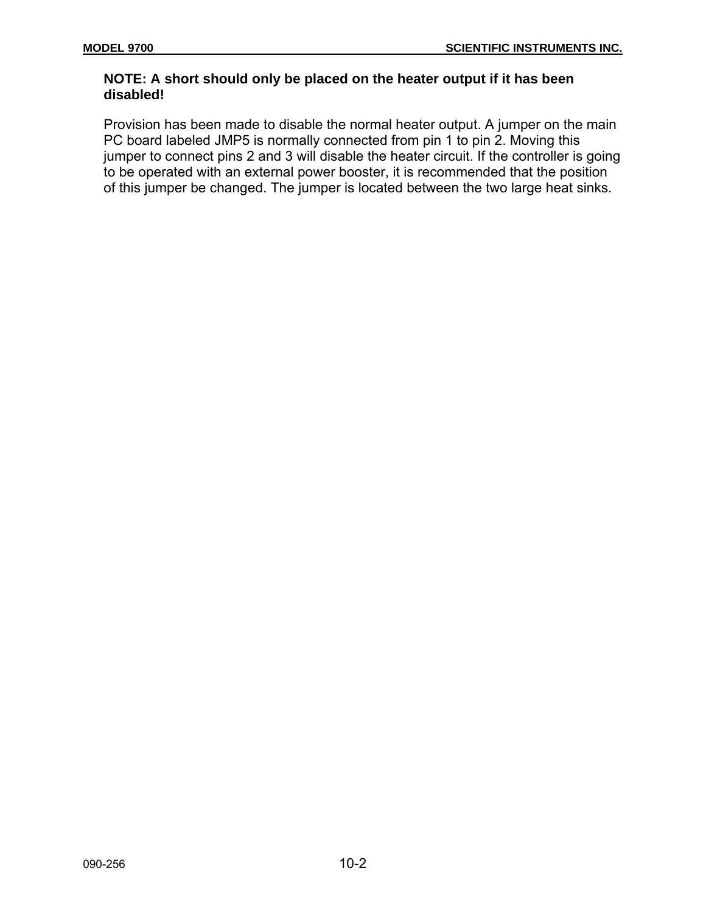# **NOTE: A short should only be placed on the heater output if it has been disabled!**

Provision has been made to disable the normal heater output. A jumper on the main PC board labeled JMP5 is normally connected from pin 1 to pin 2. Moving this jumper to connect pins 2 and 3 will disable the heater circuit. If the controller is going to be operated with an external power booster, it is recommended that the position of this jumper be changed. The jumper is located between the two large heat sinks.